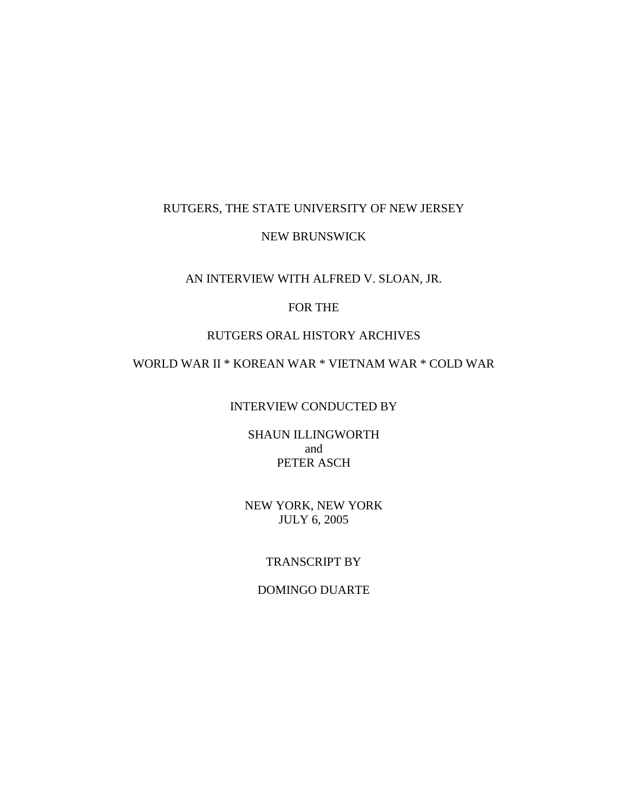# RUTGERS, THE STATE UNIVERSITY OF NEW JERSEY

### NEW BRUNSWICK

### AN INTERVIEW WITH ALFRED V. SLOAN, JR.

# FOR THE

# RUTGERS ORAL HISTORY ARCHIVES

# WORLD WAR II \* KOREAN WAR \* VIETNAM WAR \* COLD WAR

### INTERVIEW CONDUCTED BY

SHAUN ILLINGWORTH and PETER ASCH

NEW YORK, NEW YORK JULY 6, 2005

# TRANSCRIPT BY

# DOMINGO DUARTE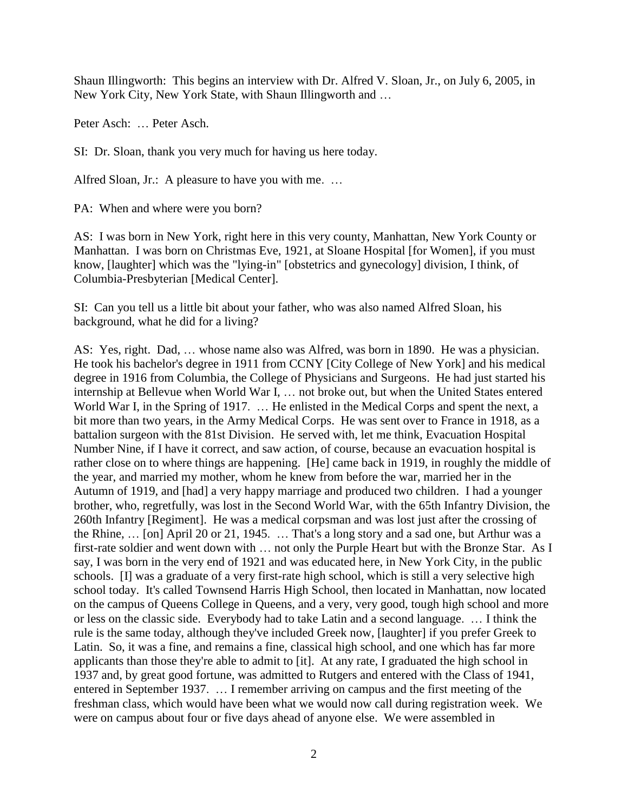Shaun Illingworth: This begins an interview with Dr. Alfred V. Sloan, Jr., on July 6, 2005, in New York City, New York State, with Shaun Illingworth and …

Peter Asch: … Peter Asch.

SI: Dr. Sloan, thank you very much for having us here today.

Alfred Sloan, Jr.: A pleasure to have you with me. …

PA: When and where were you born?

AS: I was born in New York, right here in this very county, Manhattan, New York County or Manhattan. I was born on Christmas Eve, 1921, at Sloane Hospital [for Women], if you must know, [laughter] which was the "lying-in" [obstetrics and gynecology] division, I think, of Columbia-Presbyterian [Medical Center].

SI: Can you tell us a little bit about your father, who was also named Alfred Sloan, his background, what he did for a living?

AS: Yes, right. Dad, … whose name also was Alfred, was born in 1890. He was a physician. He took his bachelor's degree in 1911 from CCNY [City College of New York] and his medical degree in 1916 from Columbia, the College of Physicians and Surgeons. He had just started his internship at Bellevue when World War I, … not broke out, but when the United States entered World War I, in the Spring of 1917. ... He enlisted in the Medical Corps and spent the next, a bit more than two years, in the Army Medical Corps. He was sent over to France in 1918, as a battalion surgeon with the 81st Division. He served with, let me think, Evacuation Hospital Number Nine, if I have it correct, and saw action, of course, because an evacuation hospital is rather close on to where things are happening. [He] came back in 1919, in roughly the middle of the year, and married my mother, whom he knew from before the war, married her in the Autumn of 1919, and [had] a very happy marriage and produced two children. I had a younger brother, who, regretfully, was lost in the Second World War, with the 65th Infantry Division, the 260th Infantry [Regiment]. He was a medical corpsman and was lost just after the crossing of the Rhine, … [on] April 20 or 21, 1945. … That's a long story and a sad one, but Arthur was a first-rate soldier and went down with … not only the Purple Heart but with the Bronze Star. As I say, I was born in the very end of 1921 and was educated here, in New York City, in the public schools. [I] was a graduate of a very first-rate high school, which is still a very selective high school today. It's called Townsend Harris High School, then located in Manhattan, now located on the campus of Queens College in Queens, and a very, very good, tough high school and more or less on the classic side. Everybody had to take Latin and a second language. … I think the rule is the same today, although they've included Greek now, [laughter] if you prefer Greek to Latin. So, it was a fine, and remains a fine, classical high school, and one which has far more applicants than those they're able to admit to [it]. At any rate, I graduated the high school in 1937 and, by great good fortune, was admitted to Rutgers and entered with the Class of 1941, entered in September 1937. … I remember arriving on campus and the first meeting of the freshman class, which would have been what we would now call during registration week. We were on campus about four or five days ahead of anyone else. We were assembled in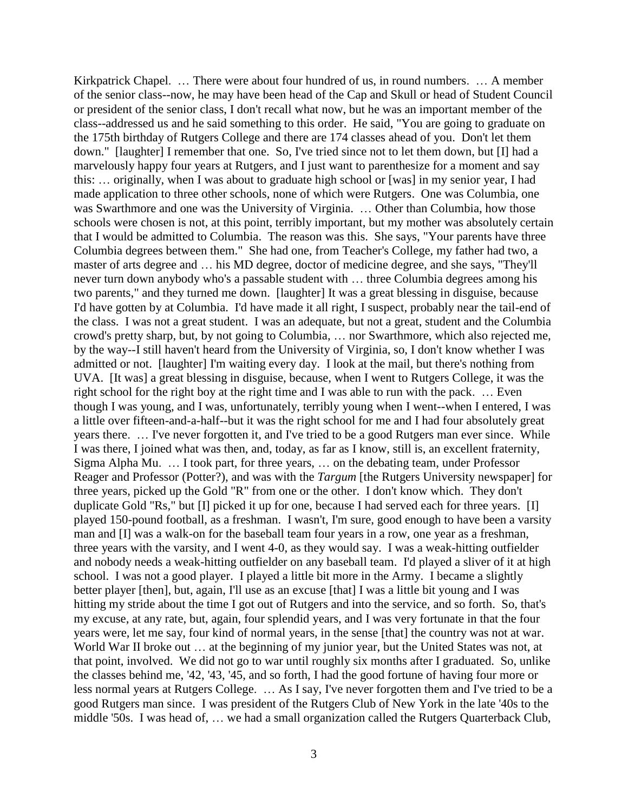Kirkpatrick Chapel. ... There were about four hundred of us, in round numbers. ... A member of the senior class--now, he may have been head of the Cap and Skull or head of Student Council or president of the senior class, I don't recall what now, but he was an important member of the class--addressed us and he said something to this order. He said, "You are going to graduate on the 175th birthday of Rutgers College and there are 174 classes ahead of you. Don't let them down." [laughter] I remember that one. So, I've tried since not to let them down, but [I] had a marvelously happy four years at Rutgers, and I just want to parenthesize for a moment and say this: … originally, when I was about to graduate high school or [was] in my senior year, I had made application to three other schools, none of which were Rutgers. One was Columbia, one was Swarthmore and one was the University of Virginia. … Other than Columbia, how those schools were chosen is not, at this point, terribly important, but my mother was absolutely certain that I would be admitted to Columbia. The reason was this. She says, "Your parents have three Columbia degrees between them." She had one, from Teacher's College, my father had two, a master of arts degree and … his MD degree, doctor of medicine degree, and she says, "They'll never turn down anybody who's a passable student with … three Columbia degrees among his two parents," and they turned me down. [laughter] It was a great blessing in disguise, because I'd have gotten by at Columbia. I'd have made it all right, I suspect, probably near the tail-end of the class. I was not a great student. I was an adequate, but not a great, student and the Columbia crowd's pretty sharp, but, by not going to Columbia, … nor Swarthmore, which also rejected me, by the way--I still haven't heard from the University of Virginia, so, I don't know whether I was admitted or not. [laughter] I'm waiting every day. I look at the mail, but there's nothing from UVA. [It was] a great blessing in disguise, because, when I went to Rutgers College, it was the right school for the right boy at the right time and I was able to run with the pack. … Even though I was young, and I was, unfortunately, terribly young when I went--when I entered, I was a little over fifteen-and-a-half--but it was the right school for me and I had four absolutely great years there. … I've never forgotten it, and I've tried to be a good Rutgers man ever since. While I was there, I joined what was then, and, today, as far as I know, still is, an excellent fraternity, Sigma Alpha Mu. … I took part, for three years, … on the debating team, under Professor Reager and Professor (Potter?), and was with the *Targum* [the Rutgers University newspaper] for three years, picked up the Gold "R" from one or the other. I don't know which. They don't duplicate Gold "Rs," but [I] picked it up for one, because I had served each for three years. [I] played 150-pound football, as a freshman. I wasn't, I'm sure, good enough to have been a varsity man and [I] was a walk-on for the baseball team four years in a row, one year as a freshman, three years with the varsity, and I went 4-0, as they would say. I was a weak-hitting outfielder and nobody needs a weak-hitting outfielder on any baseball team. I'd played a sliver of it at high school. I was not a good player. I played a little bit more in the Army. I became a slightly better player [then], but, again, I'll use as an excuse [that] I was a little bit young and I was hitting my stride about the time I got out of Rutgers and into the service, and so forth. So, that's my excuse, at any rate, but, again, four splendid years, and I was very fortunate in that the four years were, let me say, four kind of normal years, in the sense [that] the country was not at war. World War II broke out ... at the beginning of my junior year, but the United States was not, at that point, involved. We did not go to war until roughly six months after I graduated. So, unlike the classes behind me, '42, '43, '45, and so forth, I had the good fortune of having four more or less normal years at Rutgers College. … As I say, I've never forgotten them and I've tried to be a good Rutgers man since. I was president of the Rutgers Club of New York in the late '40s to the middle '50s. I was head of, … we had a small organization called the Rutgers Quarterback Club,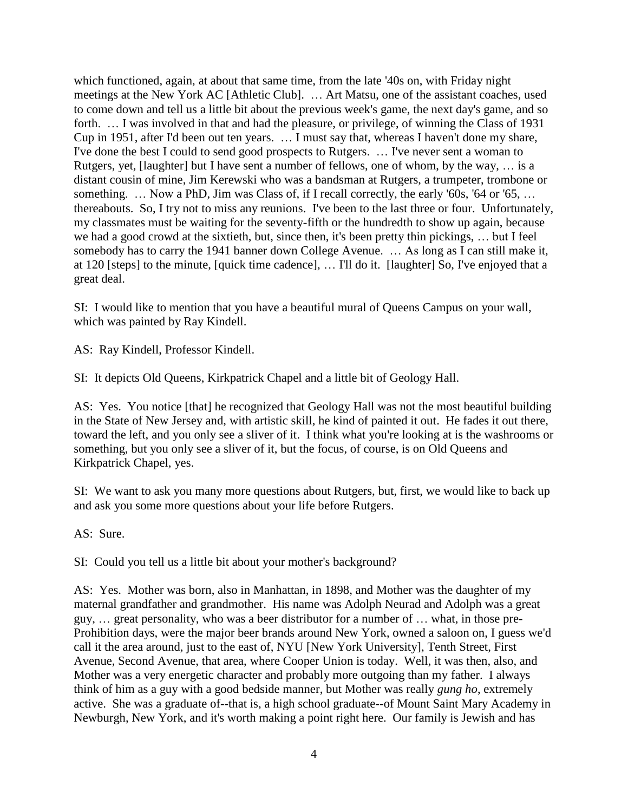which functioned, again, at about that same time, from the late '40s on, with Friday night meetings at the New York AC [Athletic Club]. … Art Matsu, one of the assistant coaches, used to come down and tell us a little bit about the previous week's game, the next day's game, and so forth. ... I was involved in that and had the pleasure, or privilege, of winning the Class of 1931 Cup in 1951, after I'd been out ten years. … I must say that, whereas I haven't done my share, I've done the best I could to send good prospects to Rutgers. … I've never sent a woman to Rutgers, yet, [laughter] but I have sent a number of fellows, one of whom, by the way, … is a distant cousin of mine, Jim Kerewski who was a bandsman at Rutgers, a trumpeter, trombone or something. ... Now a PhD, Jim was Class of, if I recall correctly, the early '60s, '64 or '65, ... thereabouts. So, I try not to miss any reunions. I've been to the last three or four. Unfortunately, my classmates must be waiting for the seventy-fifth or the hundredth to show up again, because we had a good crowd at the sixtieth, but, since then, it's been pretty thin pickings, … but I feel somebody has to carry the 1941 banner down College Avenue. … As long as I can still make it, at 120 [steps] to the minute, [quick time cadence], … I'll do it. [laughter] So, I've enjoyed that a great deal.

SI: I would like to mention that you have a beautiful mural of Queens Campus on your wall, which was painted by Ray Kindell.

AS: Ray Kindell, Professor Kindell.

SI: It depicts Old Queens, Kirkpatrick Chapel and a little bit of Geology Hall.

AS: Yes. You notice [that] he recognized that Geology Hall was not the most beautiful building in the State of New Jersey and, with artistic skill, he kind of painted it out. He fades it out there, toward the left, and you only see a sliver of it. I think what you're looking at is the washrooms or something, but you only see a sliver of it, but the focus, of course, is on Old Queens and Kirkpatrick Chapel, yes.

SI: We want to ask you many more questions about Rutgers, but, first, we would like to back up and ask you some more questions about your life before Rutgers.

AS: Sure.

SI: Could you tell us a little bit about your mother's background?

AS: Yes. Mother was born, also in Manhattan, in 1898, and Mother was the daughter of my maternal grandfather and grandmother. His name was Adolph Neurad and Adolph was a great guy, … great personality, who was a beer distributor for a number of … what, in those pre-Prohibition days, were the major beer brands around New York, owned a saloon on, I guess we'd call it the area around, just to the east of, NYU [New York University], Tenth Street, First Avenue, Second Avenue, that area, where Cooper Union is today. Well, it was then, also, and Mother was a very energetic character and probably more outgoing than my father. I always think of him as a guy with a good bedside manner, but Mother was really *gung ho*, extremely active. She was a graduate of--that is, a high school graduate--of Mount Saint Mary Academy in Newburgh, New York, and it's worth making a point right here. Our family is Jewish and has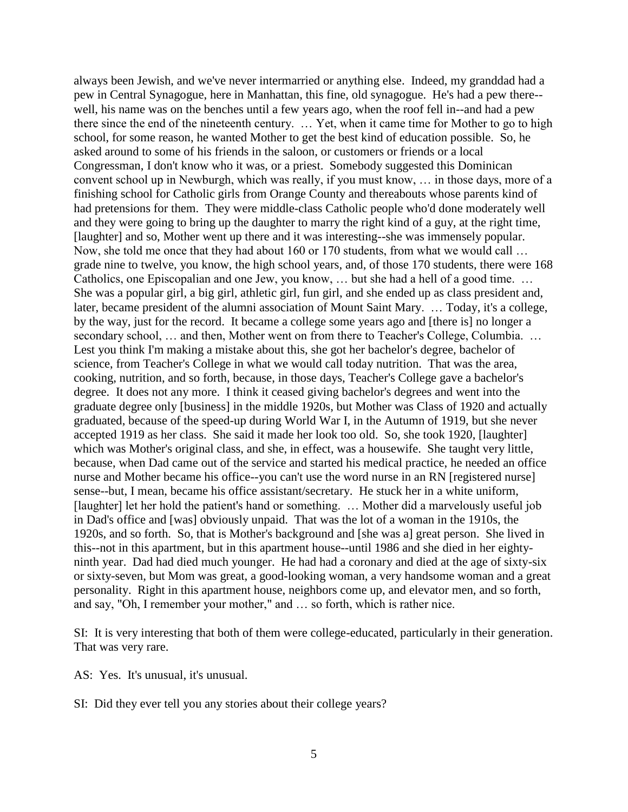always been Jewish, and we've never intermarried or anything else. Indeed, my granddad had a pew in Central Synagogue, here in Manhattan, this fine, old synagogue. He's had a pew there- well, his name was on the benches until a few years ago, when the roof fell in--and had a pew there since the end of the nineteenth century. … Yet, when it came time for Mother to go to high school, for some reason, he wanted Mother to get the best kind of education possible. So, he asked around to some of his friends in the saloon, or customers or friends or a local Congressman, I don't know who it was, or a priest. Somebody suggested this Dominican convent school up in Newburgh, which was really, if you must know, … in those days, more of a finishing school for Catholic girls from Orange County and thereabouts whose parents kind of had pretensions for them. They were middle-class Catholic people who'd done moderately well and they were going to bring up the daughter to marry the right kind of a guy, at the right time, [laughter] and so, Mother went up there and it was interesting--she was immensely popular. Now, she told me once that they had about 160 or 170 students, from what we would call … grade nine to twelve, you know, the high school years, and, of those 170 students, there were 168 Catholics, one Episcopalian and one Jew, you know, … but she had a hell of a good time. … She was a popular girl, a big girl, athletic girl, fun girl, and she ended up as class president and, later, became president of the alumni association of Mount Saint Mary. … Today, it's a college, by the way, just for the record. It became a college some years ago and [there is] no longer a secondary school, ... and then, Mother went on from there to Teacher's College, Columbia. ... Lest you think I'm making a mistake about this, she got her bachelor's degree, bachelor of science, from Teacher's College in what we would call today nutrition. That was the area, cooking, nutrition, and so forth, because, in those days, Teacher's College gave a bachelor's degree. It does not any more. I think it ceased giving bachelor's degrees and went into the graduate degree only [business] in the middle 1920s, but Mother was Class of 1920 and actually graduated, because of the speed-up during World War I, in the Autumn of 1919, but she never accepted 1919 as her class. She said it made her look too old. So, she took 1920, [laughter] which was Mother's original class, and she, in effect, was a housewife. She taught very little, because, when Dad came out of the service and started his medical practice, he needed an office nurse and Mother became his office--you can't use the word nurse in an RN [registered nurse] sense--but, I mean, became his office assistant/secretary. He stuck her in a white uniform, [laughter] let her hold the patient's hand or something. … Mother did a marvelously useful job in Dad's office and [was] obviously unpaid. That was the lot of a woman in the 1910s, the 1920s, and so forth. So, that is Mother's background and [she was a] great person. She lived in this--not in this apartment, but in this apartment house--until 1986 and she died in her eightyninth year. Dad had died much younger. He had had a coronary and died at the age of sixty-six or sixty-seven, but Mom was great, a good-looking woman, a very handsome woman and a great personality. Right in this apartment house, neighbors come up, and elevator men, and so forth, and say, "Oh, I remember your mother," and … so forth, which is rather nice.

SI: It is very interesting that both of them were college-educated, particularly in their generation. That was very rare.

AS: Yes. It's unusual, it's unusual.

SI: Did they ever tell you any stories about their college years?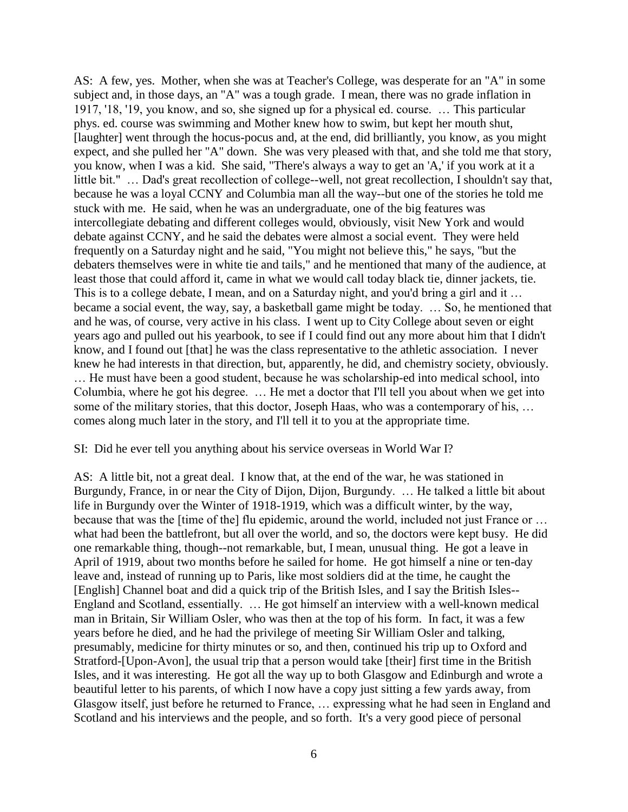AS: A few, yes. Mother, when she was at Teacher's College, was desperate for an "A" in some subject and, in those days, an "A" was a tough grade. I mean, there was no grade inflation in 1917, '18, '19, you know, and so, she signed up for a physical ed. course. … This particular phys. ed. course was swimming and Mother knew how to swim, but kept her mouth shut, [laughter] went through the hocus-pocus and, at the end, did brilliantly, you know, as you might expect, and she pulled her "A" down. She was very pleased with that, and she told me that story, you know, when I was a kid. She said, "There's always a way to get an 'A,' if you work at it a little bit." … Dad's great recollection of college--well, not great recollection, I shouldn't say that, because he was a loyal CCNY and Columbia man all the way--but one of the stories he told me stuck with me. He said, when he was an undergraduate, one of the big features was intercollegiate debating and different colleges would, obviously, visit New York and would debate against CCNY, and he said the debates were almost a social event. They were held frequently on a Saturday night and he said, "You might not believe this," he says, "but the debaters themselves were in white tie and tails," and he mentioned that many of the audience, at least those that could afford it, came in what we would call today black tie, dinner jackets, tie. This is to a college debate, I mean, and on a Saturday night, and you'd bring a girl and it … became a social event, the way, say, a basketball game might be today. … So, he mentioned that and he was, of course, very active in his class. I went up to City College about seven or eight years ago and pulled out his yearbook, to see if I could find out any more about him that I didn't know, and I found out [that] he was the class representative to the athletic association. I never knew he had interests in that direction, but, apparently, he did, and chemistry society, obviously. … He must have been a good student, because he was scholarship-ed into medical school, into Columbia, where he got his degree. … He met a doctor that I'll tell you about when we get into some of the military stories, that this doctor, Joseph Haas, who was a contemporary of his, ... comes along much later in the story, and I'll tell it to you at the appropriate time.

#### SI: Did he ever tell you anything about his service overseas in World War I?

AS: A little bit, not a great deal. I know that, at the end of the war, he was stationed in Burgundy, France, in or near the City of Dijon, Dijon, Burgundy. … He talked a little bit about life in Burgundy over the Winter of 1918-1919, which was a difficult winter, by the way, because that was the [time of the] flu epidemic, around the world, included not just France or … what had been the battlefront, but all over the world, and so, the doctors were kept busy. He did one remarkable thing, though--not remarkable, but, I mean, unusual thing. He got a leave in April of 1919, about two months before he sailed for home. He got himself a nine or ten-day leave and, instead of running up to Paris, like most soldiers did at the time, he caught the [English] Channel boat and did a quick trip of the British Isles, and I say the British Isles-- England and Scotland, essentially. … He got himself an interview with a well-known medical man in Britain, Sir William Osler, who was then at the top of his form. In fact, it was a few years before he died, and he had the privilege of meeting Sir William Osler and talking, presumably, medicine for thirty minutes or so, and then, continued his trip up to Oxford and Stratford-[Upon-Avon], the usual trip that a person would take [their] first time in the British Isles, and it was interesting. He got all the way up to both Glasgow and Edinburgh and wrote a beautiful letter to his parents, of which I now have a copy just sitting a few yards away, from Glasgow itself, just before he returned to France, … expressing what he had seen in England and Scotland and his interviews and the people, and so forth. It's a very good piece of personal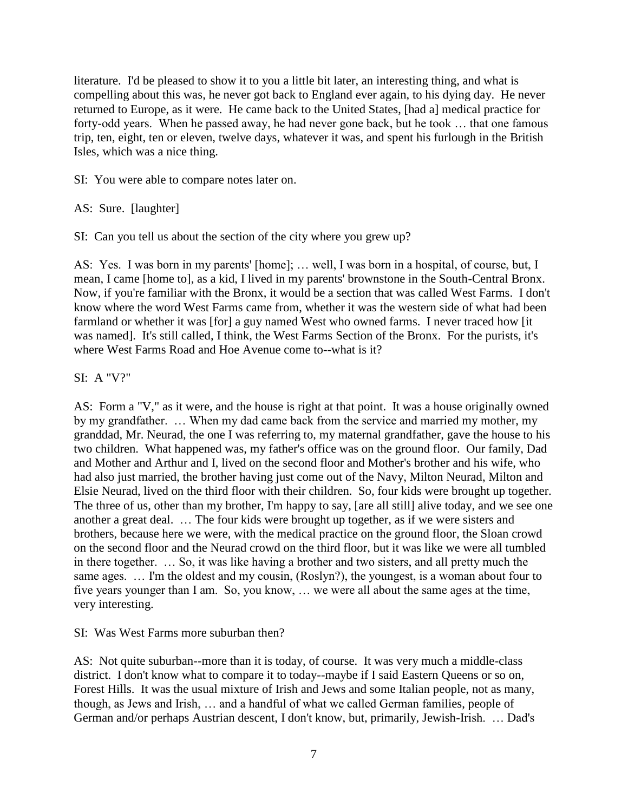literature. I'd be pleased to show it to you a little bit later, an interesting thing, and what is compelling about this was, he never got back to England ever again, to his dying day. He never returned to Europe, as it were. He came back to the United States, [had a] medical practice for forty-odd years. When he passed away, he had never gone back, but he took … that one famous trip, ten, eight, ten or eleven, twelve days, whatever it was, and spent his furlough in the British Isles, which was a nice thing.

SI: You were able to compare notes later on.

AS: Sure. [laughter]

SI: Can you tell us about the section of the city where you grew up?

AS: Yes. I was born in my parents' [home]; … well, I was born in a hospital, of course, but, I mean, I came [home to], as a kid, I lived in my parents' brownstone in the South-Central Bronx. Now, if you're familiar with the Bronx, it would be a section that was called West Farms. I don't know where the word West Farms came from, whether it was the western side of what had been farmland or whether it was [for] a guy named West who owned farms. I never traced how [it was named]. It's still called, I think, the West Farms Section of the Bronx. For the purists, it's where West Farms Road and Hoe Avenue come to--what is it?

# SI: A "V?"

AS: Form a "V," as it were, and the house is right at that point. It was a house originally owned by my grandfather. … When my dad came back from the service and married my mother, my granddad, Mr. Neurad, the one I was referring to, my maternal grandfather, gave the house to his two children. What happened was, my father's office was on the ground floor. Our family, Dad and Mother and Arthur and I, lived on the second floor and Mother's brother and his wife, who had also just married, the brother having just come out of the Navy, Milton Neurad, Milton and Elsie Neurad, lived on the third floor with their children. So, four kids were brought up together. The three of us, other than my brother, I'm happy to say, [are all still] alive today, and we see one another a great deal. … The four kids were brought up together, as if we were sisters and brothers, because here we were, with the medical practice on the ground floor, the Sloan crowd on the second floor and the Neurad crowd on the third floor, but it was like we were all tumbled in there together. … So, it was like having a brother and two sisters, and all pretty much the same ages. … I'm the oldest and my cousin, (Roslyn?), the youngest, is a woman about four to five years younger than I am. So, you know, … we were all about the same ages at the time, very interesting.

# SI: Was West Farms more suburban then?

AS: Not quite suburban--more than it is today, of course. It was very much a middle-class district. I don't know what to compare it to today--maybe if I said Eastern Queens or so on, Forest Hills. It was the usual mixture of Irish and Jews and some Italian people, not as many, though, as Jews and Irish, … and a handful of what we called German families, people of German and/or perhaps Austrian descent, I don't know, but, primarily, Jewish-Irish. … Dad's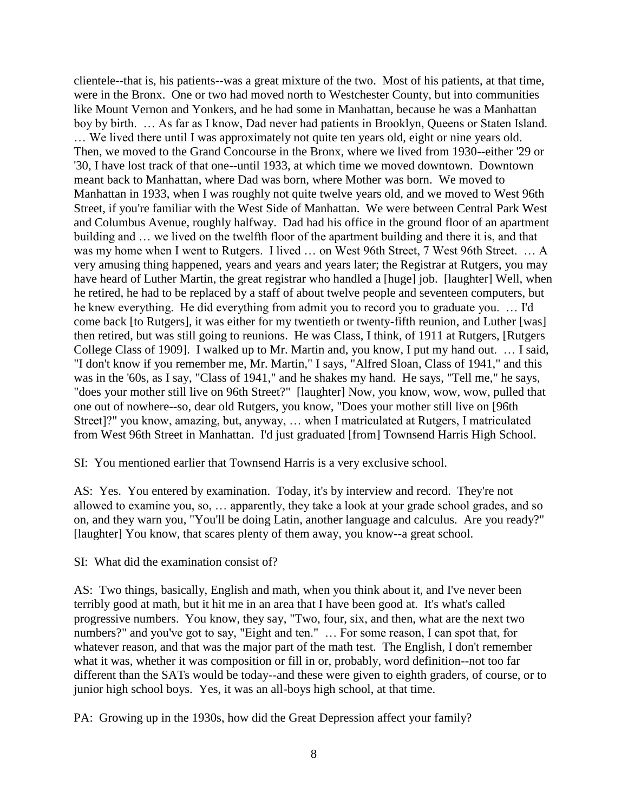clientele--that is, his patients--was a great mixture of the two. Most of his patients, at that time, were in the Bronx. One or two had moved north to Westchester County, but into communities like Mount Vernon and Yonkers, and he had some in Manhattan, because he was a Manhattan boy by birth. … As far as I know, Dad never had patients in Brooklyn, Queens or Staten Island. … We lived there until I was approximately not quite ten years old, eight or nine years old. Then, we moved to the Grand Concourse in the Bronx, where we lived from 1930--either '29 or '30, I have lost track of that one--until 1933, at which time we moved downtown. Downtown meant back to Manhattan, where Dad was born, where Mother was born. We moved to Manhattan in 1933, when I was roughly not quite twelve years old, and we moved to West 96th Street, if you're familiar with the West Side of Manhattan. We were between Central Park West and Columbus Avenue, roughly halfway. Dad had his office in the ground floor of an apartment building and … we lived on the twelfth floor of the apartment building and there it is, and that was my home when I went to Rutgers. I lived … on West 96th Street, 7 West 96th Street. … A very amusing thing happened, years and years and years later; the Registrar at Rutgers, you may have heard of Luther Martin, the great registrar who handled a [huge] job. [laughter] Well, when he retired, he had to be replaced by a staff of about twelve people and seventeen computers, but he knew everything. He did everything from admit you to record you to graduate you. … I'd come back [to Rutgers], it was either for my twentieth or twenty-fifth reunion, and Luther [was] then retired, but was still going to reunions. He was Class, I think, of 1911 at Rutgers, [Rutgers College Class of 1909]. I walked up to Mr. Martin and, you know, I put my hand out. … I said, "I don't know if you remember me, Mr. Martin," I says, "Alfred Sloan, Class of 1941," and this was in the '60s, as I say, "Class of 1941," and he shakes my hand. He says, "Tell me," he says, "does your mother still live on 96th Street?" [laughter] Now, you know, wow, wow, pulled that one out of nowhere--so, dear old Rutgers, you know, "Does your mother still live on [96th Street]?" you know, amazing, but, anyway, … when I matriculated at Rutgers, I matriculated from West 96th Street in Manhattan. I'd just graduated [from] Townsend Harris High School.

SI: You mentioned earlier that Townsend Harris is a very exclusive school.

AS: Yes. You entered by examination. Today, it's by interview and record. They're not allowed to examine you, so, … apparently, they take a look at your grade school grades, and so on, and they warn you, "You'll be doing Latin, another language and calculus. Are you ready?" [laughter] You know, that scares plenty of them away, you know--a great school.

SI: What did the examination consist of?

AS: Two things, basically, English and math, when you think about it, and I've never been terribly good at math, but it hit me in an area that I have been good at. It's what's called progressive numbers. You know, they say, "Two, four, six, and then, what are the next two numbers?" and you've got to say, "Eight and ten." … For some reason, I can spot that, for whatever reason, and that was the major part of the math test. The English, I don't remember what it was, whether it was composition or fill in or, probably, word definition--not too far different than the SATs would be today--and these were given to eighth graders, of course, or to junior high school boys. Yes, it was an all-boys high school, at that time.

PA: Growing up in the 1930s, how did the Great Depression affect your family?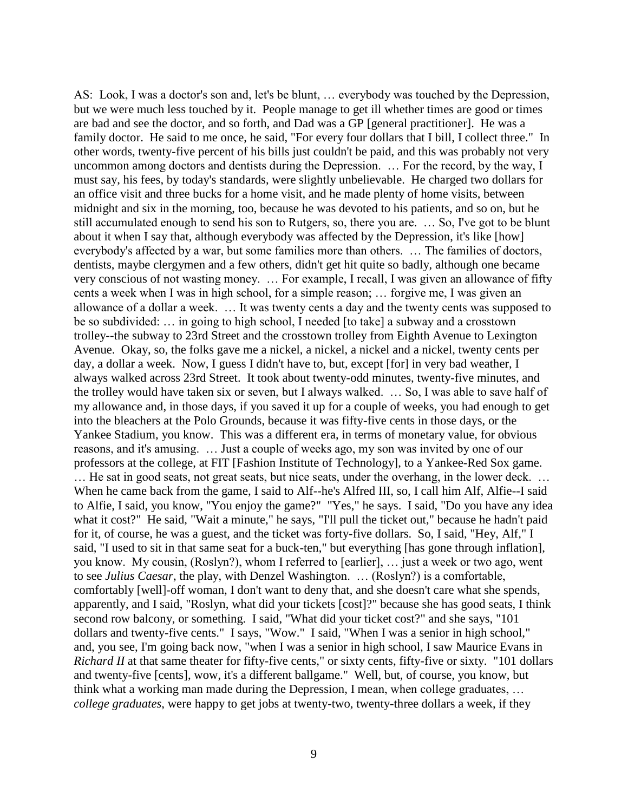AS: Look, I was a doctor's son and, let's be blunt, … everybody was touched by the Depression, but we were much less touched by it. People manage to get ill whether times are good or times are bad and see the doctor, and so forth, and Dad was a GP [general practitioner]. He was a family doctor. He said to me once, he said, "For every four dollars that I bill, I collect three." In other words, twenty-five percent of his bills just couldn't be paid, and this was probably not very uncommon among doctors and dentists during the Depression. … For the record, by the way, I must say, his fees, by today's standards, were slightly unbelievable. He charged two dollars for an office visit and three bucks for a home visit, and he made plenty of home visits, between midnight and six in the morning, too, because he was devoted to his patients, and so on, but he still accumulated enough to send his son to Rutgers, so, there you are. … So, I've got to be blunt about it when I say that, although everybody was affected by the Depression, it's like [how] everybody's affected by a war, but some families more than others. … The families of doctors, dentists, maybe clergymen and a few others, didn't get hit quite so badly, although one became very conscious of not wasting money. … For example, I recall, I was given an allowance of fifty cents a week when I was in high school, for a simple reason; … forgive me, I was given an allowance of a dollar a week. … It was twenty cents a day and the twenty cents was supposed to be so subdivided: … in going to high school, I needed [to take] a subway and a crosstown trolley--the subway to 23rd Street and the crosstown trolley from Eighth Avenue to Lexington Avenue. Okay, so, the folks gave me a nickel, a nickel, a nickel and a nickel, twenty cents per day, a dollar a week. Now, I guess I didn't have to, but, except [for] in very bad weather, I always walked across 23rd Street. It took about twenty-odd minutes, twenty-five minutes, and the trolley would have taken six or seven, but I always walked. … So, I was able to save half of my allowance and, in those days, if you saved it up for a couple of weeks, you had enough to get into the bleachers at the Polo Grounds, because it was fifty-five cents in those days, or the Yankee Stadium, you know. This was a different era, in terms of monetary value, for obvious reasons, and it's amusing. … Just a couple of weeks ago, my son was invited by one of our professors at the college, at FIT [Fashion Institute of Technology], to a Yankee-Red Sox game. … He sat in good seats, not great seats, but nice seats, under the overhang, in the lower deck. … When he came back from the game, I said to Alf--he's Alfred III, so, I call him Alf, Alfie--I said to Alfie, I said, you know, "You enjoy the game?" "Yes," he says. I said, "Do you have any idea what it cost?" He said, "Wait a minute," he says, "I'll pull the ticket out," because he hadn't paid for it, of course, he was a guest, and the ticket was forty-five dollars. So, I said, "Hey, Alf," I said, "I used to sit in that same seat for a buck-ten," but everything [has gone through inflation], you know. My cousin, (Roslyn?), whom I referred to [earlier], … just a week or two ago, went to see *Julius Caesar*, the play, with Denzel Washington. … (Roslyn?) is a comfortable, comfortably [well]-off woman, I don't want to deny that, and she doesn't care what she spends, apparently, and I said, "Roslyn, what did your tickets [cost]?" because she has good seats, I think second row balcony, or something. I said, "What did your ticket cost?" and she says, "101 dollars and twenty-five cents." I says, "Wow." I said, "When I was a senior in high school," and, you see, I'm going back now, "when I was a senior in high school, I saw Maurice Evans in *Richard II* at that same theater for fifty-five cents," or sixty cents, fifty-five or sixty. "101 dollars and twenty-five [cents], wow, it's a different ballgame." Well, but, of course, you know, but think what a working man made during the Depression, I mean, when college graduates, … *college graduates*, were happy to get jobs at twenty-two, twenty-three dollars a week, if they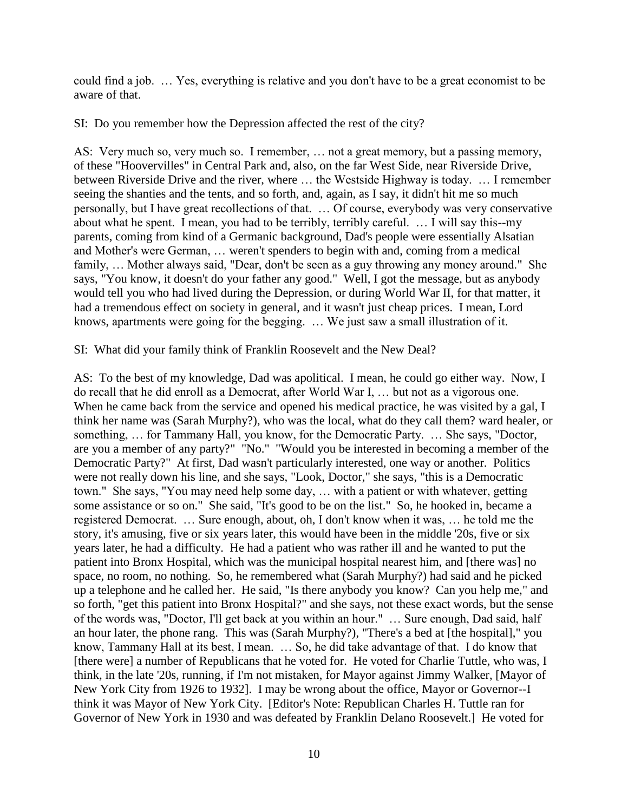could find a job. … Yes, everything is relative and you don't have to be a great economist to be aware of that.

SI: Do you remember how the Depression affected the rest of the city?

AS: Very much so, very much so. I remember, … not a great memory, but a passing memory, of these "Hoovervilles" in Central Park and, also, on the far West Side, near Riverside Drive, between Riverside Drive and the river, where … the Westside Highway is today. … I remember seeing the shanties and the tents, and so forth, and, again, as I say, it didn't hit me so much personally, but I have great recollections of that. … Of course, everybody was very conservative about what he spent. I mean, you had to be terribly, terribly careful. … I will say this--my parents, coming from kind of a Germanic background, Dad's people were essentially Alsatian and Mother's were German, … weren't spenders to begin with and, coming from a medical family, … Mother always said, "Dear, don't be seen as a guy throwing any money around." She says, "You know, it doesn't do your father any good." Well, I got the message, but as anybody would tell you who had lived during the Depression, or during World War II, for that matter, it had a tremendous effect on society in general, and it wasn't just cheap prices. I mean, Lord knows, apartments were going for the begging. … We just saw a small illustration of it.

SI: What did your family think of Franklin Roosevelt and the New Deal?

AS: To the best of my knowledge, Dad was apolitical. I mean, he could go either way. Now, I do recall that he did enroll as a Democrat, after World War I, … but not as a vigorous one. When he came back from the service and opened his medical practice, he was visited by a gal, I think her name was (Sarah Murphy?), who was the local, what do they call them? ward healer, or something, … for Tammany Hall, you know, for the Democratic Party. … She says, "Doctor, are you a member of any party?" "No." "Would you be interested in becoming a member of the Democratic Party?" At first, Dad wasn't particularly interested, one way or another. Politics were not really down his line, and she says, "Look, Doctor," she says, "this is a Democratic town." She says, "You may need help some day, … with a patient or with whatever, getting some assistance or so on." She said, "It's good to be on the list." So, he hooked in, became a registered Democrat. … Sure enough, about, oh, I don't know when it was, … he told me the story, it's amusing, five or six years later, this would have been in the middle '20s, five or six years later, he had a difficulty. He had a patient who was rather ill and he wanted to put the patient into Bronx Hospital, which was the municipal hospital nearest him, and [there was] no space, no room, no nothing. So, he remembered what (Sarah Murphy?) had said and he picked up a telephone and he called her. He said, "Is there anybody you know? Can you help me," and so forth, "get this patient into Bronx Hospital?" and she says, not these exact words, but the sense of the words was, "Doctor, I'll get back at you within an hour." … Sure enough, Dad said, half an hour later, the phone rang. This was (Sarah Murphy?), "There's a bed at [the hospital]," you know, Tammany Hall at its best, I mean. … So, he did take advantage of that. I do know that [there were] a number of Republicans that he voted for. He voted for Charlie Tuttle, who was, I think, in the late '20s, running, if I'm not mistaken, for Mayor against Jimmy Walker, [Mayor of New York City from 1926 to 1932]. I may be wrong about the office, Mayor or Governor--I think it was Mayor of New York City. [Editor's Note: Republican Charles H. Tuttle ran for Governor of New York in 1930 and was defeated by Franklin Delano Roosevelt.] He voted for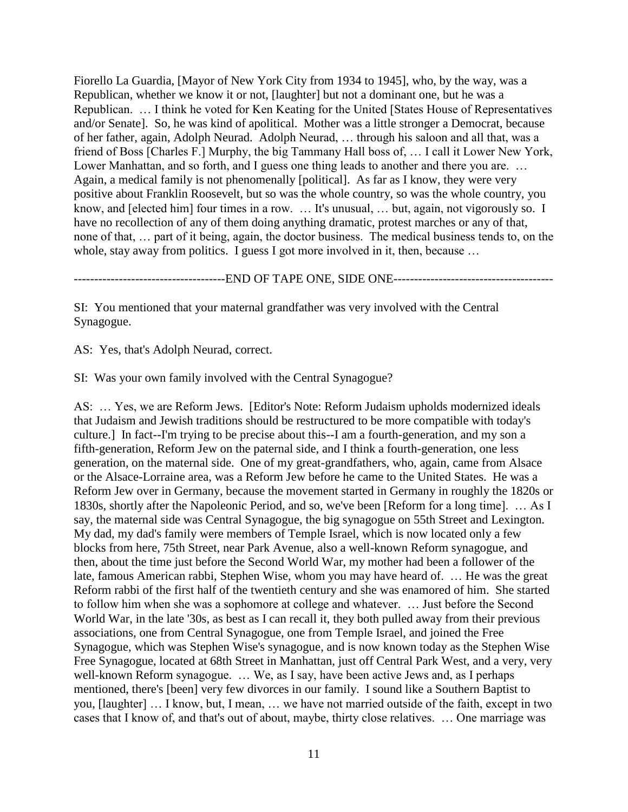Fiorello La Guardia, [Mayor of New York City from 1934 to 1945], who, by the way, was a Republican, whether we know it or not, [laughter] but not a dominant one, but he was a Republican. … I think he voted for Ken Keating for the United [States House of Representatives and/or Senate]. So, he was kind of apolitical. Mother was a little stronger a Democrat, because of her father, again, Adolph Neurad. Adolph Neurad, … through his saloon and all that, was a friend of Boss [Charles F.] Murphy, the big Tammany Hall boss of, … I call it Lower New York, Lower Manhattan, and so forth, and I guess one thing leads to another and there you are. ... Again, a medical family is not phenomenally [political]. As far as I know, they were very positive about Franklin Roosevelt, but so was the whole country, so was the whole country, you know, and [elected him] four times in a row. ... It's unusual, ... but, again, not vigorously so. I have no recollection of any of them doing anything dramatic, protest marches or any of that, none of that, … part of it being, again, the doctor business. The medical business tends to, on the whole, stay away from politics. I guess I got more involved in it, then, because ...

-------------------------------------END OF TAPE ONE, SIDE ONE---------------------------------------

SI: You mentioned that your maternal grandfather was very involved with the Central Synagogue.

AS: Yes, that's Adolph Neurad, correct.

SI: Was your own family involved with the Central Synagogue?

AS: … Yes, we are Reform Jews. [Editor's Note: Reform Judaism upholds modernized ideals that Judaism and Jewish traditions should be restructured to be more compatible with today's culture.] In fact--I'm trying to be precise about this--I am a fourth-generation, and my son a fifth-generation, Reform Jew on the paternal side, and I think a fourth-generation, one less generation, on the maternal side. One of my great-grandfathers, who, again, came from Alsace or the Alsace-Lorraine area, was a Reform Jew before he came to the United States. He was a Reform Jew over in Germany, because the movement started in Germany in roughly the 1820s or 1830s, shortly after the Napoleonic Period, and so, we've been [Reform for a long time]. … As I say, the maternal side was Central Synagogue, the big synagogue on 55th Street and Lexington. My dad, my dad's family were members of Temple Israel, which is now located only a few blocks from here, 75th Street, near Park Avenue, also a well-known Reform synagogue, and then, about the time just before the Second World War, my mother had been a follower of the late, famous American rabbi, Stephen Wise, whom you may have heard of. … He was the great Reform rabbi of the first half of the twentieth century and she was enamored of him. She started to follow him when she was a sophomore at college and whatever. … Just before the Second World War, in the late '30s, as best as I can recall it, they both pulled away from their previous associations, one from Central Synagogue, one from Temple Israel, and joined the Free Synagogue, which was Stephen Wise's synagogue, and is now known today as the Stephen Wise Free Synagogue, located at 68th Street in Manhattan, just off Central Park West, and a very, very well-known Reform synagogue. … We, as I say, have been active Jews and, as I perhaps mentioned, there's [been] very few divorces in our family. I sound like a Southern Baptist to you, [laughter] … I know, but, I mean, … we have not married outside of the faith, except in two cases that I know of, and that's out of about, maybe, thirty close relatives. … One marriage was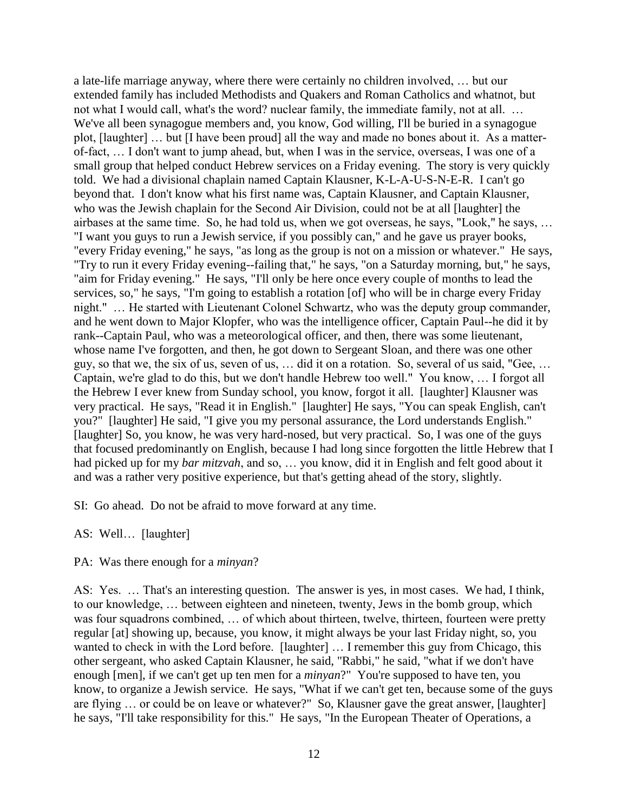a late-life marriage anyway, where there were certainly no children involved, … but our extended family has included Methodists and Quakers and Roman Catholics and whatnot, but not what I would call, what's the word? nuclear family, the immediate family, not at all. … We've all been synagogue members and, you know, God willing, I'll be buried in a synagogue plot, [laughter] … but [I have been proud] all the way and made no bones about it. As a matterof-fact, … I don't want to jump ahead, but, when I was in the service, overseas, I was one of a small group that helped conduct Hebrew services on a Friday evening. The story is very quickly told. We had a divisional chaplain named Captain Klausner, K-L-A-U-S-N-E-R. I can't go beyond that. I don't know what his first name was, Captain Klausner, and Captain Klausner, who was the Jewish chaplain for the Second Air Division, could not be at all [laughter] the airbases at the same time. So, he had told us, when we got overseas, he says, "Look," he says, … "I want you guys to run a Jewish service, if you possibly can," and he gave us prayer books, "every Friday evening," he says, "as long as the group is not on a mission or whatever." He says, "Try to run it every Friday evening--failing that," he says, "on a Saturday morning, but," he says, "aim for Friday evening." He says, "I'll only be here once every couple of months to lead the services, so," he says, "I'm going to establish a rotation [of] who will be in charge every Friday night." … He started with Lieutenant Colonel Schwartz, who was the deputy group commander, and he went down to Major Klopfer, who was the intelligence officer, Captain Paul--he did it by rank--Captain Paul, who was a meteorological officer, and then, there was some lieutenant, whose name I've forgotten, and then, he got down to Sergeant Sloan, and there was one other guy, so that we, the six of us, seven of us, … did it on a rotation. So, several of us said, "Gee, … Captain, we're glad to do this, but we don't handle Hebrew too well." You know, … I forgot all the Hebrew I ever knew from Sunday school, you know, forgot it all. [laughter] Klausner was very practical. He says, "Read it in English." [laughter] He says, "You can speak English, can't you?" [laughter] He said, "I give you my personal assurance, the Lord understands English." [laughter] So, you know, he was very hard-nosed, but very practical. So, I was one of the guys that focused predominantly on English, because I had long since forgotten the little Hebrew that I had picked up for my *bar mitzvah*, and so, … you know, did it in English and felt good about it and was a rather very positive experience, but that's getting ahead of the story, slightly.

SI: Go ahead. Do not be afraid to move forward at any time.

AS: Well… [laughter]

# PA: Was there enough for a *minyan*?

AS: Yes. … That's an interesting question. The answer is yes, in most cases. We had, I think, to our knowledge, … between eighteen and nineteen, twenty, Jews in the bomb group, which was four squadrons combined, … of which about thirteen, twelve, thirteen, fourteen were pretty regular [at] showing up, because, you know, it might always be your last Friday night, so, you wanted to check in with the Lord before. [laughter] … I remember this guy from Chicago, this other sergeant, who asked Captain Klausner, he said, "Rabbi," he said, "what if we don't have enough [men], if we can't get up ten men for a *minyan*?" You're supposed to have ten, you know, to organize a Jewish service. He says, "What if we can't get ten, because some of the guys are flying … or could be on leave or whatever?" So, Klausner gave the great answer, [laughter] he says, "I'll take responsibility for this." He says, "In the European Theater of Operations, a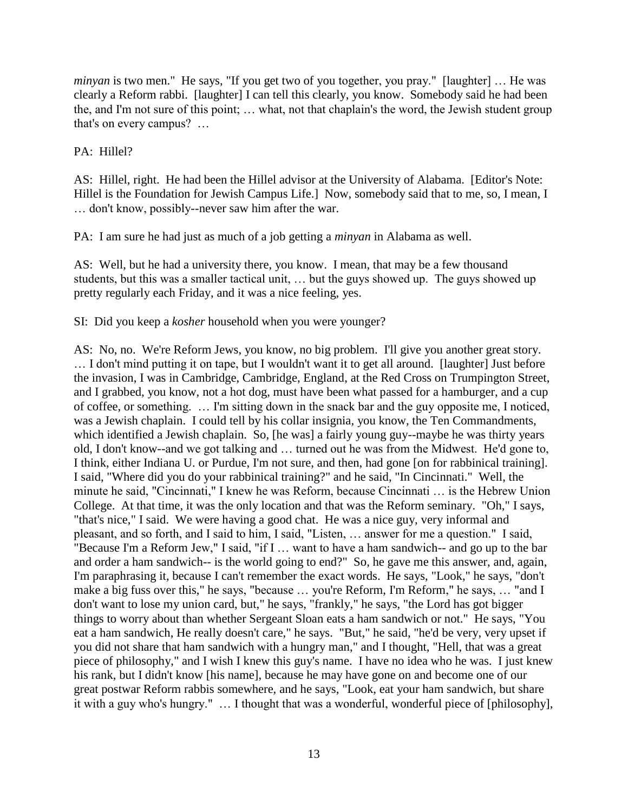*minyan* is two men." He says, "If you get two of you together, you pray." [laughter] ... He was clearly a Reform rabbi. [laughter] I can tell this clearly, you know. Somebody said he had been the, and I'm not sure of this point; … what, not that chaplain's the word, the Jewish student group that's on every campus? …

# PA: Hillel?

AS: Hillel, right. He had been the Hillel advisor at the University of Alabama. [Editor's Note: Hillel is the Foundation for Jewish Campus Life.] Now, somebody said that to me, so, I mean, I … don't know, possibly--never saw him after the war.

PA: I am sure he had just as much of a job getting a *minyan* in Alabama as well.

AS: Well, but he had a university there, you know. I mean, that may be a few thousand students, but this was a smaller tactical unit, … but the guys showed up. The guys showed up pretty regularly each Friday, and it was a nice feeling, yes.

SI: Did you keep a *kosher* household when you were younger?

AS: No, no. We're Reform Jews, you know, no big problem. I'll give you another great story. … I don't mind putting it on tape, but I wouldn't want it to get all around. [laughter] Just before the invasion, I was in Cambridge, Cambridge, England, at the Red Cross on Trumpington Street, and I grabbed, you know, not a hot dog, must have been what passed for a hamburger, and a cup of coffee, or something. … I'm sitting down in the snack bar and the guy opposite me, I noticed, was a Jewish chaplain. I could tell by his collar insignia, you know, the Ten Commandments, which identified a Jewish chaplain. So, [he was] a fairly young guy--maybe he was thirty years old, I don't know--and we got talking and … turned out he was from the Midwest. He'd gone to, I think, either Indiana U. or Purdue, I'm not sure, and then, had gone [on for rabbinical training]. I said, "Where did you do your rabbinical training?" and he said, "In Cincinnati." Well, the minute he said, "Cincinnati," I knew he was Reform, because Cincinnati … is the Hebrew Union College. At that time, it was the only location and that was the Reform seminary. "Oh," I says, "that's nice," I said. We were having a good chat. He was a nice guy, very informal and pleasant, and so forth, and I said to him, I said, "Listen, … answer for me a question." I said, "Because I'm a Reform Jew," I said, "if I … want to have a ham sandwich-- and go up to the bar and order a ham sandwich-- is the world going to end?" So, he gave me this answer, and, again, I'm paraphrasing it, because I can't remember the exact words. He says, "Look," he says, "don't make a big fuss over this," he says, "because … you're Reform, I'm Reform," he says, … "and I don't want to lose my union card, but," he says, "frankly," he says, "the Lord has got bigger things to worry about than whether Sergeant Sloan eats a ham sandwich or not." He says, "You eat a ham sandwich, He really doesn't care," he says. "But," he said, "he'd be very, very upset if you did not share that ham sandwich with a hungry man," and I thought, "Hell, that was a great piece of philosophy," and I wish I knew this guy's name. I have no idea who he was. I just knew his rank, but I didn't know [his name], because he may have gone on and become one of our great postwar Reform rabbis somewhere, and he says, "Look, eat your ham sandwich, but share it with a guy who's hungry." … I thought that was a wonderful, wonderful piece of [philosophy],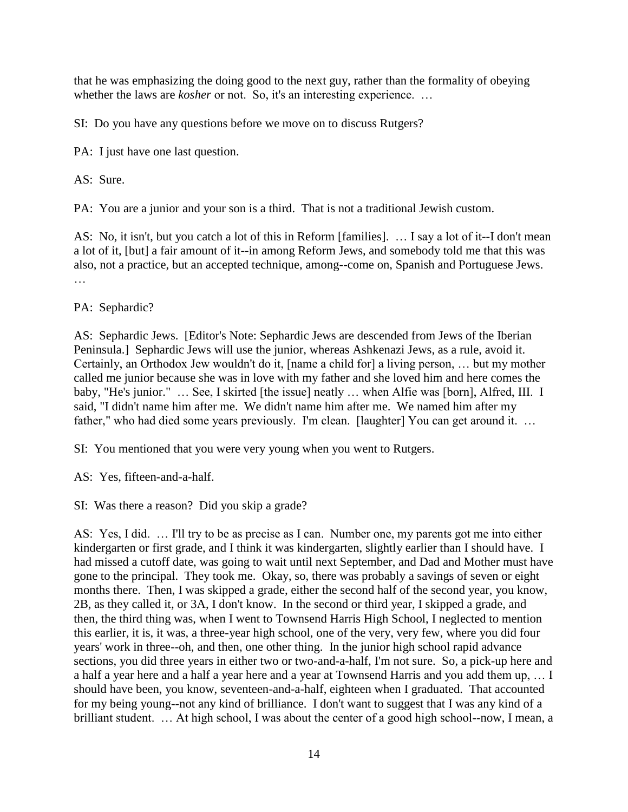that he was emphasizing the doing good to the next guy, rather than the formality of obeying whether the laws are *kosher* or not. So, it's an interesting experience. ...

SI: Do you have any questions before we move on to discuss Rutgers?

PA: I just have one last question.

AS: Sure.

PA: You are a junior and your son is a third. That is not a traditional Jewish custom.

AS: No, it isn't, but you catch a lot of this in Reform [families]. … I say a lot of it--I don't mean a lot of it, [but] a fair amount of it--in among Reform Jews, and somebody told me that this was also, not a practice, but an accepted technique, among--come on, Spanish and Portuguese Jews. …

PA: Sephardic?

AS: Sephardic Jews. [Editor's Note: Sephardic Jews are descended from Jews of the Iberian Peninsula.] Sephardic Jews will use the junior, whereas Ashkenazi Jews, as a rule, avoid it. Certainly, an Orthodox Jew wouldn't do it, [name a child for] a living person, … but my mother called me junior because she was in love with my father and she loved him and here comes the baby, "He's junior." … See, I skirted [the issue] neatly … when Alfie was [born], Alfred, III. I said, "I didn't name him after me. We didn't name him after me. We named him after my father," who had died some years previously. I'm clean. [laughter] You can get around it. ...

SI: You mentioned that you were very young when you went to Rutgers.

AS: Yes, fifteen-and-a-half.

SI: Was there a reason? Did you skip a grade?

AS: Yes, I did. … I'll try to be as precise as I can. Number one, my parents got me into either kindergarten or first grade, and I think it was kindergarten, slightly earlier than I should have. I had missed a cutoff date, was going to wait until next September, and Dad and Mother must have gone to the principal. They took me. Okay, so, there was probably a savings of seven or eight months there. Then, I was skipped a grade, either the second half of the second year, you know, 2B, as they called it, or 3A, I don't know. In the second or third year, I skipped a grade, and then, the third thing was, when I went to Townsend Harris High School, I neglected to mention this earlier, it is, it was, a three-year high school, one of the very, very few, where you did four years' work in three--oh, and then, one other thing. In the junior high school rapid advance sections, you did three years in either two or two-and-a-half, I'm not sure. So, a pick-up here and a half a year here and a half a year here and a year at Townsend Harris and you add them up, … I should have been, you know, seventeen-and-a-half, eighteen when I graduated. That accounted for my being young--not any kind of brilliance. I don't want to suggest that I was any kind of a brilliant student. … At high school, I was about the center of a good high school--now, I mean, a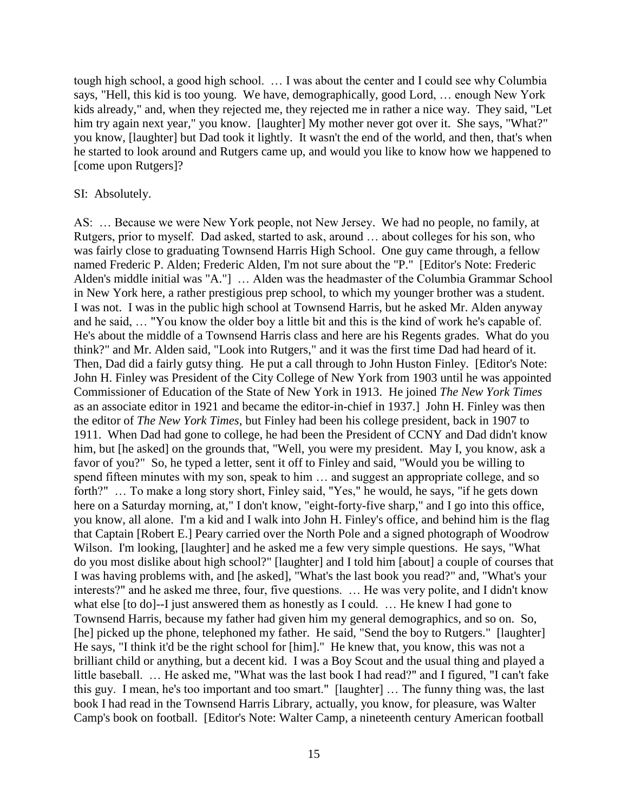tough high school, a good high school. … I was about the center and I could see why Columbia says, "Hell, this kid is too young. We have, demographically, good Lord, … enough New York kids already," and, when they rejected me, they rejected me in rather a nice way. They said, "Let him try again next year," you know. [laughter] My mother never got over it. She says, "What?" you know, [laughter] but Dad took it lightly. It wasn't the end of the world, and then, that's when he started to look around and Rutgers came up, and would you like to know how we happened to [come upon Rutgers]?

#### SI: Absolutely.

AS: … Because we were New York people, not New Jersey. We had no people, no family, at Rutgers, prior to myself. Dad asked, started to ask, around … about colleges for his son, who was fairly close to graduating Townsend Harris High School. One guy came through, a fellow named Frederic P. Alden; Frederic Alden, I'm not sure about the "P." [Editor's Note: Frederic Alden's middle initial was "A."] … Alden was the headmaster of the Columbia Grammar School in New York here, a rather prestigious prep school, to which my younger brother was a student. I was not. I was in the public high school at Townsend Harris, but he asked Mr. Alden anyway and he said, … "You know the older boy a little bit and this is the kind of work he's capable of. He's about the middle of a Townsend Harris class and here are his Regents grades. What do you think?" and Mr. Alden said, "Look into Rutgers," and it was the first time Dad had heard of it. Then, Dad did a fairly gutsy thing. He put a call through to John Huston Finley. [Editor's Note: John H. Finley was President of the City College of New York from 1903 until he was appointed Commissioner of Education of the State of New York in 1913. He joined *The New York Times*  as an associate editor in 1921 and became the editor-in-chief in 1937.] John H. Finley was then the editor of *The New York Times*, but Finley had been his college president, back in 1907 to 1911. When Dad had gone to college, he had been the President of CCNY and Dad didn't know him, but [he asked] on the grounds that, "Well, you were my president. May I, you know, ask a favor of you?" So, he typed a letter, sent it off to Finley and said, "Would you be willing to spend fifteen minutes with my son, speak to him … and suggest an appropriate college, and so forth?" … To make a long story short, Finley said, "Yes," he would, he says, "if he gets down here on a Saturday morning, at," I don't know, "eight-forty-five sharp," and I go into this office, you know, all alone. I'm a kid and I walk into John H. Finley's office, and behind him is the flag that Captain [Robert E.] Peary carried over the North Pole and a signed photograph of Woodrow Wilson. I'm looking, [laughter] and he asked me a few very simple questions. He says, "What do you most dislike about high school?" [laughter] and I told him [about] a couple of courses that I was having problems with, and [he asked], "What's the last book you read?" and, "What's your interests?" and he asked me three, four, five questions. … He was very polite, and I didn't know what else [to do]--I just answered them as honestly as I could. ... He knew I had gone to Townsend Harris, because my father had given him my general demographics, and so on. So, [he] picked up the phone, telephoned my father. He said, "Send the boy to Rutgers." [laughter] He says, "I think it'd be the right school for [him]." He knew that, you know, this was not a brilliant child or anything, but a decent kid. I was a Boy Scout and the usual thing and played a little baseball. … He asked me, "What was the last book I had read?" and I figured, "I can't fake this guy. I mean, he's too important and too smart." [laughter] … The funny thing was, the last book I had read in the Townsend Harris Library, actually, you know, for pleasure, was Walter Camp's book on football. [Editor's Note: Walter Camp, a nineteenth century American football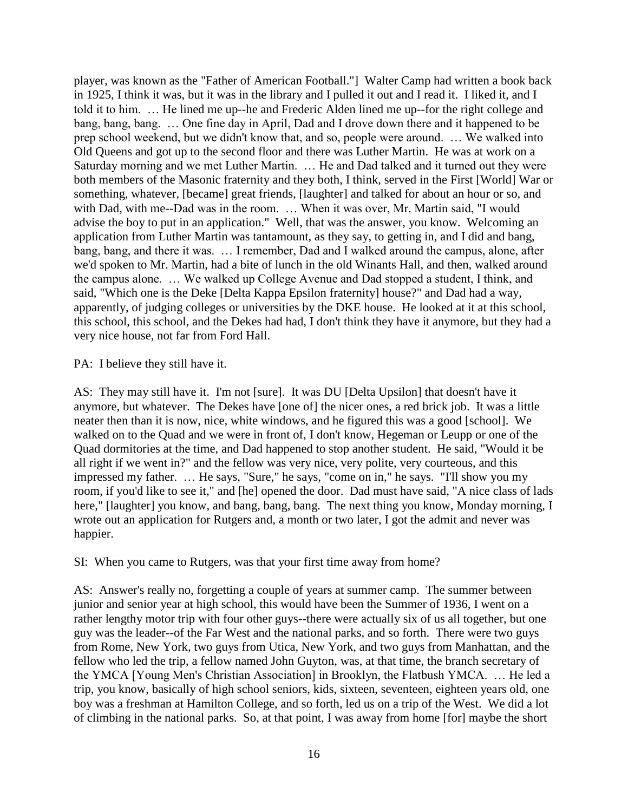player, was known as the "Father of American Football."] Walter Camp had written a book back in 1925, I think it was, but it was in the library and I pulled it out and I read it. I liked it, and I told it to him. … He lined me up--he and Frederic Alden lined me up--for the right college and bang, bang, bang. … One fine day in April, Dad and I drove down there and it happened to be prep school weekend, but we didn't know that, and so, people were around. … We walked into Old Queens and got up to the second floor and there was Luther Martin. He was at work on a Saturday morning and we met Luther Martin. … He and Dad talked and it turned out they were both members of the Masonic fraternity and they both, I think, served in the First [World] War or something, whatever, [became] great friends, [laughter] and talked for about an hour or so, and with Dad, with me--Dad was in the room. … When it was over, Mr. Martin said, "I would advise the boy to put in an application." Well, that was the answer, you know. Welcoming an application from Luther Martin was tantamount, as they say, to getting in, and I did and bang, bang, bang, and there it was. … I remember, Dad and I walked around the campus, alone, after we'd spoken to Mr. Martin, had a bite of lunch in the old Winants Hall, and then, walked around the campus alone. … We walked up College Avenue and Dad stopped a student, I think, and said, "Which one is the Deke [Delta Kappa Epsilon fraternity] house?" and Dad had a way, apparently, of judging colleges or universities by the DKE house. He looked at it at this school, this school, this school, and the Dekes had had, I don't think they have it anymore, but they had a very nice house, not far from Ford Hall.

PA: I believe they still have it.

AS: They may still have it. I'm not [sure]. It was DU [Delta Upsilon] that doesn't have it anymore, but whatever. The Dekes have [one of] the nicer ones, a red brick job. It was a little neater then than it is now, nice, white windows, and he figured this was a good [school]. We walked on to the Quad and we were in front of, I don't know, Hegeman or Leupp or one of the Quad dormitories at the time, and Dad happened to stop another student. He said, "Would it be all right if we went in?" and the fellow was very nice, very polite, very courteous, and this impressed my father. … He says, "Sure," he says, "come on in," he says. "I'll show you my room, if you'd like to see it," and [he] opened the door. Dad must have said, "A nice class of lads here," [laughter] you know, and bang, bang, bang. The next thing you know, Monday morning, I wrote out an application for Rutgers and, a month or two later, I got the admit and never was happier.

SI: When you came to Rutgers, was that your first time away from home?

AS: Answer's really no, forgetting a couple of years at summer camp. The summer between junior and senior year at high school, this would have been the Summer of 1936, I went on a rather lengthy motor trip with four other guys--there were actually six of us all together, but one guy was the leader--of the Far West and the national parks, and so forth. There were two guys from Rome, New York, two guys from Utica, New York, and two guys from Manhattan, and the fellow who led the trip, a fellow named John Guyton, was, at that time, the branch secretary of the YMCA [Young Men's Christian Association] in Brooklyn, the Flatbush YMCA. … He led a trip, you know, basically of high school seniors, kids, sixteen, seventeen, eighteen years old, one boy was a freshman at Hamilton College, and so forth, led us on a trip of the West. We did a lot of climbing in the national parks. So, at that point, I was away from home [for] maybe the short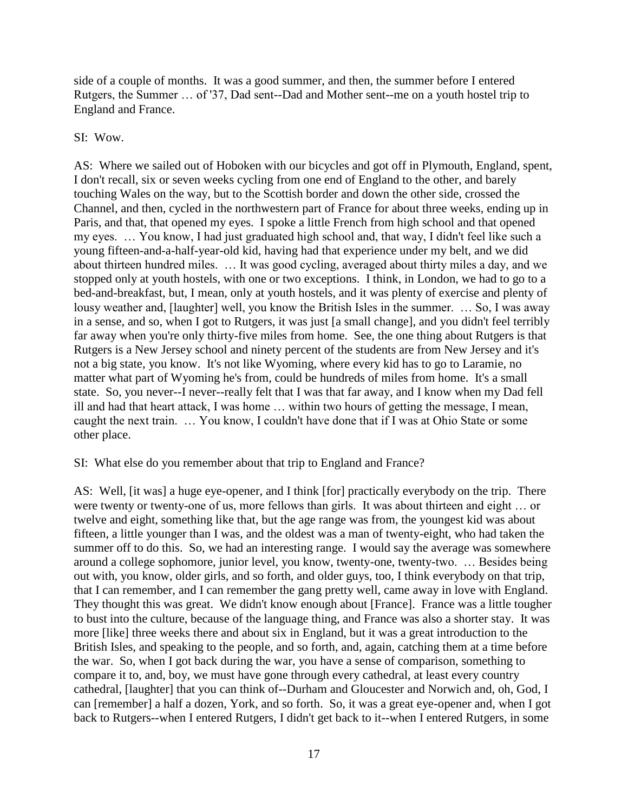side of a couple of months. It was a good summer, and then, the summer before I entered Rutgers, the Summer … of '37, Dad sent--Dad and Mother sent--me on a youth hostel trip to England and France.

SI: Wow.

AS: Where we sailed out of Hoboken with our bicycles and got off in Plymouth, England, spent, I don't recall, six or seven weeks cycling from one end of England to the other, and barely touching Wales on the way, but to the Scottish border and down the other side, crossed the Channel, and then, cycled in the northwestern part of France for about three weeks, ending up in Paris, and that, that opened my eyes. I spoke a little French from high school and that opened my eyes. … You know, I had just graduated high school and, that way, I didn't feel like such a young fifteen-and-a-half-year-old kid, having had that experience under my belt, and we did about thirteen hundred miles. … It was good cycling, averaged about thirty miles a day, and we stopped only at youth hostels, with one or two exceptions. I think, in London, we had to go to a bed-and-breakfast, but, I mean, only at youth hostels, and it was plenty of exercise and plenty of lousy weather and, [laughter] well, you know the British Isles in the summer. … So, I was away in a sense, and so, when I got to Rutgers, it was just [a small change], and you didn't feel terribly far away when you're only thirty-five miles from home. See, the one thing about Rutgers is that Rutgers is a New Jersey school and ninety percent of the students are from New Jersey and it's not a big state, you know. It's not like Wyoming, where every kid has to go to Laramie, no matter what part of Wyoming he's from, could be hundreds of miles from home. It's a small state. So, you never--I never--really felt that I was that far away, and I know when my Dad fell ill and had that heart attack, I was home … within two hours of getting the message, I mean, caught the next train. … You know, I couldn't have done that if I was at Ohio State or some other place.

# SI: What else do you remember about that trip to England and France?

AS: Well, [it was] a huge eye-opener, and I think [for] practically everybody on the trip. There were twenty or twenty-one of us, more fellows than girls. It was about thirteen and eight … or twelve and eight, something like that, but the age range was from, the youngest kid was about fifteen, a little younger than I was, and the oldest was a man of twenty-eight, who had taken the summer off to do this. So, we had an interesting range. I would say the average was somewhere around a college sophomore, junior level, you know, twenty-one, twenty-two. … Besides being out with, you know, older girls, and so forth, and older guys, too, I think everybody on that trip, that I can remember, and I can remember the gang pretty well, came away in love with England. They thought this was great. We didn't know enough about [France]. France was a little tougher to bust into the culture, because of the language thing, and France was also a shorter stay. It was more [like] three weeks there and about six in England, but it was a great introduction to the British Isles, and speaking to the people, and so forth, and, again, catching them at a time before the war. So, when I got back during the war, you have a sense of comparison, something to compare it to, and, boy, we must have gone through every cathedral, at least every country cathedral, [laughter] that you can think of--Durham and Gloucester and Norwich and, oh, God, I can [remember] a half a dozen, York, and so forth. So, it was a great eye-opener and, when I got back to Rutgers--when I entered Rutgers, I didn't get back to it--when I entered Rutgers, in some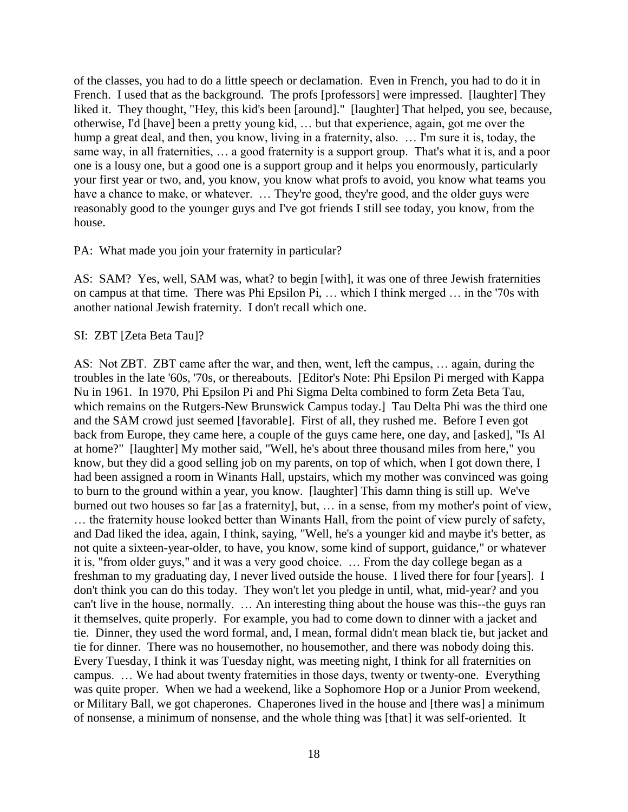of the classes, you had to do a little speech or declamation. Even in French, you had to do it in French. I used that as the background. The profs [professors] were impressed. [laughter] They liked it. They thought, "Hey, this kid's been [around]." [laughter] That helped, you see, because, otherwise, I'd [have] been a pretty young kid, … but that experience, again, got me over the hump a great deal, and then, you know, living in a fraternity, also. ... I'm sure it is, today, the same way, in all fraternities, … a good fraternity is a support group. That's what it is, and a poor one is a lousy one, but a good one is a support group and it helps you enormously, particularly your first year or two, and, you know, you know what profs to avoid, you know what teams you have a chance to make, or whatever. ... They're good, they're good, and the older guys were reasonably good to the younger guys and I've got friends I still see today, you know, from the house.

#### PA: What made you join your fraternity in particular?

AS: SAM? Yes, well, SAM was, what? to begin [with], it was one of three Jewish fraternities on campus at that time. There was Phi Epsilon Pi, … which I think merged … in the '70s with another national Jewish fraternity. I don't recall which one.

#### SI: ZBT [Zeta Beta Tau]?

AS: Not ZBT. ZBT came after the war, and then, went, left the campus, … again, during the troubles in the late '60s, '70s, or thereabouts. [Editor's Note: Phi Epsilon Pi merged with Kappa Nu in 1961. In 1970, Phi Epsilon Pi and Phi Sigma Delta combined to form Zeta Beta Tau, which remains on the Rutgers-New Brunswick Campus today.] Tau Delta Phi was the third one and the SAM crowd just seemed [favorable]. First of all, they rushed me. Before I even got back from Europe, they came here, a couple of the guys came here, one day, and [asked], "Is Al at home?" [laughter] My mother said, "Well, he's about three thousand miles from here," you know, but they did a good selling job on my parents, on top of which, when I got down there, I had been assigned a room in Winants Hall, upstairs, which my mother was convinced was going to burn to the ground within a year, you know. [laughter] This damn thing is still up. We've burned out two houses so far [as a fraternity], but, … in a sense, from my mother's point of view, … the fraternity house looked better than Winants Hall, from the point of view purely of safety, and Dad liked the idea, again, I think, saying, "Well, he's a younger kid and maybe it's better, as not quite a sixteen-year-older, to have, you know, some kind of support, guidance," or whatever it is, "from older guys," and it was a very good choice. … From the day college began as a freshman to my graduating day, I never lived outside the house. I lived there for four [years]. I don't think you can do this today. They won't let you pledge in until, what, mid-year? and you can't live in the house, normally. … An interesting thing about the house was this--the guys ran it themselves, quite properly. For example, you had to come down to dinner with a jacket and tie. Dinner, they used the word formal, and, I mean, formal didn't mean black tie, but jacket and tie for dinner. There was no housemother, no housemother, and there was nobody doing this. Every Tuesday, I think it was Tuesday night, was meeting night, I think for all fraternities on campus. … We had about twenty fraternities in those days, twenty or twenty-one. Everything was quite proper. When we had a weekend, like a Sophomore Hop or a Junior Prom weekend, or Military Ball, we got chaperones. Chaperones lived in the house and [there was] a minimum of nonsense, a minimum of nonsense, and the whole thing was [that] it was self-oriented. It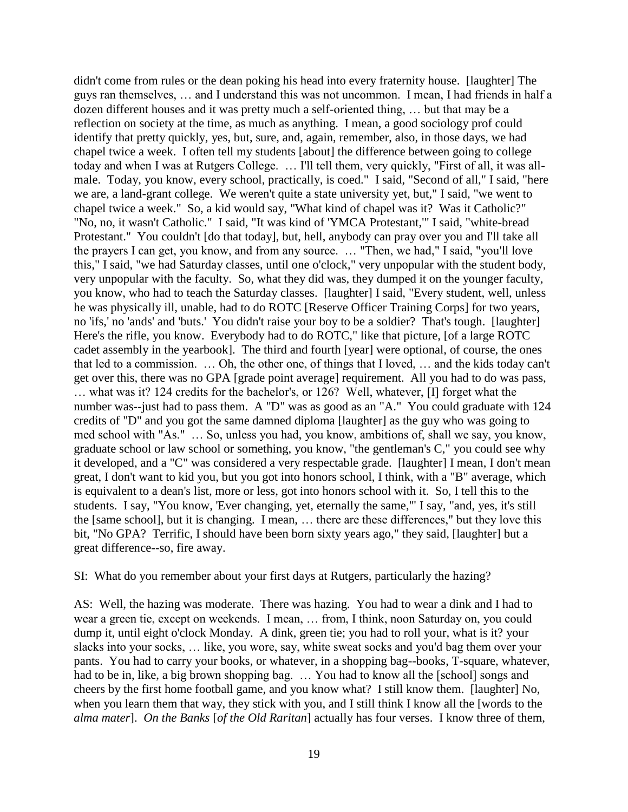didn't come from rules or the dean poking his head into every fraternity house. [laughter] The guys ran themselves, … and I understand this was not uncommon. I mean, I had friends in half a dozen different houses and it was pretty much a self-oriented thing, … but that may be a reflection on society at the time, as much as anything. I mean, a good sociology prof could identify that pretty quickly, yes, but, sure, and, again, remember, also, in those days, we had chapel twice a week. I often tell my students [about] the difference between going to college today and when I was at Rutgers College. ... I'll tell them, very quickly, "First of all, it was allmale. Today, you know, every school, practically, is coed." I said, "Second of all," I said, "here we are, a land-grant college. We weren't quite a state university yet, but," I said, "we went to chapel twice a week." So, a kid would say, "What kind of chapel was it? Was it Catholic?" "No, no, it wasn't Catholic." I said, "It was kind of 'YMCA Protestant,'" I said, "white-bread Protestant." You couldn't [do that today], but, hell, anybody can pray over you and I'll take all the prayers I can get, you know, and from any source. … "Then, we had," I said, "you'll love this," I said, "we had Saturday classes, until one o'clock," very unpopular with the student body, very unpopular with the faculty. So, what they did was, they dumped it on the younger faculty, you know, who had to teach the Saturday classes. [laughter] I said, "Every student, well, unless he was physically ill, unable, had to do ROTC [Reserve Officer Training Corps] for two years, no 'ifs,' no 'ands' and 'buts.' You didn't raise your boy to be a soldier? That's tough. [laughter] Here's the rifle, you know. Everybody had to do ROTC," like that picture, [of a large ROTC cadet assembly in the yearbook]. The third and fourth [year] were optional, of course, the ones that led to a commission. … Oh, the other one, of things that I loved, … and the kids today can't get over this, there was no GPA [grade point average] requirement. All you had to do was pass, … what was it? 124 credits for the bachelor's, or 126? Well, whatever, [I] forget what the number was--just had to pass them. A "D" was as good as an "A." You could graduate with 124 credits of "D" and you got the same damned diploma [laughter] as the guy who was going to med school with "As." … So, unless you had, you know, ambitions of, shall we say, you know, graduate school or law school or something, you know, "the gentleman's C," you could see why it developed, and a "C" was considered a very respectable grade. [laughter] I mean, I don't mean great, I don't want to kid you, but you got into honors school, I think, with a "B" average, which is equivalent to a dean's list, more or less, got into honors school with it. So, I tell this to the students. I say, "You know, 'Ever changing, yet, eternally the same,'" I say, "and, yes, it's still the [same school], but it is changing. I mean, … there are these differences," but they love this bit, "No GPA? Terrific, I should have been born sixty years ago," they said, [laughter] but a great difference--so, fire away.

SI: What do you remember about your first days at Rutgers, particularly the hazing?

AS: Well, the hazing was moderate. There was hazing. You had to wear a dink and I had to wear a green tie, except on weekends. I mean, … from, I think, noon Saturday on, you could dump it, until eight o'clock Monday. A dink, green tie; you had to roll your, what is it? your slacks into your socks, … like, you wore, say, white sweat socks and you'd bag them over your pants. You had to carry your books, or whatever, in a shopping bag--books, T-square, whatever, had to be in, like, a big brown shopping bag. ... You had to know all the [school] songs and cheers by the first home football game, and you know what? I still know them. [laughter] No, when you learn them that way, they stick with you, and I still think I know all the [words to the *alma mater*]. *On the Banks* [*of the Old Raritan*] actually has four verses. I know three of them,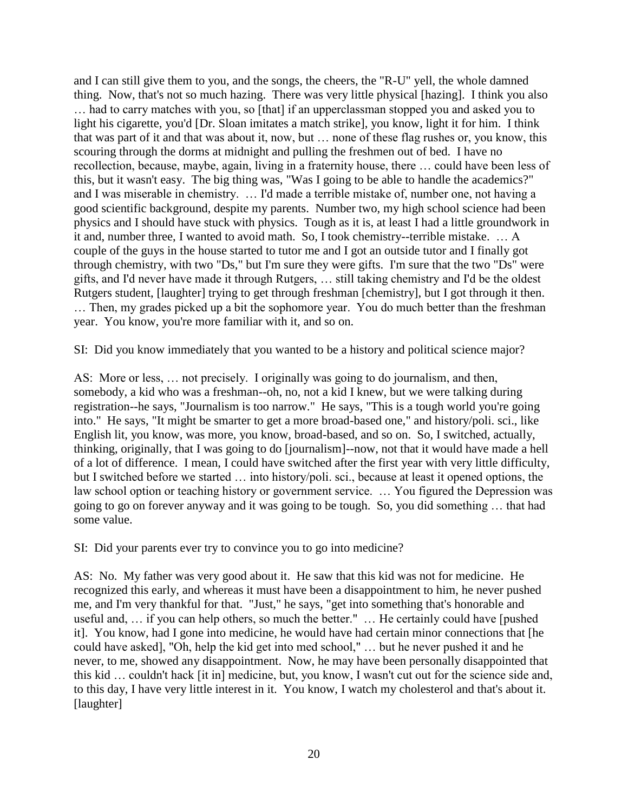and I can still give them to you, and the songs, the cheers, the "R-U" yell, the whole damned thing. Now, that's not so much hazing. There was very little physical [hazing]. I think you also ... had to carry matches with you, so [that] if an upperclassman stopped you and asked you to light his cigarette, you'd [Dr. Sloan imitates a match strike], you know, light it for him. I think that was part of it and that was about it, now, but … none of these flag rushes or, you know, this scouring through the dorms at midnight and pulling the freshmen out of bed. I have no recollection, because, maybe, again, living in a fraternity house, there … could have been less of this, but it wasn't easy. The big thing was, "Was I going to be able to handle the academics?" and I was miserable in chemistry. … I'd made a terrible mistake of, number one, not having a good scientific background, despite my parents. Number two, my high school science had been physics and I should have stuck with physics. Tough as it is, at least I had a little groundwork in it and, number three, I wanted to avoid math. So, I took chemistry--terrible mistake. … A couple of the guys in the house started to tutor me and I got an outside tutor and I finally got through chemistry, with two "Ds," but I'm sure they were gifts. I'm sure that the two "Ds" were gifts, and I'd never have made it through Rutgers, … still taking chemistry and I'd be the oldest Rutgers student, [laughter] trying to get through freshman [chemistry], but I got through it then. … Then, my grades picked up a bit the sophomore year. You do much better than the freshman year. You know, you're more familiar with it, and so on.

SI: Did you know immediately that you wanted to be a history and political science major?

AS: More or less, … not precisely. I originally was going to do journalism, and then, somebody, a kid who was a freshman--oh, no, not a kid I knew, but we were talking during registration--he says, "Journalism is too narrow." He says, "This is a tough world you're going into." He says, "It might be smarter to get a more broad-based one," and history/poli. sci., like English lit, you know, was more, you know, broad-based, and so on. So, I switched, actually, thinking, originally, that I was going to do [journalism]--now, not that it would have made a hell of a lot of difference. I mean, I could have switched after the first year with very little difficulty, but I switched before we started … into history/poli. sci., because at least it opened options, the law school option or teaching history or government service. … You figured the Depression was going to go on forever anyway and it was going to be tough. So, you did something … that had some value.

SI: Did your parents ever try to convince you to go into medicine?

AS: No. My father was very good about it. He saw that this kid was not for medicine. He recognized this early, and whereas it must have been a disappointment to him, he never pushed me, and I'm very thankful for that. "Just," he says, "get into something that's honorable and useful and, … if you can help others, so much the better." … He certainly could have [pushed it]. You know, had I gone into medicine, he would have had certain minor connections that [he could have asked], "Oh, help the kid get into med school," … but he never pushed it and he never, to me, showed any disappointment. Now, he may have been personally disappointed that this kid … couldn't hack [it in] medicine, but, you know, I wasn't cut out for the science side and, to this day, I have very little interest in it. You know, I watch my cholesterol and that's about it. [laughter]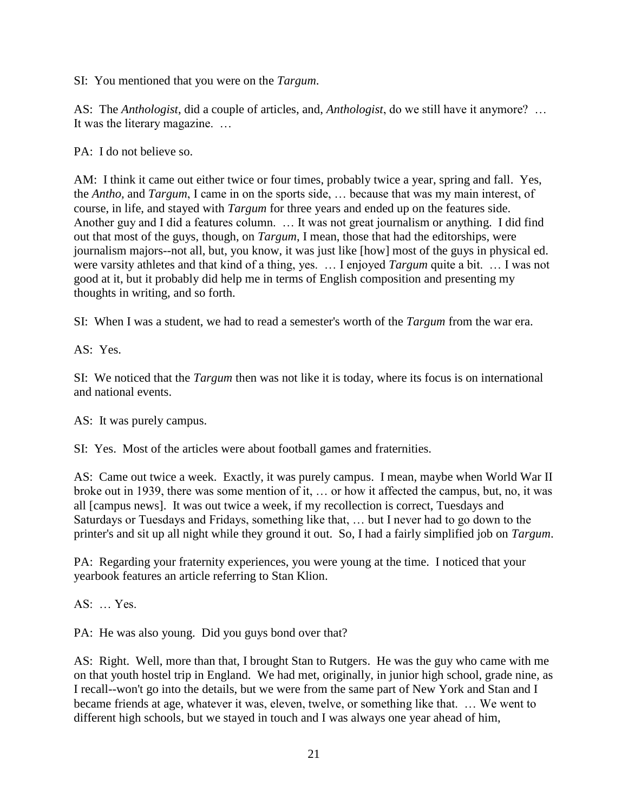SI: You mentioned that you were on the *Targum*.

AS: The *Anthologist*, did a couple of articles, and, *Anthologist*, do we still have it anymore? … It was the literary magazine. …

PA: I do not believe so.

AM: I think it came out either twice or four times, probably twice a year, spring and fall. Yes, the *Antho,* and *Targum*, I came in on the sports side, … because that was my main interest, of course, in life, and stayed with *Targum* for three years and ended up on the features side. Another guy and I did a features column. … It was not great journalism or anything. I did find out that most of the guys, though, on *Targum*, I mean, those that had the editorships, were journalism majors--not all, but, you know, it was just like [how] most of the guys in physical ed. were varsity athletes and that kind of a thing, yes. … I enjoyed *Targum* quite a bit. … I was not good at it, but it probably did help me in terms of English composition and presenting my thoughts in writing, and so forth.

SI: When I was a student, we had to read a semester's worth of the *Targum* from the war era.

AS: Yes.

SI: We noticed that the *Targum* then was not like it is today, where its focus is on international and national events.

AS: It was purely campus.

SI: Yes. Most of the articles were about football games and fraternities.

AS: Came out twice a week. Exactly, it was purely campus. I mean, maybe when World War II broke out in 1939, there was some mention of it, … or how it affected the campus, but, no, it was all [campus news]. It was out twice a week, if my recollection is correct, Tuesdays and Saturdays or Tuesdays and Fridays, something like that, … but I never had to go down to the printer's and sit up all night while they ground it out. So, I had a fairly simplified job on *Targum*.

PA: Regarding your fraternity experiences, you were young at the time. I noticed that your yearbook features an article referring to Stan Klion.

AS: … Yes.

PA: He was also young. Did you guys bond over that?

AS: Right. Well, more than that, I brought Stan to Rutgers. He was the guy who came with me on that youth hostel trip in England. We had met, originally, in junior high school, grade nine, as I recall--won't go into the details, but we were from the same part of New York and Stan and I became friends at age, whatever it was, eleven, twelve, or something like that. … We went to different high schools, but we stayed in touch and I was always one year ahead of him,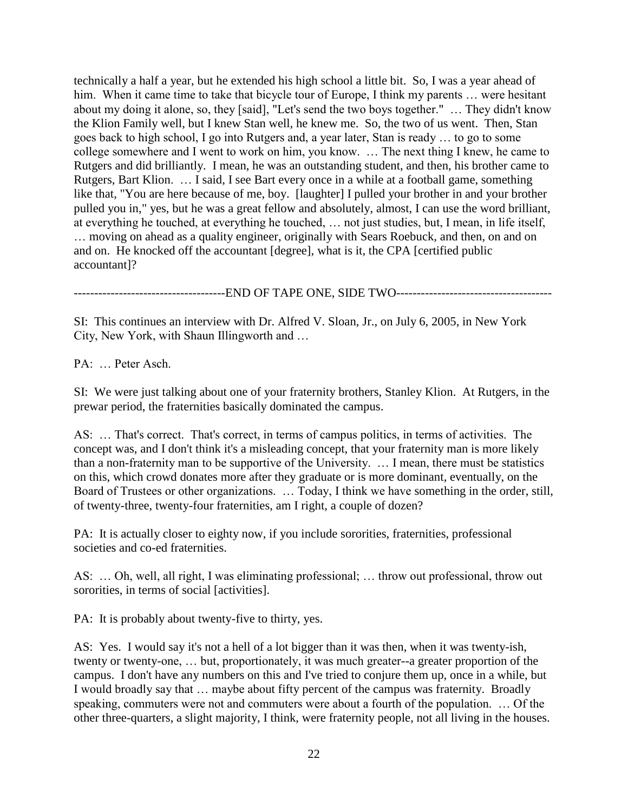technically a half a year, but he extended his high school a little bit. So, I was a year ahead of him. When it came time to take that bicycle tour of Europe, I think my parents ... were hesitant about my doing it alone, so, they [said], "Let's send the two boys together." … They didn't know the Klion Family well, but I knew Stan well, he knew me. So, the two of us went. Then, Stan goes back to high school, I go into Rutgers and, a year later, Stan is ready … to go to some college somewhere and I went to work on him, you know. … The next thing I knew, he came to Rutgers and did brilliantly. I mean, he was an outstanding student, and then, his brother came to Rutgers, Bart Klion. … I said, I see Bart every once in a while at a football game, something like that, "You are here because of me, boy. [laughter] I pulled your brother in and your brother pulled you in," yes, but he was a great fellow and absolutely, almost, I can use the word brilliant, at everything he touched, at everything he touched, … not just studies, but, I mean, in life itself, … moving on ahead as a quality engineer, originally with Sears Roebuck, and then, on and on and on. He knocked off the accountant [degree], what is it, the CPA [certified public accountant]?

-------------------------END OF TAPE ONE, SIDE TWO------------------------

SI: This continues an interview with Dr. Alfred V. Sloan, Jr., on July 6, 2005, in New York City, New York, with Shaun Illingworth and …

PA: … Peter Asch.

SI: We were just talking about one of your fraternity brothers, Stanley Klion. At Rutgers, in the prewar period, the fraternities basically dominated the campus.

AS: … That's correct. That's correct, in terms of campus politics, in terms of activities. The concept was, and I don't think it's a misleading concept, that your fraternity man is more likely than a non-fraternity man to be supportive of the University. … I mean, there must be statistics on this, which crowd donates more after they graduate or is more dominant, eventually, on the Board of Trustees or other organizations. … Today, I think we have something in the order, still, of twenty-three, twenty-four fraternities, am I right, a couple of dozen?

PA: It is actually closer to eighty now, if you include sororities, fraternities, professional societies and co-ed fraternities.

AS: … Oh, well, all right, I was eliminating professional; … throw out professional, throw out sororities, in terms of social [activities].

PA: It is probably about twenty-five to thirty, yes.

AS: Yes. I would say it's not a hell of a lot bigger than it was then, when it was twenty-ish, twenty or twenty-one, … but, proportionately, it was much greater--a greater proportion of the campus. I don't have any numbers on this and I've tried to conjure them up, once in a while, but I would broadly say that … maybe about fifty percent of the campus was fraternity. Broadly speaking, commuters were not and commuters were about a fourth of the population. … Of the other three-quarters, a slight majority, I think, were fraternity people, not all living in the houses.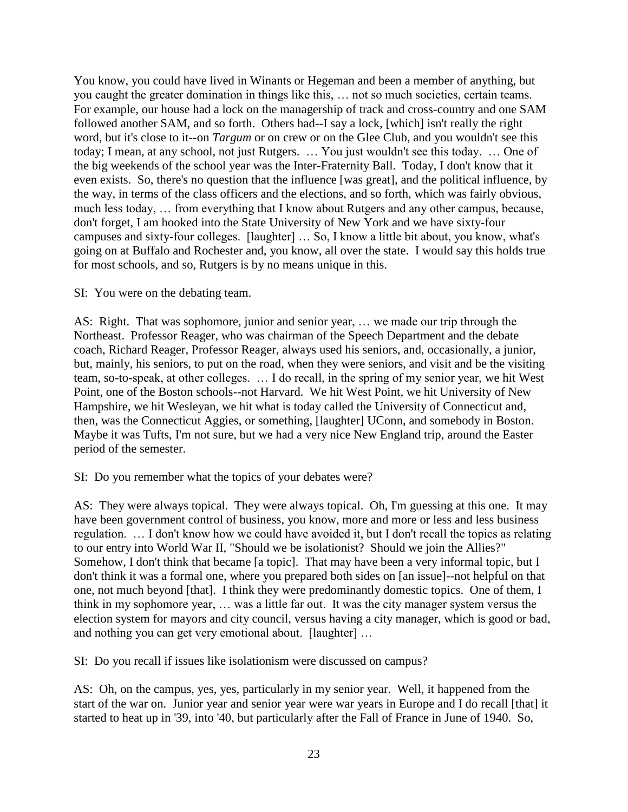You know, you could have lived in Winants or Hegeman and been a member of anything, but you caught the greater domination in things like this, … not so much societies, certain teams. For example, our house had a lock on the managership of track and cross-country and one SAM followed another SAM, and so forth. Others had--I say a lock, [which] isn't really the right word, but it's close to it--on *Targum* or on crew or on the Glee Club, and you wouldn't see this today; I mean, at any school, not just Rutgers. … You just wouldn't see this today. … One of the big weekends of the school year was the Inter-Fraternity Ball. Today, I don't know that it even exists. So, there's no question that the influence [was great], and the political influence, by the way, in terms of the class officers and the elections, and so forth, which was fairly obvious, much less today, … from everything that I know about Rutgers and any other campus, because, don't forget, I am hooked into the State University of New York and we have sixty-four campuses and sixty-four colleges. [laughter] … So, I know a little bit about, you know, what's going on at Buffalo and Rochester and, you know, all over the state. I would say this holds true for most schools, and so, Rutgers is by no means unique in this.

# SI: You were on the debating team.

AS: Right. That was sophomore, junior and senior year, … we made our trip through the Northeast. Professor Reager, who was chairman of the Speech Department and the debate coach, Richard Reager, Professor Reager, always used his seniors, and, occasionally, a junior, but, mainly, his seniors, to put on the road, when they were seniors, and visit and be the visiting team, so-to-speak, at other colleges. … I do recall, in the spring of my senior year, we hit West Point, one of the Boston schools--not Harvard. We hit West Point, we hit University of New Hampshire, we hit Wesleyan, we hit what is today called the University of Connecticut and, then, was the Connecticut Aggies, or something, [laughter] UConn, and somebody in Boston. Maybe it was Tufts, I'm not sure, but we had a very nice New England trip, around the Easter period of the semester.

SI: Do you remember what the topics of your debates were?

AS: They were always topical. They were always topical. Oh, I'm guessing at this one. It may have been government control of business, you know, more and more or less and less business regulation. … I don't know how we could have avoided it, but I don't recall the topics as relating to our entry into World War II, "Should we be isolationist? Should we join the Allies?" Somehow, I don't think that became [a topic]. That may have been a very informal topic, but I don't think it was a formal one, where you prepared both sides on [an issue]--not helpful on that one, not much beyond [that]. I think they were predominantly domestic topics. One of them, I think in my sophomore year, … was a little far out. It was the city manager system versus the election system for mayors and city council, versus having a city manager, which is good or bad, and nothing you can get very emotional about. [laughter] …

SI: Do you recall if issues like isolationism were discussed on campus?

AS: Oh, on the campus, yes, yes, particularly in my senior year. Well, it happened from the start of the war on. Junior year and senior year were war years in Europe and I do recall [that] it started to heat up in '39, into '40, but particularly after the Fall of France in June of 1940. So,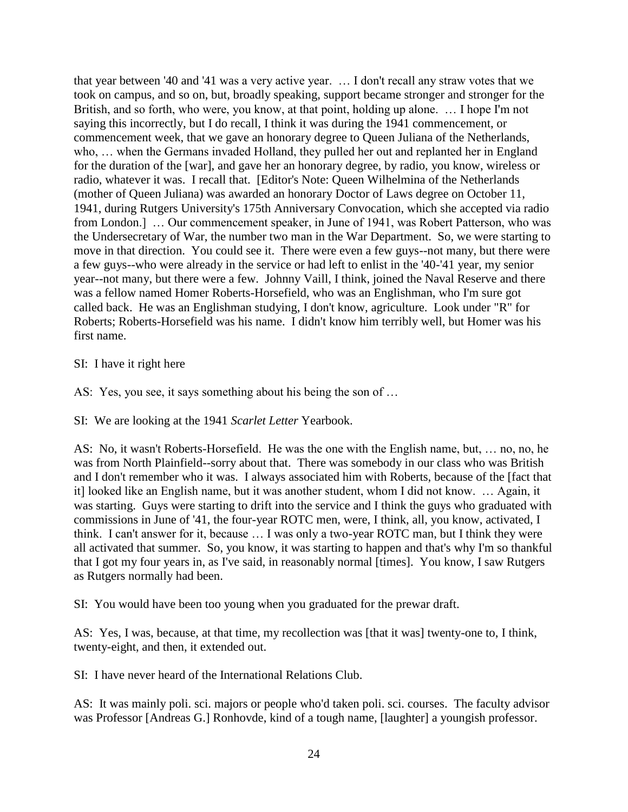that year between '40 and '41 was a very active year. … I don't recall any straw votes that we took on campus, and so on, but, broadly speaking, support became stronger and stronger for the British, and so forth, who were, you know, at that point, holding up alone. … I hope I'm not saying this incorrectly, but I do recall, I think it was during the 1941 commencement, or commencement week, that we gave an honorary degree to Queen Juliana of the Netherlands, who, … when the Germans invaded Holland, they pulled her out and replanted her in England for the duration of the [war], and gave her an honorary degree, by radio, you know, wireless or radio, whatever it was. I recall that. [Editor's Note: Queen Wilhelmina of the Netherlands (mother of Queen Juliana) was awarded an honorary Doctor of Laws degree on October 11, 1941, during Rutgers University's 175th Anniversary Convocation, which she accepted via radio from London.] … Our commencement speaker, in June of 1941, was Robert Patterson, who was the Undersecretary of War, the number two man in the War Department. So, we were starting to move in that direction. You could see it. There were even a few guys--not many, but there were a few guys--who were already in the service or had left to enlist in the '40-'41 year, my senior year--not many, but there were a few. Johnny Vaill, I think, joined the Naval Reserve and there was a fellow named Homer Roberts-Horsefield, who was an Englishman, who I'm sure got called back. He was an Englishman studying, I don't know, agriculture. Look under "R" for Roberts; Roberts-Horsefield was his name. I didn't know him terribly well, but Homer was his first name.

# SI: I have it right here

AS: Yes, you see, it says something about his being the son of …

SI: We are looking at the 1941 *Scarlet Letter* Yearbook.

AS: No, it wasn't Roberts-Horsefield. He was the one with the English name, but, … no, no, he was from North Plainfield--sorry about that. There was somebody in our class who was British and I don't remember who it was. I always associated him with Roberts, because of the [fact that it] looked like an English name, but it was another student, whom I did not know. … Again, it was starting. Guys were starting to drift into the service and I think the guys who graduated with commissions in June of '41, the four-year ROTC men, were, I think, all, you know, activated, I think. I can't answer for it, because … I was only a two-year ROTC man, but I think they were all activated that summer. So, you know, it was starting to happen and that's why I'm so thankful that I got my four years in, as I've said, in reasonably normal [times]. You know, I saw Rutgers as Rutgers normally had been.

SI: You would have been too young when you graduated for the prewar draft.

AS: Yes, I was, because, at that time, my recollection was [that it was] twenty-one to, I think, twenty-eight, and then, it extended out.

SI: I have never heard of the International Relations Club.

AS: It was mainly poli. sci. majors or people who'd taken poli. sci. courses. The faculty advisor was Professor [Andreas G.] Ronhovde, kind of a tough name, [laughter] a youngish professor.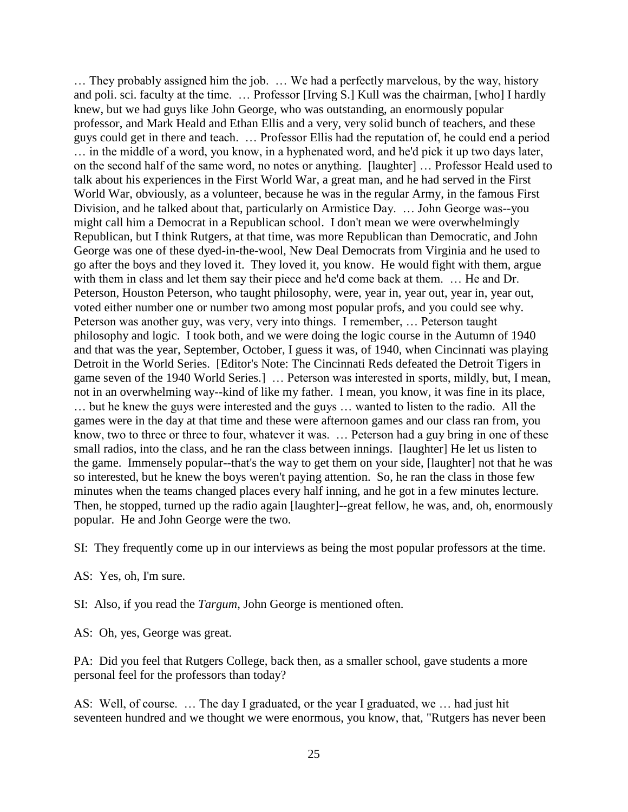… They probably assigned him the job. … We had a perfectly marvelous, by the way, history and poli. sci. faculty at the time. … Professor [Irving S.] Kull was the chairman, [who] I hardly knew, but we had guys like John George, who was outstanding, an enormously popular professor, and Mark Heald and Ethan Ellis and a very, very solid bunch of teachers, and these guys could get in there and teach. … Professor Ellis had the reputation of, he could end a period … in the middle of a word, you know, in a hyphenated word, and he'd pick it up two days later, on the second half of the same word, no notes or anything. [laughter] … Professor Heald used to talk about his experiences in the First World War, a great man, and he had served in the First World War, obviously, as a volunteer, because he was in the regular Army, in the famous First Division, and he talked about that, particularly on Armistice Day. … John George was--you might call him a Democrat in a Republican school. I don't mean we were overwhelmingly Republican, but I think Rutgers, at that time, was more Republican than Democratic, and John George was one of these dyed-in-the-wool, New Deal Democrats from Virginia and he used to go after the boys and they loved it. They loved it, you know. He would fight with them, argue with them in class and let them say their piece and he'd come back at them. ... He and Dr. Peterson, Houston Peterson, who taught philosophy, were, year in, year out, year in, year out, voted either number one or number two among most popular profs, and you could see why. Peterson was another guy, was very, very into things. I remember, … Peterson taught philosophy and logic. I took both, and we were doing the logic course in the Autumn of 1940 and that was the year, September, October, I guess it was, of 1940, when Cincinnati was playing Detroit in the World Series. [Editor's Note: The Cincinnati Reds defeated the Detroit Tigers in game seven of the 1940 World Series.] … Peterson was interested in sports, mildly, but, I mean, not in an overwhelming way--kind of like my father. I mean, you know, it was fine in its place, … but he knew the guys were interested and the guys … wanted to listen to the radio. All the games were in the day at that time and these were afternoon games and our class ran from, you know, two to three or three to four, whatever it was. … Peterson had a guy bring in one of these small radios, into the class, and he ran the class between innings. [laughter] He let us listen to the game. Immensely popular--that's the way to get them on your side, [laughter] not that he was so interested, but he knew the boys weren't paying attention. So, he ran the class in those few minutes when the teams changed places every half inning, and he got in a few minutes lecture. Then, he stopped, turned up the radio again [laughter]--great fellow, he was, and, oh, enormously popular. He and John George were the two.

SI: They frequently come up in our interviews as being the most popular professors at the time.

AS: Yes, oh, I'm sure.

SI: Also, if you read the *Targum*, John George is mentioned often.

AS: Oh, yes, George was great.

PA: Did you feel that Rutgers College, back then, as a smaller school, gave students a more personal feel for the professors than today?

AS: Well, of course. … The day I graduated, or the year I graduated, we … had just hit seventeen hundred and we thought we were enormous, you know, that, "Rutgers has never been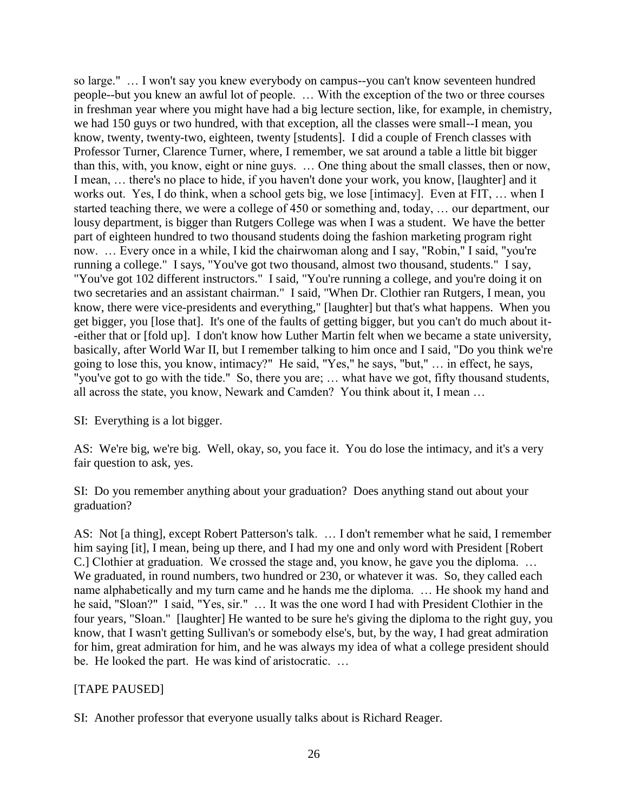so large." … I won't say you knew everybody on campus--you can't know seventeen hundred people--but you knew an awful lot of people. … With the exception of the two or three courses in freshman year where you might have had a big lecture section, like, for example, in chemistry, we had 150 guys or two hundred, with that exception, all the classes were small--I mean, you know, twenty, twenty-two, eighteen, twenty [students]. I did a couple of French classes with Professor Turner, Clarence Turner, where, I remember, we sat around a table a little bit bigger than this, with, you know, eight or nine guys. … One thing about the small classes, then or now, I mean, … there's no place to hide, if you haven't done your work, you know, [laughter] and it works out. Yes, I do think, when a school gets big, we lose [intimacy]. Even at FIT, … when I started teaching there, we were a college of 450 or something and, today, … our department, our lousy department, is bigger than Rutgers College was when I was a student. We have the better part of eighteen hundred to two thousand students doing the fashion marketing program right now. … Every once in a while, I kid the chairwoman along and I say, "Robin," I said, "you're running a college." I says, "You've got two thousand, almost two thousand, students." I say, "You've got 102 different instructors." I said, "You're running a college, and you're doing it on two secretaries and an assistant chairman." I said, "When Dr. Clothier ran Rutgers, I mean, you know, there were vice-presidents and everything," [laughter] but that's what happens. When you get bigger, you [lose that]. It's one of the faults of getting bigger, but you can't do much about it- -either that or [fold up]. I don't know how Luther Martin felt when we became a state university, basically, after World War II, but I remember talking to him once and I said, "Do you think we're going to lose this, you know, intimacy?" He said, "Yes," he says, "but," … in effect, he says, "you've got to go with the tide." So, there you are; … what have we got, fifty thousand students, all across the state, you know, Newark and Camden? You think about it, I mean …

SI: Everything is a lot bigger.

AS: We're big, we're big. Well, okay, so, you face it. You do lose the intimacy, and it's a very fair question to ask, yes.

SI: Do you remember anything about your graduation? Does anything stand out about your graduation?

AS: Not [a thing], except Robert Patterson's talk. … I don't remember what he said, I remember him saying [it], I mean, being up there, and I had my one and only word with President [Robert C.] Clothier at graduation. We crossed the stage and, you know, he gave you the diploma. … We graduated, in round numbers, two hundred or 230, or whatever it was. So, they called each name alphabetically and my turn came and he hands me the diploma. … He shook my hand and he said, "Sloan?" I said, "Yes, sir." … It was the one word I had with President Clothier in the four years, "Sloan." [laughter] He wanted to be sure he's giving the diploma to the right guy, you know, that I wasn't getting Sullivan's or somebody else's, but, by the way, I had great admiration for him, great admiration for him, and he was always my idea of what a college president should be. He looked the part. He was kind of aristocratic. …

# [TAPE PAUSED]

SI: Another professor that everyone usually talks about is Richard Reager.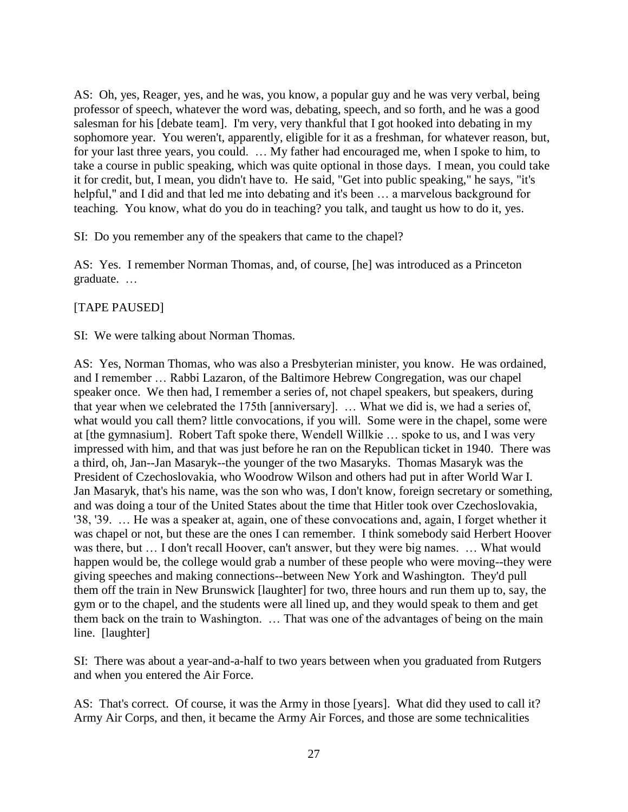AS: Oh, yes, Reager, yes, and he was, you know, a popular guy and he was very verbal, being professor of speech, whatever the word was, debating, speech, and so forth, and he was a good salesman for his [debate team]. I'm very, very thankful that I got hooked into debating in my sophomore year. You weren't, apparently, eligible for it as a freshman, for whatever reason, but, for your last three years, you could. … My father had encouraged me, when I spoke to him, to take a course in public speaking, which was quite optional in those days. I mean, you could take it for credit, but, I mean, you didn't have to. He said, "Get into public speaking," he says, "it's helpful," and I did and that led me into debating and it's been ... a marvelous background for teaching. You know, what do you do in teaching? you talk, and taught us how to do it, yes.

SI: Do you remember any of the speakers that came to the chapel?

AS: Yes. I remember Norman Thomas, and, of course, [he] was introduced as a Princeton graduate. …

# [TAPE PAUSED]

SI: We were talking about Norman Thomas.

AS: Yes, Norman Thomas, who was also a Presbyterian minister, you know. He was ordained, and I remember … Rabbi Lazaron, of the Baltimore Hebrew Congregation, was our chapel speaker once. We then had, I remember a series of, not chapel speakers, but speakers, during that year when we celebrated the 175th [anniversary]. … What we did is, we had a series of, what would you call them? little convocations, if you will. Some were in the chapel, some were at [the gymnasium]. Robert Taft spoke there, Wendell Willkie … spoke to us, and I was very impressed with him, and that was just before he ran on the Republican ticket in 1940. There was a third, oh, Jan--Jan Masaryk--the younger of the two Masaryks. Thomas Masaryk was the President of Czechoslovakia, who Woodrow Wilson and others had put in after World War I. Jan Masaryk, that's his name, was the son who was, I don't know, foreign secretary or something, and was doing a tour of the United States about the time that Hitler took over Czechoslovakia, '38, '39. … He was a speaker at, again, one of these convocations and, again, I forget whether it was chapel or not, but these are the ones I can remember. I think somebody said Herbert Hoover was there, but … I don't recall Hoover, can't answer, but they were big names. … What would happen would be, the college would grab a number of these people who were moving--they were giving speeches and making connections--between New York and Washington. They'd pull them off the train in New Brunswick [laughter] for two, three hours and run them up to, say, the gym or to the chapel, and the students were all lined up, and they would speak to them and get them back on the train to Washington. … That was one of the advantages of being on the main line. [laughter]

SI: There was about a year-and-a-half to two years between when you graduated from Rutgers and when you entered the Air Force.

AS: That's correct. Of course, it was the Army in those [years]. What did they used to call it? Army Air Corps, and then, it became the Army Air Forces, and those are some technicalities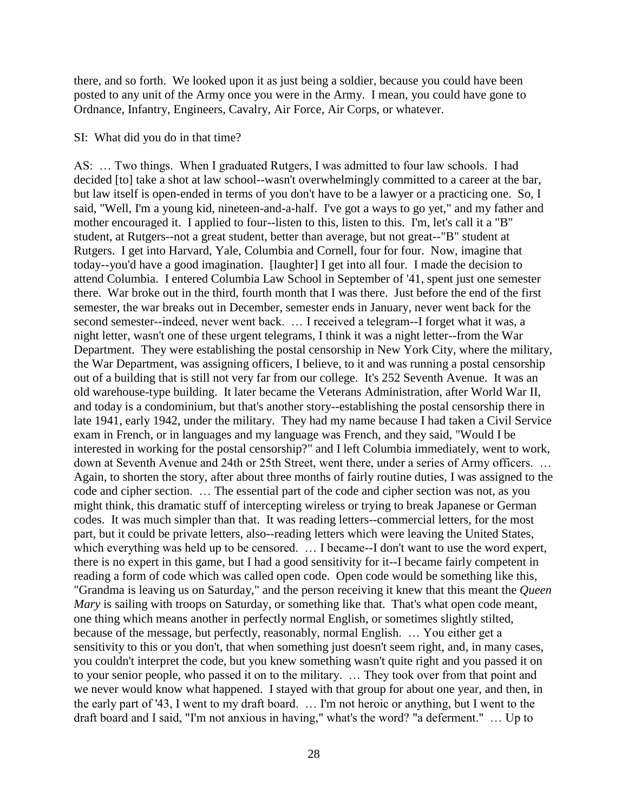there, and so forth. We looked upon it as just being a soldier, because you could have been posted to any unit of the Army once you were in the Army. I mean, you could have gone to Ordnance, Infantry, Engineers, Cavalry, Air Force, Air Corps, or whatever.

#### SI: What did you do in that time?

AS: … Two things. When I graduated Rutgers, I was admitted to four law schools. I had decided [to] take a shot at law school--wasn't overwhelmingly committed to a career at the bar, but law itself is open-ended in terms of you don't have to be a lawyer or a practicing one. So, I said, "Well, I'm a young kid, nineteen-and-a-half. I've got a ways to go yet," and my father and mother encouraged it. I applied to four--listen to this, listen to this. I'm, let's call it a "B" student, at Rutgers--not a great student, better than average, but not great--"B" student at Rutgers. I get into Harvard, Yale, Columbia and Cornell, four for four. Now, imagine that today--you'd have a good imagination. [laughter] I get into all four. I made the decision to attend Columbia. I entered Columbia Law School in September of '41, spent just one semester there. War broke out in the third, fourth month that I was there. Just before the end of the first semester, the war breaks out in December, semester ends in January, never went back for the second semester--indeed, never went back. … I received a telegram--I forget what it was, a night letter, wasn't one of these urgent telegrams, I think it was a night letter--from the War Department. They were establishing the postal censorship in New York City, where the military, the War Department, was assigning officers, I believe, to it and was running a postal censorship out of a building that is still not very far from our college. It's 252 Seventh Avenue. It was an old warehouse-type building. It later became the Veterans Administration, after World War II, and today is a condominium, but that's another story--establishing the postal censorship there in late 1941, early 1942, under the military. They had my name because I had taken a Civil Service exam in French, or in languages and my language was French, and they said, "Would I be interested in working for the postal censorship?" and I left Columbia immediately, went to work, down at Seventh Avenue and 24th or 25th Street, went there, under a series of Army officers. … Again, to shorten the story, after about three months of fairly routine duties, I was assigned to the code and cipher section. … The essential part of the code and cipher section was not, as you might think, this dramatic stuff of intercepting wireless or trying to break Japanese or German codes. It was much simpler than that. It was reading letters--commercial letters, for the most part, but it could be private letters, also--reading letters which were leaving the United States, which everything was held up to be censored. ... I became--I don't want to use the word expert, there is no expert in this game, but I had a good sensitivity for it--I became fairly competent in reading a form of code which was called open code. Open code would be something like this, "Grandma is leaving us on Saturday," and the person receiving it knew that this meant the *Queen Mary* is sailing with troops on Saturday, or something like that. That's what open code meant, one thing which means another in perfectly normal English, or sometimes slightly stilted, because of the message, but perfectly, reasonably, normal English. … You either get a sensitivity to this or you don't, that when something just doesn't seem right, and, in many cases, you couldn't interpret the code, but you knew something wasn't quite right and you passed it on to your senior people, who passed it on to the military. … They took over from that point and we never would know what happened. I stayed with that group for about one year, and then, in the early part of '43, I went to my draft board. … I'm not heroic or anything, but I went to the draft board and I said, "I'm not anxious in having," what's the word? "a deferment." … Up to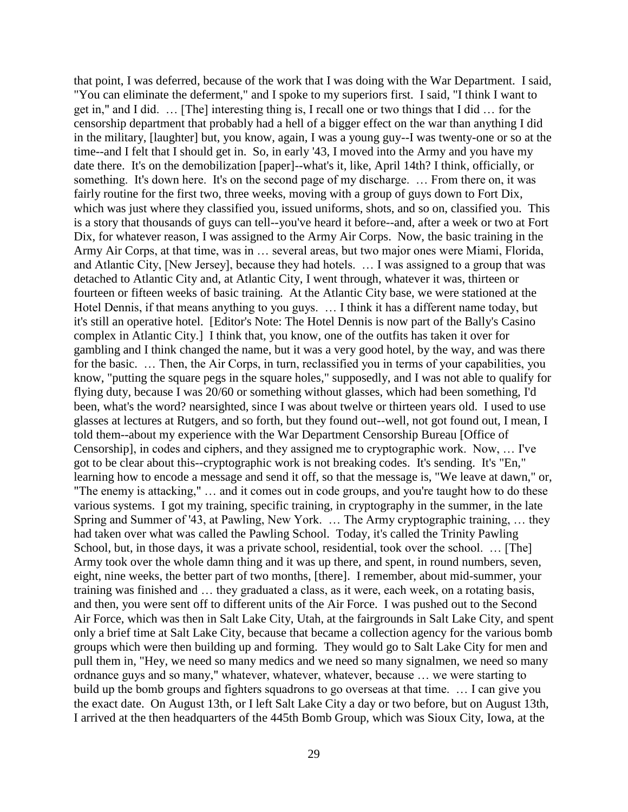that point, I was deferred, because of the work that I was doing with the War Department. I said, "You can eliminate the deferment," and I spoke to my superiors first. I said, "I think I want to get in," and I did. … [The] interesting thing is, I recall one or two things that I did … for the censorship department that probably had a hell of a bigger effect on the war than anything I did in the military, [laughter] but, you know, again, I was a young guy--I was twenty-one or so at the time--and I felt that I should get in. So, in early '43, I moved into the Army and you have my date there. It's on the demobilization [paper]--what's it, like, April 14th? I think, officially, or something. It's down here. It's on the second page of my discharge. ... From there on, it was fairly routine for the first two, three weeks, moving with a group of guys down to Fort Dix, which was just where they classified you, issued uniforms, shots, and so on, classified you. This is a story that thousands of guys can tell--you've heard it before--and, after a week or two at Fort Dix, for whatever reason, I was assigned to the Army Air Corps. Now, the basic training in the Army Air Corps, at that time, was in … several areas, but two major ones were Miami, Florida, and Atlantic City, [New Jersey], because they had hotels. … I was assigned to a group that was detached to Atlantic City and, at Atlantic City, I went through, whatever it was, thirteen or fourteen or fifteen weeks of basic training. At the Atlantic City base, we were stationed at the Hotel Dennis, if that means anything to you guys. … I think it has a different name today, but it's still an operative hotel. [Editor's Note: The Hotel Dennis is now part of the Bally's Casino complex in Atlantic City.] I think that, you know, one of the outfits has taken it over for gambling and I think changed the name, but it was a very good hotel, by the way, and was there for the basic. … Then, the Air Corps, in turn, reclassified you in terms of your capabilities, you know, "putting the square pegs in the square holes," supposedly, and I was not able to qualify for flying duty, because I was 20/60 or something without glasses, which had been something, I'd been, what's the word? nearsighted, since I was about twelve or thirteen years old. I used to use glasses at lectures at Rutgers, and so forth, but they found out--well, not got found out, I mean, I told them--about my experience with the War Department Censorship Bureau [Office of Censorship], in codes and ciphers, and they assigned me to cryptographic work. Now, … I've got to be clear about this--cryptographic work is not breaking codes. It's sending. It's "En," learning how to encode a message and send it off, so that the message is, "We leave at dawn," or, "The enemy is attacking," … and it comes out in code groups, and you're taught how to do these various systems. I got my training, specific training, in cryptography in the summer, in the late Spring and Summer of '43, at Pawling, New York. … The Army cryptographic training, … they had taken over what was called the Pawling School. Today, it's called the Trinity Pawling School, but, in those days, it was a private school, residential, took over the school. ... [The] Army took over the whole damn thing and it was up there, and spent, in round numbers, seven, eight, nine weeks, the better part of two months, [there]. I remember, about mid-summer, your training was finished and … they graduated a class, as it were, each week, on a rotating basis, and then, you were sent off to different units of the Air Force. I was pushed out to the Second Air Force, which was then in Salt Lake City, Utah, at the fairgrounds in Salt Lake City, and spent only a brief time at Salt Lake City, because that became a collection agency for the various bomb groups which were then building up and forming. They would go to Salt Lake City for men and pull them in, "Hey, we need so many medics and we need so many signalmen, we need so many ordnance guys and so many," whatever, whatever, whatever, because … we were starting to build up the bomb groups and fighters squadrons to go overseas at that time. … I can give you the exact date. On August 13th, or I left Salt Lake City a day or two before, but on August 13th, I arrived at the then headquarters of the 445th Bomb Group, which was Sioux City, Iowa, at the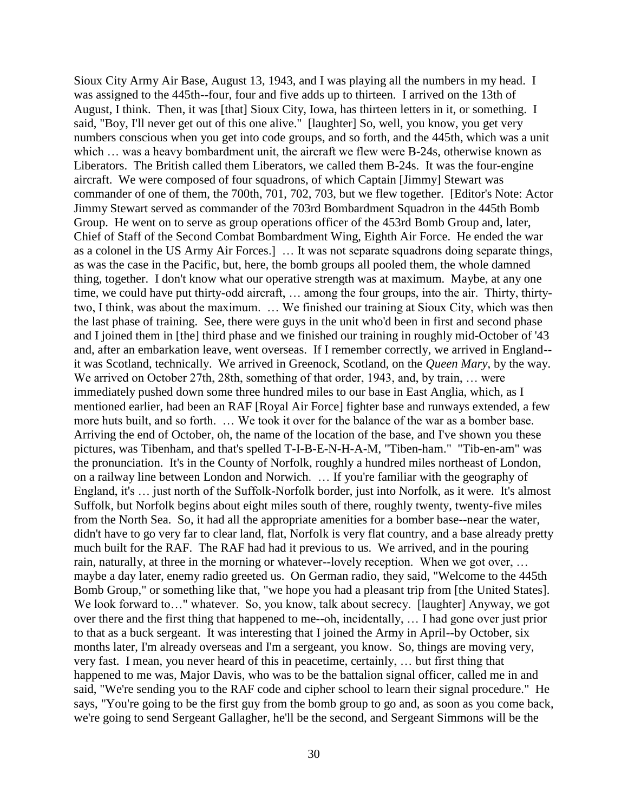Sioux City Army Air Base, August 13, 1943, and I was playing all the numbers in my head. I was assigned to the 445th--four, four and five adds up to thirteen. I arrived on the 13th of August, I think. Then, it was [that] Sioux City, Iowa, has thirteen letters in it, or something. I said, "Boy, I'll never get out of this one alive." [laughter] So, well, you know, you get very numbers conscious when you get into code groups, and so forth, and the 445th, which was a unit which ... was a heavy bombardment unit, the aircraft we flew were B-24s, otherwise known as Liberators. The British called them Liberators, we called them B-24s. It was the four-engine aircraft. We were composed of four squadrons, of which Captain [Jimmy] Stewart was commander of one of them, the 700th, 701, 702, 703, but we flew together. [Editor's Note: Actor Jimmy Stewart served as commander of the 703rd Bombardment Squadron in the 445th Bomb Group. He went on to serve as group operations officer of the 453rd Bomb Group and, later, Chief of Staff of the Second Combat Bombardment Wing, Eighth Air Force. He ended the war as a colonel in the US Army Air Forces.] … It was not separate squadrons doing separate things, as was the case in the Pacific, but, here, the bomb groups all pooled them, the whole damned thing, together. I don't know what our operative strength was at maximum. Maybe, at any one time, we could have put thirty-odd aircraft, … among the four groups, into the air. Thirty, thirtytwo, I think, was about the maximum. … We finished our training at Sioux City, which was then the last phase of training. See, there were guys in the unit who'd been in first and second phase and I joined them in [the] third phase and we finished our training in roughly mid-October of '43 and, after an embarkation leave, went overseas. If I remember correctly, we arrived in England- it was Scotland, technically. We arrived in Greenock, Scotland, on the *Queen Mary*, by the way. We arrived on October 27th, 28th, something of that order, 1943, and, by train, ... were immediately pushed down some three hundred miles to our base in East Anglia, which, as I mentioned earlier, had been an RAF [Royal Air Force] fighter base and runways extended, a few more huts built, and so forth. … We took it over for the balance of the war as a bomber base. Arriving the end of October, oh, the name of the location of the base, and I've shown you these pictures, was Tibenham, and that's spelled T-I-B-E-N-H-A-M, "Tiben-ham." "Tib-en-am" was the pronunciation. It's in the County of Norfolk, roughly a hundred miles northeast of London, on a railway line between London and Norwich. … If you're familiar with the geography of England, it's … just north of the Suffolk-Norfolk border, just into Norfolk, as it were. It's almost Suffolk, but Norfolk begins about eight miles south of there, roughly twenty, twenty-five miles from the North Sea. So, it had all the appropriate amenities for a bomber base--near the water, didn't have to go very far to clear land, flat, Norfolk is very flat country, and a base already pretty much built for the RAF. The RAF had had it previous to us. We arrived, and in the pouring rain, naturally, at three in the morning or whatever--lovely reception. When we got over, … maybe a day later, enemy radio greeted us. On German radio, they said, "Welcome to the 445th Bomb Group," or something like that, "we hope you had a pleasant trip from [the United States]. We look forward to..." whatever. So, you know, talk about secrecy. [laughter] Anyway, we got over there and the first thing that happened to me--oh, incidentally, … I had gone over just prior to that as a buck sergeant. It was interesting that I joined the Army in April--by October, six months later, I'm already overseas and I'm a sergeant, you know. So, things are moving very, very fast. I mean, you never heard of this in peacetime, certainly, … but first thing that happened to me was, Major Davis, who was to be the battalion signal officer, called me in and said, "We're sending you to the RAF code and cipher school to learn their signal procedure." He says, "You're going to be the first guy from the bomb group to go and, as soon as you come back, we're going to send Sergeant Gallagher, he'll be the second, and Sergeant Simmons will be the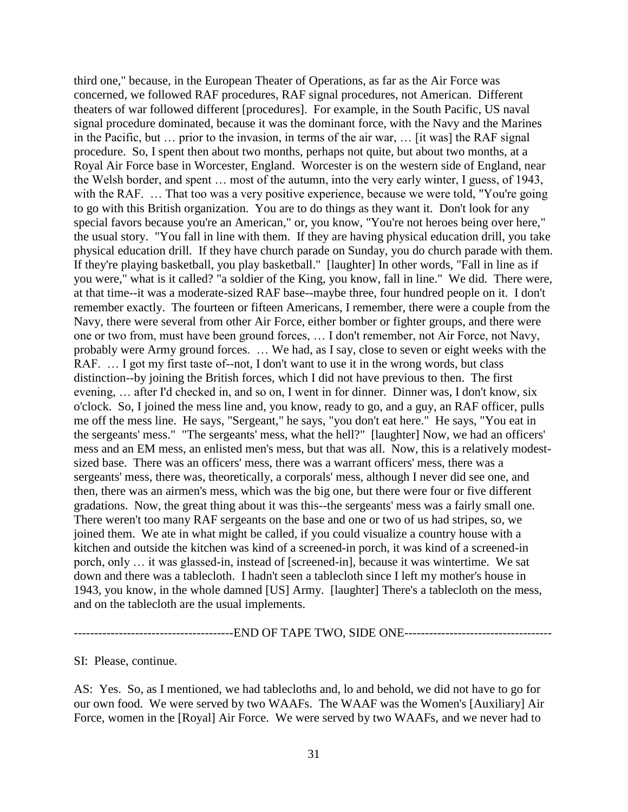third one," because, in the European Theater of Operations, as far as the Air Force was concerned, we followed RAF procedures, RAF signal procedures, not American. Different theaters of war followed different [procedures]. For example, in the South Pacific, US naval signal procedure dominated, because it was the dominant force, with the Navy and the Marines in the Pacific, but … prior to the invasion, in terms of the air war, … [it was] the RAF signal procedure. So, I spent then about two months, perhaps not quite, but about two months, at a Royal Air Force base in Worcester, England. Worcester is on the western side of England, near the Welsh border, and spent … most of the autumn, into the very early winter, I guess, of 1943, with the RAF. ... That too was a very positive experience, because we were told, "You're going to go with this British organization. You are to do things as they want it. Don't look for any special favors because you're an American," or, you know, "You're not heroes being over here," the usual story. "You fall in line with them. If they are having physical education drill, you take physical education drill. If they have church parade on Sunday, you do church parade with them. If they're playing basketball, you play basketball." [laughter] In other words, "Fall in line as if you were," what is it called? "a soldier of the King, you know, fall in line." We did. There were, at that time--it was a moderate-sized RAF base--maybe three, four hundred people on it. I don't remember exactly. The fourteen or fifteen Americans, I remember, there were a couple from the Navy, there were several from other Air Force, either bomber or fighter groups, and there were one or two from, must have been ground forces, … I don't remember, not Air Force, not Navy, probably were Army ground forces. … We had, as I say, close to seven or eight weeks with the RAF. ... I got my first taste of--not, I don't want to use it in the wrong words, but class distinction--by joining the British forces, which I did not have previous to then. The first evening, … after I'd checked in, and so on, I went in for dinner. Dinner was, I don't know, six o'clock. So, I joined the mess line and, you know, ready to go, and a guy, an RAF officer, pulls me off the mess line. He says, "Sergeant," he says, "you don't eat here." He says, "You eat in the sergeants' mess." "The sergeants' mess, what the hell?" [laughter] Now, we had an officers' mess and an EM mess, an enlisted men's mess, but that was all. Now, this is a relatively modestsized base. There was an officers' mess, there was a warrant officers' mess, there was a sergeants' mess, there was, theoretically, a corporals' mess, although I never did see one, and then, there was an airmen's mess, which was the big one, but there were four or five different gradations. Now, the great thing about it was this--the sergeants' mess was a fairly small one. There weren't too many RAF sergeants on the base and one or two of us had stripes, so, we joined them. We ate in what might be called, if you could visualize a country house with a kitchen and outside the kitchen was kind of a screened-in porch, it was kind of a screened-in porch, only … it was glassed-in, instead of [screened-in], because it was wintertime. We sat down and there was a tablecloth. I hadn't seen a tablecloth since I left my mother's house in 1943, you know, in the whole damned [US] Army. [laughter] There's a tablecloth on the mess, and on the tablecloth are the usual implements.

#### ---------------------------------------END OF TAPE TWO, SIDE ONE------------------------------------

SI: Please, continue.

AS: Yes. So, as I mentioned, we had tablecloths and, lo and behold, we did not have to go for our own food. We were served by two WAAFs. The WAAF was the Women's [Auxiliary] Air Force, women in the [Royal] Air Force. We were served by two WAAFs, and we never had to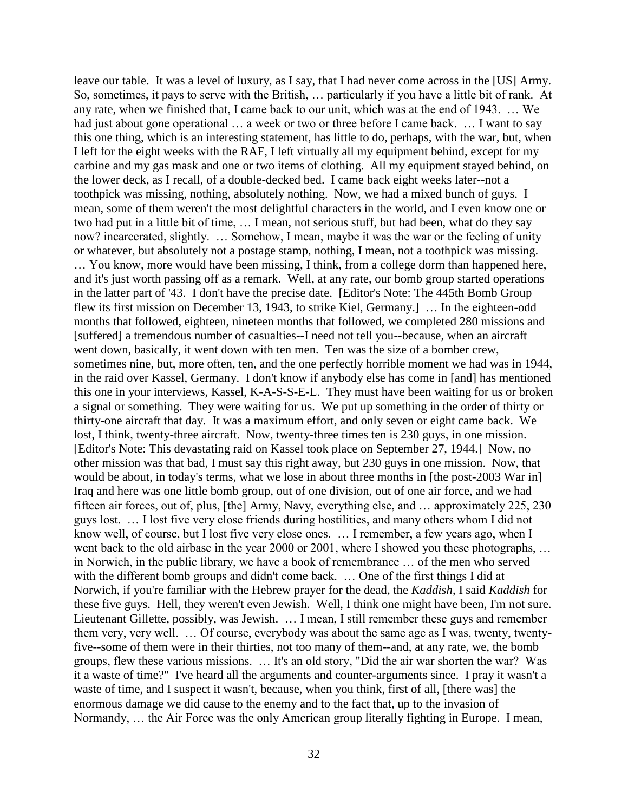leave our table. It was a level of luxury, as I say, that I had never come across in the [US] Army. So, sometimes, it pays to serve with the British, … particularly if you have a little bit of rank. At any rate, when we finished that, I came back to our unit, which was at the end of 1943. … We had just about gone operational ... a week or two or three before I came back. ... I want to say this one thing, which is an interesting statement, has little to do, perhaps, with the war, but, when I left for the eight weeks with the RAF, I left virtually all my equipment behind, except for my carbine and my gas mask and one or two items of clothing. All my equipment stayed behind, on the lower deck, as I recall, of a double-decked bed. I came back eight weeks later--not a toothpick was missing, nothing, absolutely nothing. Now, we had a mixed bunch of guys. I mean, some of them weren't the most delightful characters in the world, and I even know one or two had put in a little bit of time, … I mean, not serious stuff, but had been, what do they say now? incarcerated, slightly. … Somehow, I mean, maybe it was the war or the feeling of unity or whatever, but absolutely not a postage stamp, nothing, I mean, not a toothpick was missing. … You know, more would have been missing, I think, from a college dorm than happened here, and it's just worth passing off as a remark. Well, at any rate, our bomb group started operations in the latter part of '43. I don't have the precise date. [Editor's Note: The 445th Bomb Group flew its first mission on December 13, 1943, to strike Kiel, Germany.] … In the eighteen-odd months that followed, eighteen, nineteen months that followed, we completed 280 missions and [suffered] a tremendous number of casualties--I need not tell you--because, when an aircraft went down, basically, it went down with ten men. Ten was the size of a bomber crew, sometimes nine, but, more often, ten, and the one perfectly horrible moment we had was in 1944, in the raid over Kassel, Germany. I don't know if anybody else has come in [and] has mentioned this one in your interviews, Kassel, K-A-S-S-E-L. They must have been waiting for us or broken a signal or something. They were waiting for us. We put up something in the order of thirty or thirty-one aircraft that day. It was a maximum effort, and only seven or eight came back. We lost, I think, twenty-three aircraft. Now, twenty-three times ten is 230 guys, in one mission. [Editor's Note: This devastating raid on Kassel took place on September 27, 1944.] Now, no other mission was that bad, I must say this right away, but 230 guys in one mission. Now, that would be about, in today's terms, what we lose in about three months in [the post-2003 War in] Iraq and here was one little bomb group, out of one division, out of one air force, and we had fifteen air forces, out of, plus, [the] Army, Navy, everything else, and … approximately 225, 230 guys lost. … I lost five very close friends during hostilities, and many others whom I did not know well, of course, but I lost five very close ones. … I remember, a few years ago, when I went back to the old airbase in the year 2000 or 2001, where I showed you these photographs, ... in Norwich, in the public library, we have a book of remembrance … of the men who served with the different bomb groups and didn't come back. ... One of the first things I did at Norwich, if you're familiar with the Hebrew prayer for the dead, the *Kaddish*, I said *Kaddish* for these five guys. Hell, they weren't even Jewish. Well, I think one might have been, I'm not sure. Lieutenant Gillette, possibly, was Jewish. … I mean, I still remember these guys and remember them very, very well. … Of course, everybody was about the same age as I was, twenty, twentyfive--some of them were in their thirties, not too many of them--and, at any rate, we, the bomb groups, flew these various missions. … It's an old story, "Did the air war shorten the war? Was it a waste of time?" I've heard all the arguments and counter-arguments since. I pray it wasn't a waste of time, and I suspect it wasn't, because, when you think, first of all, [there was] the enormous damage we did cause to the enemy and to the fact that, up to the invasion of Normandy, … the Air Force was the only American group literally fighting in Europe. I mean,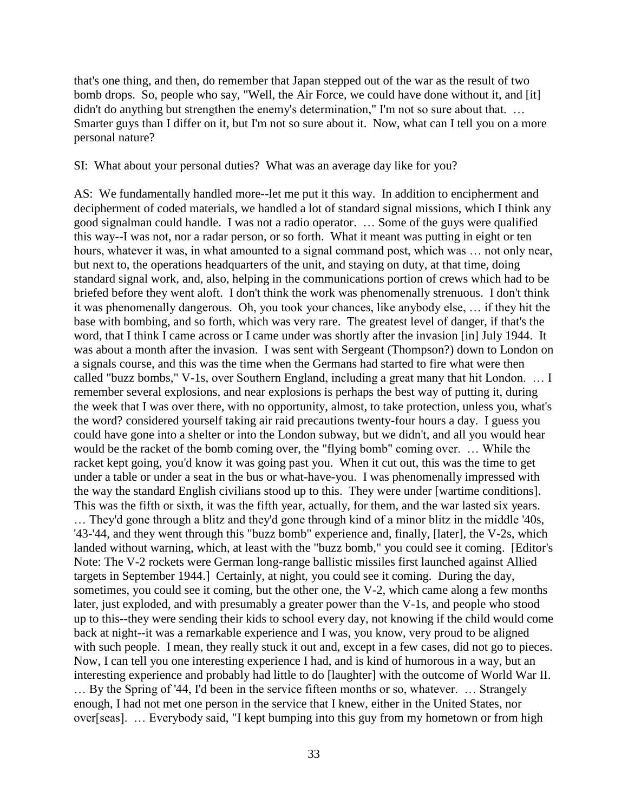that's one thing, and then, do remember that Japan stepped out of the war as the result of two bomb drops. So, people who say, "Well, the Air Force, we could have done without it, and [it] didn't do anything but strengthen the enemy's determination," I'm not so sure about that. ... Smarter guys than I differ on it, but I'm not so sure about it. Now, what can I tell you on a more personal nature?

#### SI: What about your personal duties? What was an average day like for you?

AS: We fundamentally handled more--let me put it this way. In addition to encipherment and decipherment of coded materials, we handled a lot of standard signal missions, which I think any good signalman could handle. I was not a radio operator. … Some of the guys were qualified this way--I was not, nor a radar person, or so forth. What it meant was putting in eight or ten hours, whatever it was, in what amounted to a signal command post, which was ... not only near, but next to, the operations headquarters of the unit, and staying on duty, at that time, doing standard signal work, and, also, helping in the communications portion of crews which had to be briefed before they went aloft. I don't think the work was phenomenally strenuous. I don't think it was phenomenally dangerous. Oh, you took your chances, like anybody else, … if they hit the base with bombing, and so forth, which was very rare. The greatest level of danger, if that's the word, that I think I came across or I came under was shortly after the invasion [in] July 1944. It was about a month after the invasion. I was sent with Sergeant (Thompson?) down to London on a signals course, and this was the time when the Germans had started to fire what were then called "buzz bombs," V-1s, over Southern England, including a great many that hit London. … I remember several explosions, and near explosions is perhaps the best way of putting it, during the week that I was over there, with no opportunity, almost, to take protection, unless you, what's the word? considered yourself taking air raid precautions twenty-four hours a day. I guess you could have gone into a shelter or into the London subway, but we didn't, and all you would hear would be the racket of the bomb coming over, the "flying bomb" coming over. … While the racket kept going, you'd know it was going past you. When it cut out, this was the time to get under a table or under a seat in the bus or what-have-you. I was phenomenally impressed with the way the standard English civilians stood up to this. They were under [wartime conditions]. This was the fifth or sixth, it was the fifth year, actually, for them, and the war lasted six years. … They'd gone through a blitz and they'd gone through kind of a minor blitz in the middle '40s, '43-'44, and they went through this "buzz bomb" experience and, finally, [later], the V-2s, which landed without warning, which, at least with the "buzz bomb," you could see it coming. [Editor's Note: The V-2 rockets were German long-range ballistic missiles first launched against Allied targets in September 1944.] Certainly, at night, you could see it coming. During the day, sometimes, you could see it coming, but the other one, the V-2, which came along a few months later, just exploded, and with presumably a greater power than the V-1s, and people who stood up to this--they were sending their kids to school every day, not knowing if the child would come back at night--it was a remarkable experience and I was, you know, very proud to be aligned with such people. I mean, they really stuck it out and, except in a few cases, did not go to pieces. Now, I can tell you one interesting experience I had, and is kind of humorous in a way, but an interesting experience and probably had little to do [laughter] with the outcome of World War II. … By the Spring of '44, I'd been in the service fifteen months or so, whatever. … Strangely enough, I had not met one person in the service that I knew, either in the United States, nor over[seas]. … Everybody said, "I kept bumping into this guy from my hometown or from high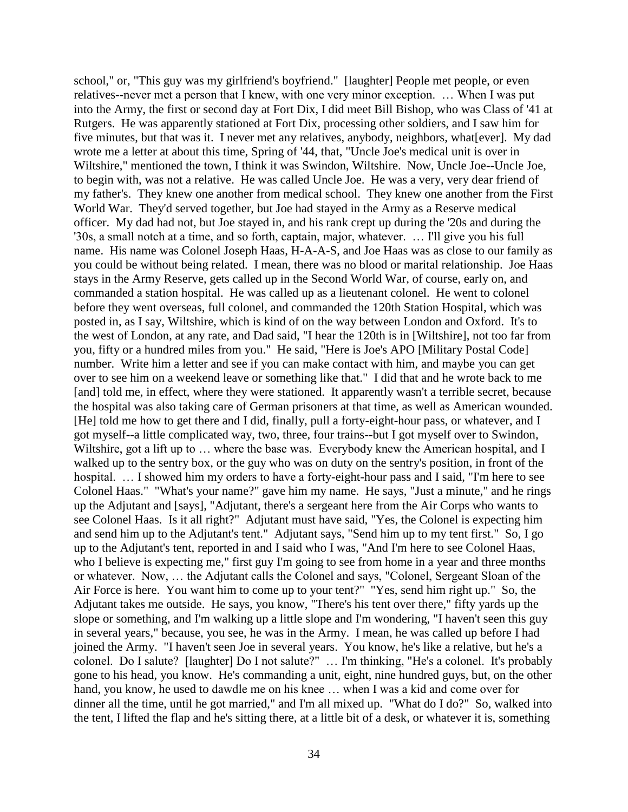school," or, "This guy was my girlfriend's boyfriend." [laughter] People met people, or even relatives--never met a person that I knew, with one very minor exception. … When I was put into the Army, the first or second day at Fort Dix, I did meet Bill Bishop, who was Class of '41 at Rutgers. He was apparently stationed at Fort Dix, processing other soldiers, and I saw him for five minutes, but that was it. I never met any relatives, anybody, neighbors, what[ever]. My dad wrote me a letter at about this time, Spring of '44, that, "Uncle Joe's medical unit is over in Wiltshire," mentioned the town, I think it was Swindon, Wiltshire. Now, Uncle Joe--Uncle Joe, to begin with, was not a relative. He was called Uncle Joe. He was a very, very dear friend of my father's. They knew one another from medical school. They knew one another from the First World War. They'd served together, but Joe had stayed in the Army as a Reserve medical officer. My dad had not, but Joe stayed in, and his rank crept up during the '20s and during the '30s, a small notch at a time, and so forth, captain, major, whatever. … I'll give you his full name. His name was Colonel Joseph Haas, H-A-A-S, and Joe Haas was as close to our family as you could be without being related. I mean, there was no blood or marital relationship. Joe Haas stays in the Army Reserve, gets called up in the Second World War, of course, early on, and commanded a station hospital. He was called up as a lieutenant colonel. He went to colonel before they went overseas, full colonel, and commanded the 120th Station Hospital, which was posted in, as I say, Wiltshire, which is kind of on the way between London and Oxford. It's to the west of London, at any rate, and Dad said, "I hear the 120th is in [Wiltshire], not too far from you, fifty or a hundred miles from you." He said, "Here is Joe's APO [Military Postal Code] number. Write him a letter and see if you can make contact with him, and maybe you can get over to see him on a weekend leave or something like that." I did that and he wrote back to me [and] told me, in effect, where they were stationed. It apparently wasn't a terrible secret, because the hospital was also taking care of German prisoners at that time, as well as American wounded. [He] told me how to get there and I did, finally, pull a forty-eight-hour pass, or whatever, and I got myself--a little complicated way, two, three, four trains--but I got myself over to Swindon, Wiltshire, got a lift up to ... where the base was. Everybody knew the American hospital, and I walked up to the sentry box, or the guy who was on duty on the sentry's position, in front of the hospital. ... I showed him my orders to have a forty-eight-hour pass and I said, "I'm here to see Colonel Haas." "What's your name?" gave him my name. He says, "Just a minute," and he rings up the Adjutant and [says], "Adjutant, there's a sergeant here from the Air Corps who wants to see Colonel Haas. Is it all right?" Adjutant must have said, "Yes, the Colonel is expecting him and send him up to the Adjutant's tent." Adjutant says, "Send him up to my tent first." So, I go up to the Adjutant's tent, reported in and I said who I was, "And I'm here to see Colonel Haas, who I believe is expecting me," first guy I'm going to see from home in a year and three months or whatever. Now, … the Adjutant calls the Colonel and says, "Colonel, Sergeant Sloan of the Air Force is here. You want him to come up to your tent?" "Yes, send him right up." So, the Adjutant takes me outside. He says, you know, "There's his tent over there," fifty yards up the slope or something, and I'm walking up a little slope and I'm wondering, "I haven't seen this guy in several years," because, you see, he was in the Army. I mean, he was called up before I had joined the Army. "I haven't seen Joe in several years. You know, he's like a relative, but he's a colonel. Do I salute? [laughter] Do I not salute?" … I'm thinking, "He's a colonel. It's probably gone to his head, you know. He's commanding a unit, eight, nine hundred guys, but, on the other hand, you know, he used to dawdle me on his knee … when I was a kid and come over for dinner all the time, until he got married," and I'm all mixed up. "What do I do?" So, walked into the tent, I lifted the flap and he's sitting there, at a little bit of a desk, or whatever it is, something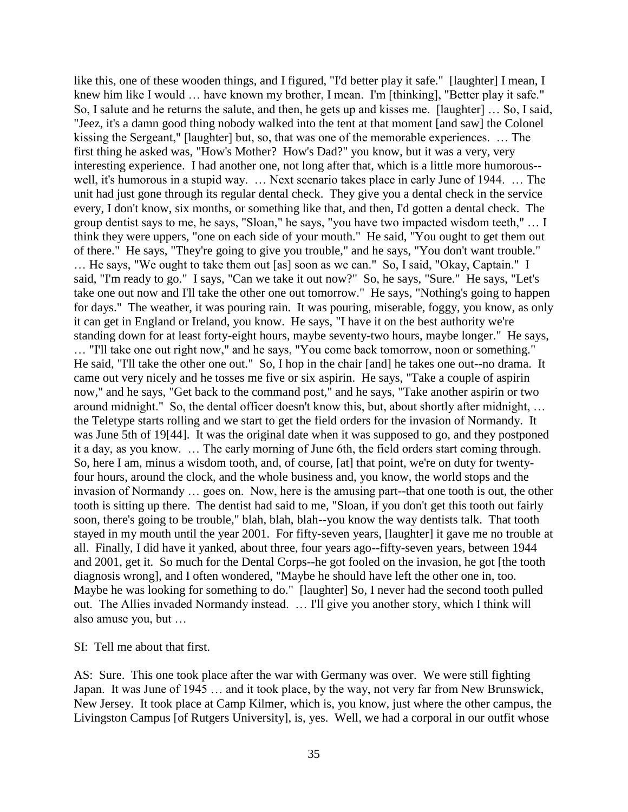like this, one of these wooden things, and I figured, "I'd better play it safe." [laughter] I mean, I knew him like I would … have known my brother, I mean. I'm [thinking], "Better play it safe." So, I salute and he returns the salute, and then, he gets up and kisses me. [laughter] … So, I said, "Jeez, it's a damn good thing nobody walked into the tent at that moment [and saw] the Colonel kissing the Sergeant," [laughter] but, so, that was one of the memorable experiences. … The first thing he asked was, "How's Mother? How's Dad?" you know, but it was a very, very interesting experience. I had another one, not long after that, which is a little more humorous- well, it's humorous in a stupid way. … Next scenario takes place in early June of 1944. … The unit had just gone through its regular dental check. They give you a dental check in the service every, I don't know, six months, or something like that, and then, I'd gotten a dental check. The group dentist says to me, he says, "Sloan," he says, "you have two impacted wisdom teeth," … I think they were uppers, "one on each side of your mouth." He said, "You ought to get them out of there." He says, "They're going to give you trouble," and he says, "You don't want trouble." … He says, "We ought to take them out [as] soon as we can." So, I said, "Okay, Captain." I said, "I'm ready to go." I says, "Can we take it out now?" So, he says, "Sure." He says, "Let's take one out now and I'll take the other one out tomorrow." He says, "Nothing's going to happen for days." The weather, it was pouring rain. It was pouring, miserable, foggy, you know, as only it can get in England or Ireland, you know. He says, "I have it on the best authority we're standing down for at least forty-eight hours, maybe seventy-two hours, maybe longer." He says, … "I'll take one out right now," and he says, "You come back tomorrow, noon or something." He said, "I'll take the other one out." So, I hop in the chair [and] he takes one out--no drama. It came out very nicely and he tosses me five or six aspirin. He says, "Take a couple of aspirin now," and he says, "Get back to the command post," and he says, "Take another aspirin or two around midnight." So, the dental officer doesn't know this, but, about shortly after midnight, … the Teletype starts rolling and we start to get the field orders for the invasion of Normandy. It was June 5th of 19[44]. It was the original date when it was supposed to go, and they postponed it a day, as you know. … The early morning of June 6th, the field orders start coming through. So, here I am, minus a wisdom tooth, and, of course, [at] that point, we're on duty for twentyfour hours, around the clock, and the whole business and, you know, the world stops and the invasion of Normandy … goes on. Now, here is the amusing part--that one tooth is out, the other tooth is sitting up there. The dentist had said to me, "Sloan, if you don't get this tooth out fairly soon, there's going to be trouble," blah, blah, blah--you know the way dentists talk. That tooth stayed in my mouth until the year 2001. For fifty-seven years, [laughter] it gave me no trouble at all. Finally, I did have it yanked, about three, four years ago--fifty-seven years, between 1944 and 2001, get it. So much for the Dental Corps--he got fooled on the invasion, he got [the tooth diagnosis wrong], and I often wondered, "Maybe he should have left the other one in, too. Maybe he was looking for something to do." [laughter] So, I never had the second tooth pulled out. The Allies invaded Normandy instead. … I'll give you another story, which I think will also amuse you, but …

SI: Tell me about that first.

AS: Sure. This one took place after the war with Germany was over. We were still fighting Japan. It was June of 1945 … and it took place, by the way, not very far from New Brunswick, New Jersey. It took place at Camp Kilmer, which is, you know, just where the other campus, the Livingston Campus [of Rutgers University], is, yes. Well, we had a corporal in our outfit whose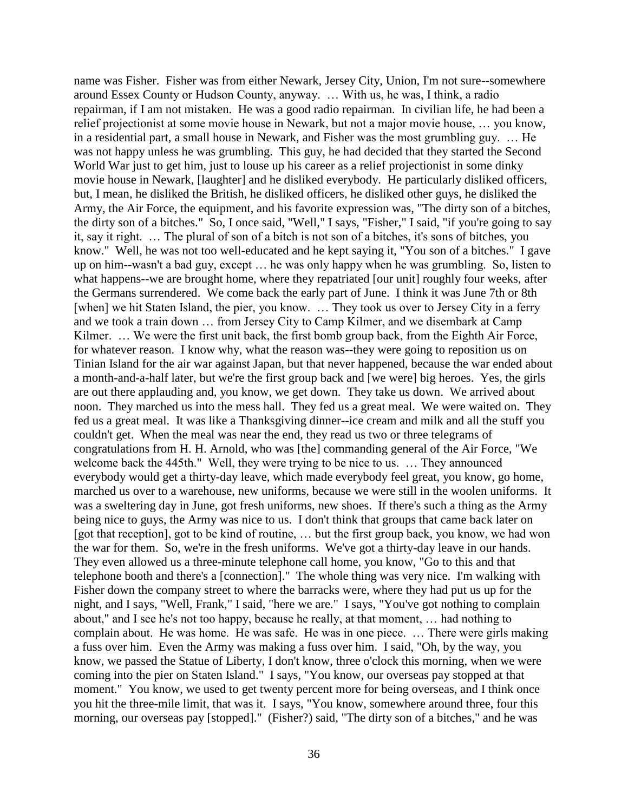name was Fisher. Fisher was from either Newark, Jersey City, Union, I'm not sure--somewhere around Essex County or Hudson County, anyway. … With us, he was, I think, a radio repairman, if I am not mistaken. He was a good radio repairman. In civilian life, he had been a relief projectionist at some movie house in Newark, but not a major movie house, … you know, in a residential part, a small house in Newark, and Fisher was the most grumbling guy. … He was not happy unless he was grumbling. This guy, he had decided that they started the Second World War just to get him, just to louse up his career as a relief projectionist in some dinky movie house in Newark, [laughter] and he disliked everybody. He particularly disliked officers, but, I mean, he disliked the British, he disliked officers, he disliked other guys, he disliked the Army, the Air Force, the equipment, and his favorite expression was, "The dirty son of a bitches, the dirty son of a bitches." So, I once said, "Well," I says, "Fisher," I said, "if you're going to say it, say it right. … The plural of son of a bitch is not son of a bitches, it's sons of bitches, you know." Well, he was not too well-educated and he kept saying it, "You son of a bitches." I gave up on him--wasn't a bad guy, except … he was only happy when he was grumbling. So, listen to what happens--we are brought home, where they repatriated [our unit] roughly four weeks, after the Germans surrendered. We come back the early part of June. I think it was June 7th or 8th [when] we hit Staten Island, the pier, you know. ... They took us over to Jersey City in a ferry and we took a train down … from Jersey City to Camp Kilmer, and we disembark at Camp Kilmer. ... We were the first unit back, the first bomb group back, from the Eighth Air Force, for whatever reason. I know why, what the reason was--they were going to reposition us on Tinian Island for the air war against Japan, but that never happened, because the war ended about a month-and-a-half later, but we're the first group back and [we were] big heroes. Yes, the girls are out there applauding and, you know, we get down. They take us down. We arrived about noon. They marched us into the mess hall. They fed us a great meal. We were waited on. They fed us a great meal. It was like a Thanksgiving dinner--ice cream and milk and all the stuff you couldn't get. When the meal was near the end, they read us two or three telegrams of congratulations from H. H. Arnold, who was [the] commanding general of the Air Force, "We welcome back the 445th." Well, they were trying to be nice to us. … They announced everybody would get a thirty-day leave, which made everybody feel great, you know, go home, marched us over to a warehouse, new uniforms, because we were still in the woolen uniforms. It was a sweltering day in June, got fresh uniforms, new shoes. If there's such a thing as the Army being nice to guys, the Army was nice to us. I don't think that groups that came back later on [got that reception], got to be kind of routine, … but the first group back, you know, we had won the war for them. So, we're in the fresh uniforms. We've got a thirty-day leave in our hands. They even allowed us a three-minute telephone call home, you know, "Go to this and that telephone booth and there's a [connection]." The whole thing was very nice. I'm walking with Fisher down the company street to where the barracks were, where they had put us up for the night, and I says, "Well, Frank," I said, "here we are." I says, "You've got nothing to complain about," and I see he's not too happy, because he really, at that moment, … had nothing to complain about. He was home. He was safe. He was in one piece. … There were girls making a fuss over him. Even the Army was making a fuss over him. I said, "Oh, by the way, you know, we passed the Statue of Liberty, I don't know, three o'clock this morning, when we were coming into the pier on Staten Island." I says, "You know, our overseas pay stopped at that moment." You know, we used to get twenty percent more for being overseas, and I think once you hit the three-mile limit, that was it. I says, "You know, somewhere around three, four this morning, our overseas pay [stopped]." (Fisher?) said, "The dirty son of a bitches," and he was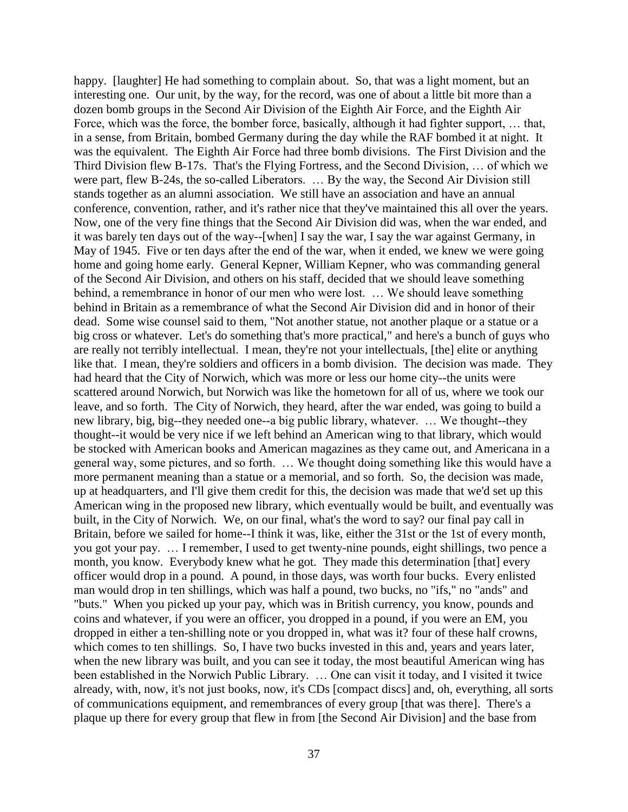happy. [laughter] He had something to complain about. So, that was a light moment, but an interesting one. Our unit, by the way, for the record, was one of about a little bit more than a dozen bomb groups in the Second Air Division of the Eighth Air Force, and the Eighth Air Force, which was the force, the bomber force, basically, although it had fighter support, … that, in a sense, from Britain, bombed Germany during the day while the RAF bombed it at night. It was the equivalent. The Eighth Air Force had three bomb divisions. The First Division and the Third Division flew B-17s. That's the Flying Fortress, and the Second Division, … of which we were part, flew B-24s, the so-called Liberators. … By the way, the Second Air Division still stands together as an alumni association. We still have an association and have an annual conference, convention, rather, and it's rather nice that they've maintained this all over the years. Now, one of the very fine things that the Second Air Division did was, when the war ended, and it was barely ten days out of the way--[when] I say the war, I say the war against Germany, in May of 1945. Five or ten days after the end of the war, when it ended, we knew we were going home and going home early. General Kepner, William Kepner, who was commanding general of the Second Air Division, and others on his staff, decided that we should leave something behind, a remembrance in honor of our men who were lost. … We should leave something behind in Britain as a remembrance of what the Second Air Division did and in honor of their dead. Some wise counsel said to them, "Not another statue, not another plaque or a statue or a big cross or whatever. Let's do something that's more practical," and here's a bunch of guys who are really not terribly intellectual. I mean, they're not your intellectuals, [the] elite or anything like that. I mean, they're soldiers and officers in a bomb division. The decision was made. They had heard that the City of Norwich, which was more or less our home city--the units were scattered around Norwich, but Norwich was like the hometown for all of us, where we took our leave, and so forth. The City of Norwich, they heard, after the war ended, was going to build a new library, big, big--they needed one--a big public library, whatever. … We thought--they thought--it would be very nice if we left behind an American wing to that library, which would be stocked with American books and American magazines as they came out, and Americana in a general way, some pictures, and so forth. … We thought doing something like this would have a more permanent meaning than a statue or a memorial, and so forth. So, the decision was made, up at headquarters, and I'll give them credit for this, the decision was made that we'd set up this American wing in the proposed new library, which eventually would be built, and eventually was built, in the City of Norwich. We, on our final, what's the word to say? our final pay call in Britain, before we sailed for home--I think it was, like, either the 31st or the 1st of every month, you got your pay. … I remember, I used to get twenty-nine pounds, eight shillings, two pence a month, you know. Everybody knew what he got. They made this determination [that] every officer would drop in a pound. A pound, in those days, was worth four bucks. Every enlisted man would drop in ten shillings, which was half a pound, two bucks, no "ifs," no "ands" and "buts." When you picked up your pay, which was in British currency, you know, pounds and coins and whatever, if you were an officer, you dropped in a pound, if you were an EM, you dropped in either a ten-shilling note or you dropped in, what was it? four of these half crowns, which comes to ten shillings. So, I have two bucks invested in this and, years and years later, when the new library was built, and you can see it today, the most beautiful American wing has been established in the Norwich Public Library. … One can visit it today, and I visited it twice already, with, now, it's not just books, now, it's CDs [compact discs] and, oh, everything, all sorts of communications equipment, and remembrances of every group [that was there]. There's a plaque up there for every group that flew in from [the Second Air Division] and the base from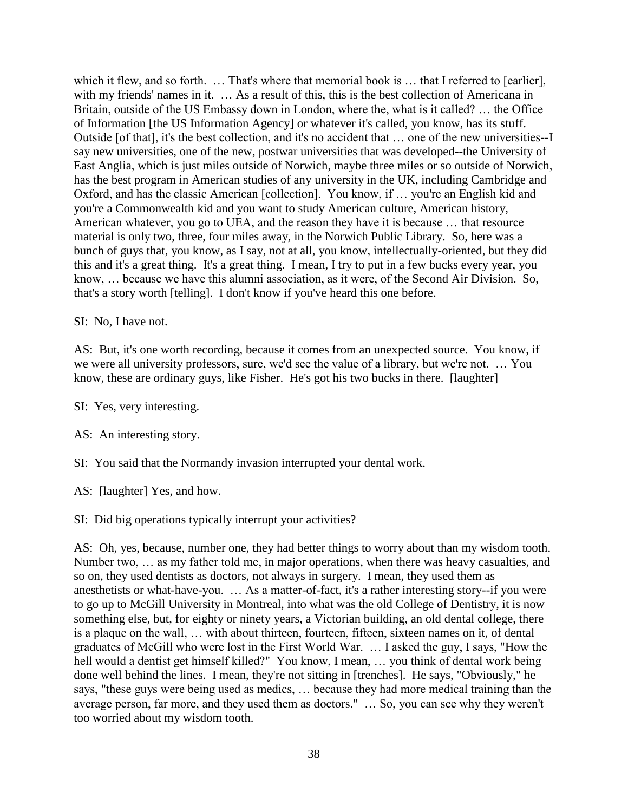which it flew, and so forth. ... That's where that memorial book is ... that I referred to [earlier], with my friends' names in it. ... As a result of this, this is the best collection of Americana in Britain, outside of the US Embassy down in London, where the, what is it called? … the Office of Information [the US Information Agency] or whatever it's called, you know, has its stuff. Outside [of that], it's the best collection, and it's no accident that … one of the new universities--I say new universities, one of the new, postwar universities that was developed--the University of East Anglia, which is just miles outside of Norwich, maybe three miles or so outside of Norwich, has the best program in American studies of any university in the UK, including Cambridge and Oxford, and has the classic American [collection]. You know, if … you're an English kid and you're a Commonwealth kid and you want to study American culture, American history, American whatever, you go to UEA, and the reason they have it is because … that resource material is only two, three, four miles away, in the Norwich Public Library. So, here was a bunch of guys that, you know, as I say, not at all, you know, intellectually-oriented, but they did this and it's a great thing. It's a great thing. I mean, I try to put in a few bucks every year, you know, … because we have this alumni association, as it were, of the Second Air Division. So, that's a story worth [telling]. I don't know if you've heard this one before.

# SI: No, I have not.

AS: But, it's one worth recording, because it comes from an unexpected source. You know, if we were all university professors, sure, we'd see the value of a library, but we're not. … You know, these are ordinary guys, like Fisher. He's got his two bucks in there. [laughter]

SI: Yes, very interesting.

AS: An interesting story.

SI: You said that the Normandy invasion interrupted your dental work.

AS: [laughter] Yes, and how.

SI: Did big operations typically interrupt your activities?

AS: Oh, yes, because, number one, they had better things to worry about than my wisdom tooth. Number two, … as my father told me, in major operations, when there was heavy casualties, and so on, they used dentists as doctors, not always in surgery. I mean, they used them as anesthetists or what-have-you. … As a matter-of-fact, it's a rather interesting story--if you were to go up to McGill University in Montreal, into what was the old College of Dentistry, it is now something else, but, for eighty or ninety years, a Victorian building, an old dental college, there is a plaque on the wall, … with about thirteen, fourteen, fifteen, sixteen names on it, of dental graduates of McGill who were lost in the First World War. … I asked the guy, I says, "How the hell would a dentist get himself killed?" You know, I mean, … you think of dental work being done well behind the lines. I mean, they're not sitting in [trenches]. He says, "Obviously," he says, "these guys were being used as medics, … because they had more medical training than the average person, far more, and they used them as doctors." … So, you can see why they weren't too worried about my wisdom tooth.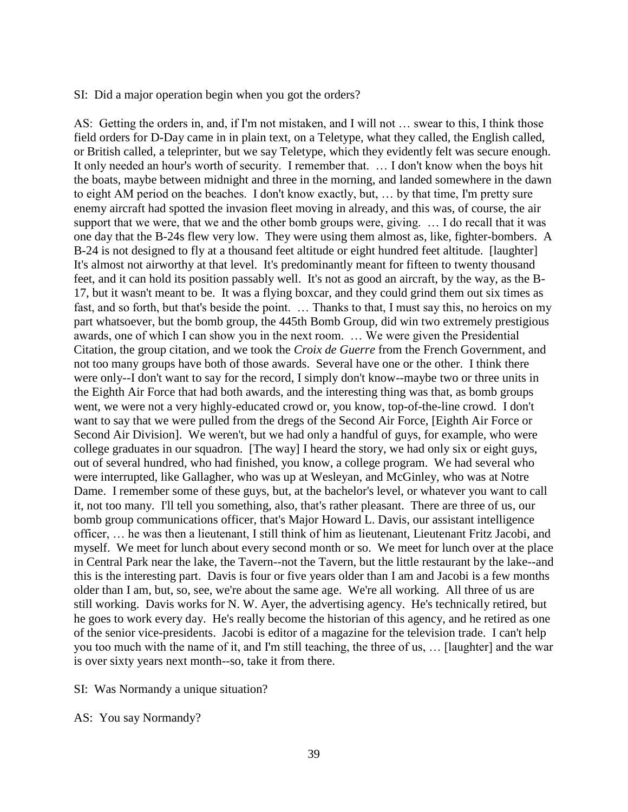#### SI: Did a major operation begin when you got the orders?

AS: Getting the orders in, and, if I'm not mistaken, and I will not … swear to this, I think those field orders for D-Day came in in plain text, on a Teletype, what they called, the English called, or British called, a teleprinter, but we say Teletype, which they evidently felt was secure enough. It only needed an hour's worth of security. I remember that. … I don't know when the boys hit the boats, maybe between midnight and three in the morning, and landed somewhere in the dawn to eight AM period on the beaches. I don't know exactly, but, … by that time, I'm pretty sure enemy aircraft had spotted the invasion fleet moving in already, and this was, of course, the air support that we were, that we and the other bomb groups were, giving. … I do recall that it was one day that the B-24s flew very low. They were using them almost as, like, fighter-bombers. A B-24 is not designed to fly at a thousand feet altitude or eight hundred feet altitude. [laughter] It's almost not airworthy at that level. It's predominantly meant for fifteen to twenty thousand feet, and it can hold its position passably well. It's not as good an aircraft, by the way, as the B-17, but it wasn't meant to be. It was a flying boxcar, and they could grind them out six times as fast, and so forth, but that's beside the point. … Thanks to that, I must say this, no heroics on my part whatsoever, but the bomb group, the 445th Bomb Group, did win two extremely prestigious awards, one of which I can show you in the next room. … We were given the Presidential Citation, the group citation, and we took the *Croix de Guerre* from the French Government, and not too many groups have both of those awards. Several have one or the other. I think there were only--I don't want to say for the record, I simply don't know--maybe two or three units in the Eighth Air Force that had both awards, and the interesting thing was that, as bomb groups went, we were not a very highly-educated crowd or, you know, top-of-the-line crowd. I don't want to say that we were pulled from the dregs of the Second Air Force, [Eighth Air Force or Second Air Division]. We weren't, but we had only a handful of guys, for example, who were college graduates in our squadron. [The way] I heard the story, we had only six or eight guys, out of several hundred, who had finished, you know, a college program. We had several who were interrupted, like Gallagher, who was up at Wesleyan, and McGinley, who was at Notre Dame. I remember some of these guys, but, at the bachelor's level, or whatever you want to call it, not too many. I'll tell you something, also, that's rather pleasant. There are three of us, our bomb group communications officer, that's Major Howard L. Davis, our assistant intelligence officer, … he was then a lieutenant, I still think of him as lieutenant, Lieutenant Fritz Jacobi, and myself. We meet for lunch about every second month or so. We meet for lunch over at the place in Central Park near the lake, the Tavern--not the Tavern, but the little restaurant by the lake--and this is the interesting part. Davis is four or five years older than I am and Jacobi is a few months older than I am, but, so, see, we're about the same age. We're all working. All three of us are still working. Davis works for N. W. Ayer, the advertising agency. He's technically retired, but he goes to work every day. He's really become the historian of this agency, and he retired as one of the senior vice-presidents. Jacobi is editor of a magazine for the television trade. I can't help you too much with the name of it, and I'm still teaching, the three of us, … [laughter] and the war is over sixty years next month--so, take it from there.

- SI: Was Normandy a unique situation?
- AS: You say Normandy?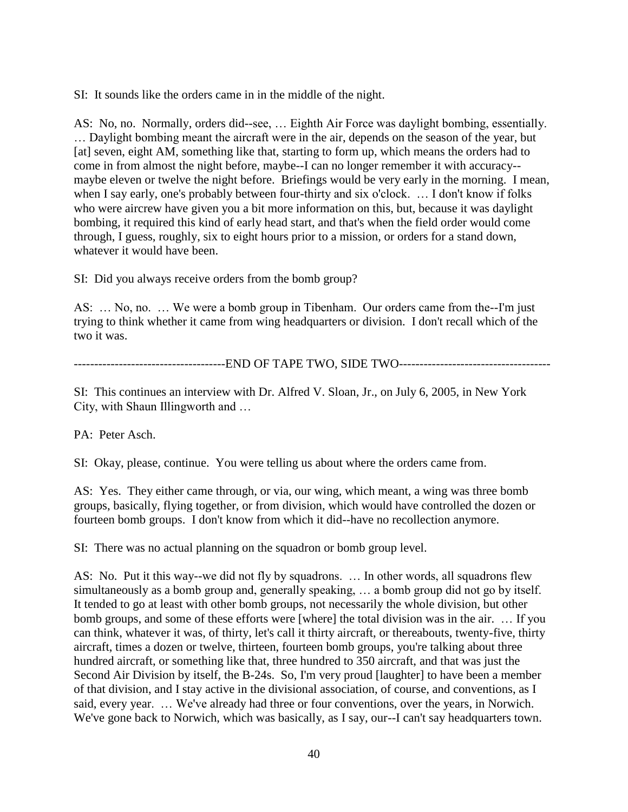SI: It sounds like the orders came in in the middle of the night.

AS: No, no. Normally, orders did--see, … Eighth Air Force was daylight bombing, essentially. … Daylight bombing meant the aircraft were in the air, depends on the season of the year, but [at] seven, eight AM, something like that, starting to form up, which means the orders had to come in from almost the night before, maybe--I can no longer remember it with accuracy- maybe eleven or twelve the night before. Briefings would be very early in the morning. I mean, when I say early, one's probably between four-thirty and six o'clock. ... I don't know if folks who were aircrew have given you a bit more information on this, but, because it was daylight bombing, it required this kind of early head start, and that's when the field order would come through, I guess, roughly, six to eight hours prior to a mission, or orders for a stand down, whatever it would have been.

SI: Did you always receive orders from the bomb group?

AS: … No, no. … We were a bomb group in Tibenham. Our orders came from the--I'm just trying to think whether it came from wing headquarters or division. I don't recall which of the two it was.

-------------------------------------END OF TAPE TWO, SIDE TWO-------------------------------------

SI: This continues an interview with Dr. Alfred V. Sloan, Jr., on July 6, 2005, in New York City, with Shaun Illingworth and …

PA: Peter Asch.

SI: Okay, please, continue. You were telling us about where the orders came from.

AS: Yes. They either came through, or via, our wing, which meant, a wing was three bomb groups, basically, flying together, or from division, which would have controlled the dozen or fourteen bomb groups. I don't know from which it did--have no recollection anymore.

SI: There was no actual planning on the squadron or bomb group level.

AS: No. Put it this way--we did not fly by squadrons. … In other words, all squadrons flew simultaneously as a bomb group and, generally speaking, … a bomb group did not go by itself. It tended to go at least with other bomb groups, not necessarily the whole division, but other bomb groups, and some of these efforts were [where] the total division was in the air. … If you can think, whatever it was, of thirty, let's call it thirty aircraft, or thereabouts, twenty-five, thirty aircraft, times a dozen or twelve, thirteen, fourteen bomb groups, you're talking about three hundred aircraft, or something like that, three hundred to 350 aircraft, and that was just the Second Air Division by itself, the B-24s. So, I'm very proud [laughter] to have been a member of that division, and I stay active in the divisional association, of course, and conventions, as I said, every year. … We've already had three or four conventions, over the years, in Norwich. We've gone back to Norwich, which was basically, as I say, our--I can't say headquarters town.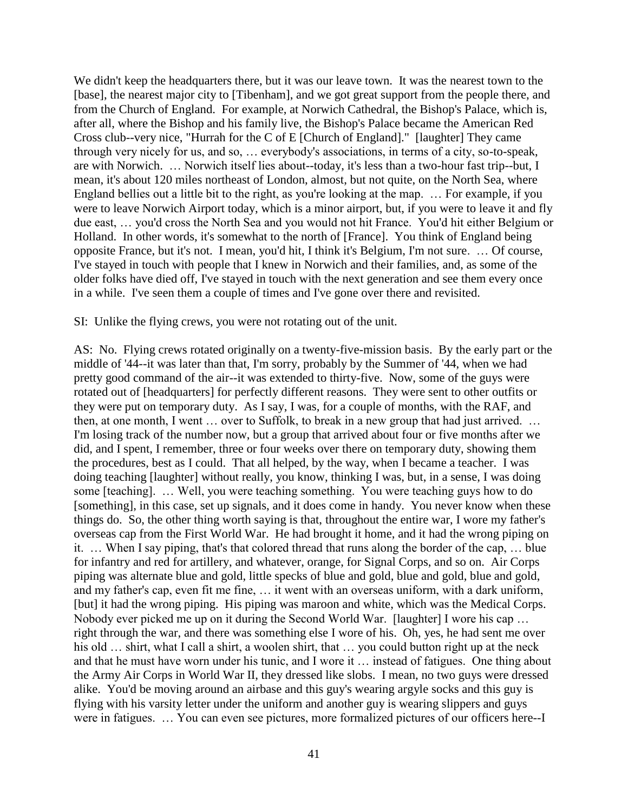We didn't keep the headquarters there, but it was our leave town. It was the nearest town to the [base], the nearest major city to [Tibenham], and we got great support from the people there, and from the Church of England. For example, at Norwich Cathedral, the Bishop's Palace, which is, after all, where the Bishop and his family live, the Bishop's Palace became the American Red Cross club--very nice, "Hurrah for the C of E [Church of England]." [laughter] They came through very nicely for us, and so, … everybody's associations, in terms of a city, so-to-speak, are with Norwich. … Norwich itself lies about--today, it's less than a two-hour fast trip--but, I mean, it's about 120 miles northeast of London, almost, but not quite, on the North Sea, where England bellies out a little bit to the right, as you're looking at the map. … For example, if you were to leave Norwich Airport today, which is a minor airport, but, if you were to leave it and fly due east, … you'd cross the North Sea and you would not hit France. You'd hit either Belgium or Holland. In other words, it's somewhat to the north of [France]. You think of England being opposite France, but it's not. I mean, you'd hit, I think it's Belgium, I'm not sure. … Of course, I've stayed in touch with people that I knew in Norwich and their families, and, as some of the older folks have died off, I've stayed in touch with the next generation and see them every once in a while. I've seen them a couple of times and I've gone over there and revisited.

SI: Unlike the flying crews, you were not rotating out of the unit.

AS: No. Flying crews rotated originally on a twenty-five-mission basis. By the early part or the middle of '44--it was later than that, I'm sorry, probably by the Summer of '44, when we had pretty good command of the air--it was extended to thirty-five. Now, some of the guys were rotated out of [headquarters] for perfectly different reasons. They were sent to other outfits or they were put on temporary duty. As I say, I was, for a couple of months, with the RAF, and then, at one month, I went … over to Suffolk, to break in a new group that had just arrived. … I'm losing track of the number now, but a group that arrived about four or five months after we did, and I spent, I remember, three or four weeks over there on temporary duty, showing them the procedures, best as I could. That all helped, by the way, when I became a teacher. I was doing teaching [laughter] without really, you know, thinking I was, but, in a sense, I was doing some [teaching]. … Well, you were teaching something. You were teaching guys how to do [something], in this case, set up signals, and it does come in handy. You never know when these things do. So, the other thing worth saying is that, throughout the entire war, I wore my father's overseas cap from the First World War. He had brought it home, and it had the wrong piping on it. … When I say piping, that's that colored thread that runs along the border of the cap, … blue for infantry and red for artillery, and whatever, orange, for Signal Corps, and so on. Air Corps piping was alternate blue and gold, little specks of blue and gold, blue and gold, blue and gold, and my father's cap, even fit me fine, … it went with an overseas uniform, with a dark uniform, [but] it had the wrong piping. His piping was maroon and white, which was the Medical Corps. Nobody ever picked me up on it during the Second World War. [laughter] I wore his cap … right through the war, and there was something else I wore of his. Oh, yes, he had sent me over his old ... shirt, what I call a shirt, a woolen shirt, that ... you could button right up at the neck and that he must have worn under his tunic, and I wore it … instead of fatigues. One thing about the Army Air Corps in World War II, they dressed like slobs. I mean, no two guys were dressed alike. You'd be moving around an airbase and this guy's wearing argyle socks and this guy is flying with his varsity letter under the uniform and another guy is wearing slippers and guys were in fatigues. … You can even see pictures, more formalized pictures of our officers here--I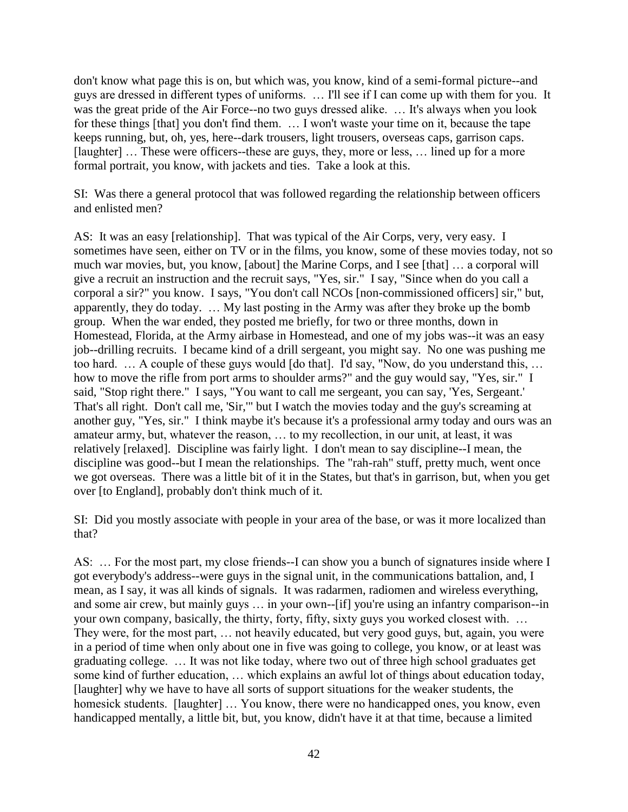don't know what page this is on, but which was, you know, kind of a semi-formal picture--and guys are dressed in different types of uniforms. … I'll see if I can come up with them for you. It was the great pride of the Air Force--no two guys dressed alike. … It's always when you look for these things [that] you don't find them. … I won't waste your time on it, because the tape keeps running, but, oh, yes, here--dark trousers, light trousers, overseas caps, garrison caps. [laughter] ... These were officers--these are guys, they, more or less, ... lined up for a more formal portrait, you know, with jackets and ties. Take a look at this.

SI: Was there a general protocol that was followed regarding the relationship between officers and enlisted men?

AS: It was an easy [relationship]. That was typical of the Air Corps, very, very easy. I sometimes have seen, either on TV or in the films, you know, some of these movies today, not so much war movies, but, you know, [about] the Marine Corps, and I see [that] … a corporal will give a recruit an instruction and the recruit says, "Yes, sir." I say, "Since when do you call a corporal a sir?" you know. I says, "You don't call NCOs [non-commissioned officers] sir," but, apparently, they do today. … My last posting in the Army was after they broke up the bomb group. When the war ended, they posted me briefly, for two or three months, down in Homestead, Florida, at the Army airbase in Homestead, and one of my jobs was--it was an easy job--drilling recruits. I became kind of a drill sergeant, you might say. No one was pushing me too hard. … A couple of these guys would [do that]. I'd say, "Now, do you understand this, … how to move the rifle from port arms to shoulder arms?" and the guy would say, "Yes, sir." I said, "Stop right there." I says, "You want to call me sergeant, you can say, 'Yes, Sergeant.' That's all right. Don't call me, 'Sir,'" but I watch the movies today and the guy's screaming at another guy, "Yes, sir." I think maybe it's because it's a professional army today and ours was an amateur army, but, whatever the reason, … to my recollection, in our unit, at least, it was relatively [relaxed]. Discipline was fairly light. I don't mean to say discipline--I mean, the discipline was good--but I mean the relationships. The "rah-rah" stuff, pretty much, went once we got overseas. There was a little bit of it in the States, but that's in garrison, but, when you get over [to England], probably don't think much of it.

SI: Did you mostly associate with people in your area of the base, or was it more localized than that?

AS: ... For the most part, my close friends--I can show you a bunch of signatures inside where I got everybody's address--were guys in the signal unit, in the communications battalion, and, I mean, as I say, it was all kinds of signals. It was radarmen, radiomen and wireless everything, and some air crew, but mainly guys … in your own--[if] you're using an infantry comparison--in your own company, basically, the thirty, forty, fifty, sixty guys you worked closest with. … They were, for the most part, … not heavily educated, but very good guys, but, again, you were in a period of time when only about one in five was going to college, you know, or at least was graduating college. … It was not like today, where two out of three high school graduates get some kind of further education, … which explains an awful lot of things about education today, [laughter] why we have to have all sorts of support situations for the weaker students, the homesick students. [laughter] ... You know, there were no handicapped ones, you know, even handicapped mentally, a little bit, but, you know, didn't have it at that time, because a limited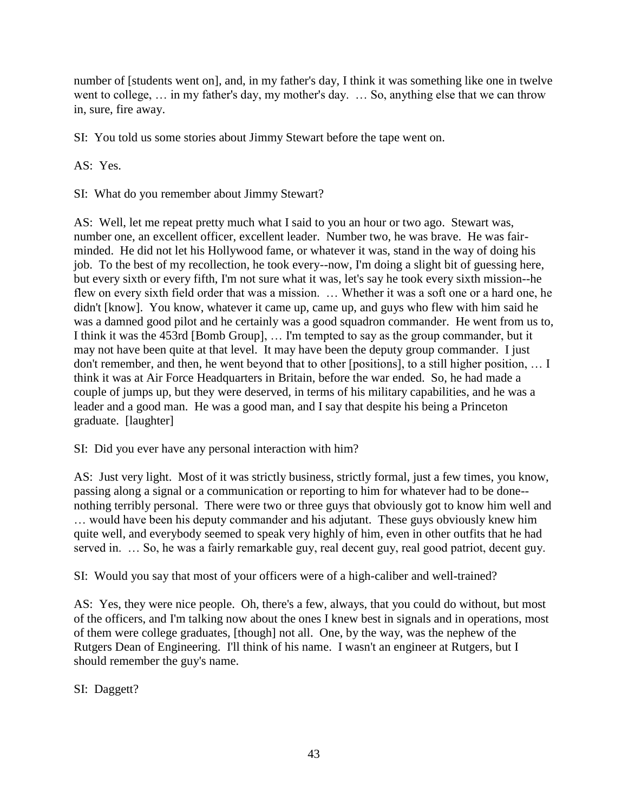number of [students went on], and, in my father's day, I think it was something like one in twelve went to college, … in my father's day, my mother's day. … So, anything else that we can throw in, sure, fire away.

SI: You told us some stories about Jimmy Stewart before the tape went on.

AS: Yes.

SI: What do you remember about Jimmy Stewart?

AS: Well, let me repeat pretty much what I said to you an hour or two ago. Stewart was, number one, an excellent officer, excellent leader. Number two, he was brave. He was fairminded. He did not let his Hollywood fame, or whatever it was, stand in the way of doing his job. To the best of my recollection, he took every--now, I'm doing a slight bit of guessing here, but every sixth or every fifth, I'm not sure what it was, let's say he took every sixth mission--he flew on every sixth field order that was a mission. … Whether it was a soft one or a hard one, he didn't [know]. You know, whatever it came up, came up, and guys who flew with him said he was a damned good pilot and he certainly was a good squadron commander. He went from us to, I think it was the 453rd [Bomb Group], … I'm tempted to say as the group commander, but it may not have been quite at that level. It may have been the deputy group commander. I just don't remember, and then, he went beyond that to other [positions], to a still higher position, … I think it was at Air Force Headquarters in Britain, before the war ended. So, he had made a couple of jumps up, but they were deserved, in terms of his military capabilities, and he was a leader and a good man. He was a good man, and I say that despite his being a Princeton graduate. [laughter]

# SI: Did you ever have any personal interaction with him?

AS: Just very light. Most of it was strictly business, strictly formal, just a few times, you know, passing along a signal or a communication or reporting to him for whatever had to be done- nothing terribly personal. There were two or three guys that obviously got to know him well and … would have been his deputy commander and his adjutant. These guys obviously knew him quite well, and everybody seemed to speak very highly of him, even in other outfits that he had served in. … So, he was a fairly remarkable guy, real decent guy, real good patriot, decent guy.

SI: Would you say that most of your officers were of a high-caliber and well-trained?

AS: Yes, they were nice people. Oh, there's a few, always, that you could do without, but most of the officers, and I'm talking now about the ones I knew best in signals and in operations, most of them were college graduates, [though] not all. One, by the way, was the nephew of the Rutgers Dean of Engineering. I'll think of his name. I wasn't an engineer at Rutgers, but I should remember the guy's name.

SI: Daggett?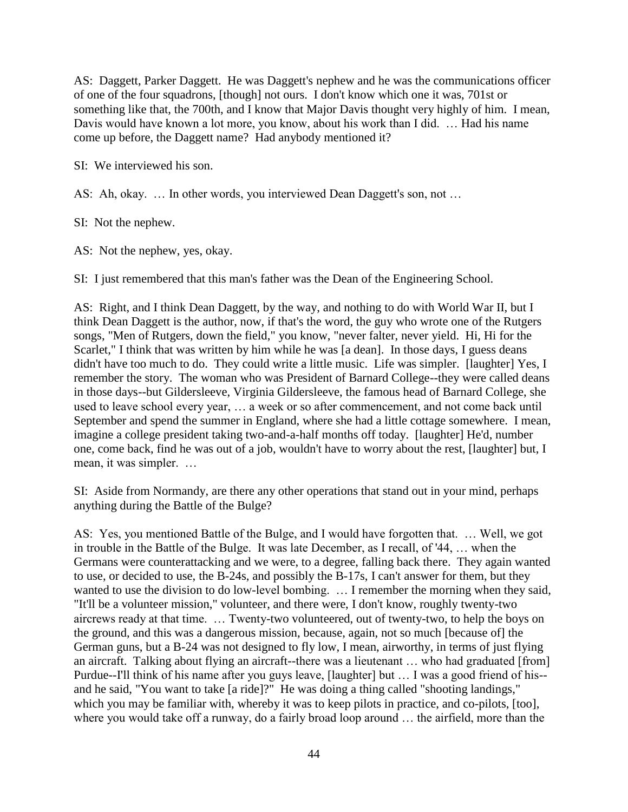AS: Daggett, Parker Daggett. He was Daggett's nephew and he was the communications officer of one of the four squadrons, [though] not ours. I don't know which one it was, 701st or something like that, the 700th, and I know that Major Davis thought very highly of him. I mean, Davis would have known a lot more, you know, about his work than I did. … Had his name come up before, the Daggett name? Had anybody mentioned it?

SI: We interviewed his son.

AS: Ah, okay. … In other words, you interviewed Dean Daggett's son, not …

SI: Not the nephew.

AS: Not the nephew, yes, okay.

SI: I just remembered that this man's father was the Dean of the Engineering School.

AS: Right, and I think Dean Daggett, by the way, and nothing to do with World War II, but I think Dean Daggett is the author, now, if that's the word, the guy who wrote one of the Rutgers songs, "Men of Rutgers, down the field," you know, "never falter, never yield. Hi, Hi for the Scarlet," I think that was written by him while he was [a dean]. In those days, I guess deans didn't have too much to do. They could write a little music. Life was simpler. [laughter] Yes, I remember the story. The woman who was President of Barnard College--they were called deans in those days--but Gildersleeve, Virginia Gildersleeve, the famous head of Barnard College, she used to leave school every year, … a week or so after commencement, and not come back until September and spend the summer in England, where she had a little cottage somewhere. I mean, imagine a college president taking two-and-a-half months off today. [laughter] He'd, number one, come back, find he was out of a job, wouldn't have to worry about the rest, [laughter] but, I mean, it was simpler. …

SI: Aside from Normandy, are there any other operations that stand out in your mind, perhaps anything during the Battle of the Bulge?

AS: Yes, you mentioned Battle of the Bulge, and I would have forgotten that. … Well, we got in trouble in the Battle of the Bulge. It was late December, as I recall, of '44, … when the Germans were counterattacking and we were, to a degree, falling back there. They again wanted to use, or decided to use, the B-24s, and possibly the B-17s, I can't answer for them, but they wanted to use the division to do low-level bombing. ... I remember the morning when they said, "It'll be a volunteer mission," volunteer, and there were, I don't know, roughly twenty-two aircrews ready at that time. … Twenty-two volunteered, out of twenty-two, to help the boys on the ground, and this was a dangerous mission, because, again, not so much [because of] the German guns, but a B-24 was not designed to fly low, I mean, airworthy, in terms of just flying an aircraft. Talking about flying an aircraft--there was a lieutenant … who had graduated [from] Purdue--I'll think of his name after you guys leave, [laughter] but … I was a good friend of his- and he said, "You want to take [a ride]?" He was doing a thing called "shooting landings," which you may be familiar with, whereby it was to keep pilots in practice, and co-pilots, [too], where you would take off a runway, do a fairly broad loop around … the airfield, more than the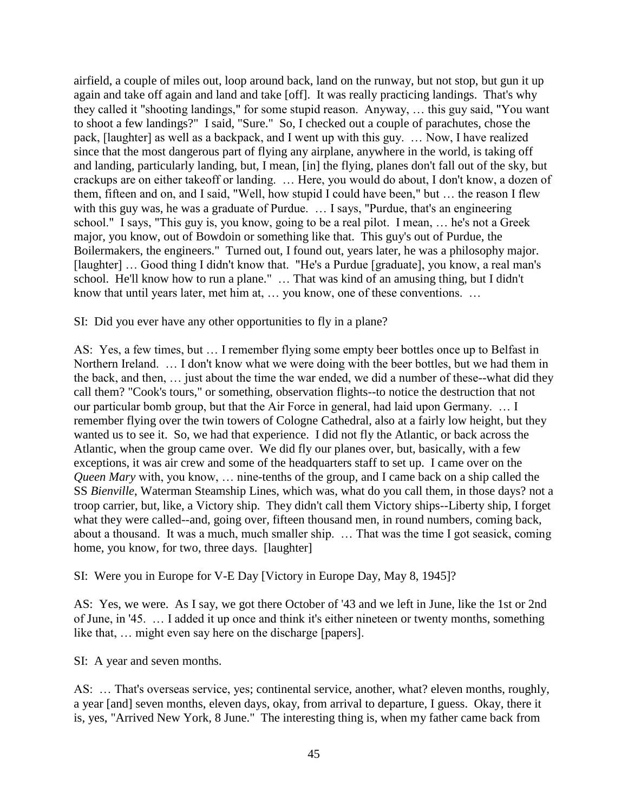airfield, a couple of miles out, loop around back, land on the runway, but not stop, but gun it up again and take off again and land and take [off]. It was really practicing landings. That's why they called it "shooting landings," for some stupid reason. Anyway, … this guy said, "You want to shoot a few landings?" I said, "Sure." So, I checked out a couple of parachutes, chose the pack, [laughter] as well as a backpack, and I went up with this guy. … Now, I have realized since that the most dangerous part of flying any airplane, anywhere in the world, is taking off and landing, particularly landing, but, I mean, [in] the flying, planes don't fall out of the sky, but crackups are on either takeoff or landing. … Here, you would do about, I don't know, a dozen of them, fifteen and on, and I said, "Well, how stupid I could have been," but … the reason I flew with this guy was, he was a graduate of Purdue. ... I says, "Purdue, that's an engineering school." I says, "This guy is, you know, going to be a real pilot. I mean, … he's not a Greek major, you know, out of Bowdoin or something like that. This guy's out of Purdue, the Boilermakers, the engineers." Turned out, I found out, years later, he was a philosophy major. [laughter] ... Good thing I didn't know that. "He's a Purdue [graduate], you know, a real man's school. He'll know how to run a plane." … That was kind of an amusing thing, but I didn't know that until years later, met him at, … you know, one of these conventions. …

SI: Did you ever have any other opportunities to fly in a plane?

AS: Yes, a few times, but … I remember flying some empty beer bottles once up to Belfast in Northern Ireland. … I don't know what we were doing with the beer bottles, but we had them in the back, and then, … just about the time the war ended, we did a number of these--what did they call them? "Cook's tours," or something, observation flights--to notice the destruction that not our particular bomb group, but that the Air Force in general, had laid upon Germany. … I remember flying over the twin towers of Cologne Cathedral, also at a fairly low height, but they wanted us to see it. So, we had that experience. I did not fly the Atlantic, or back across the Atlantic, when the group came over. We did fly our planes over, but, basically, with a few exceptions, it was air crew and some of the headquarters staff to set up. I came over on the *Queen Mary* with, you know, … nine-tenths of the group, and I came back on a ship called the SS *Bienville*, Waterman Steamship Lines, which was, what do you call them, in those days? not a troop carrier, but, like, a Victory ship. They didn't call them Victory ships--Liberty ship, I forget what they were called--and, going over, fifteen thousand men, in round numbers, coming back, about a thousand. It was a much, much smaller ship. … That was the time I got seasick, coming home, you know, for two, three days. [laughter]

SI: Were you in Europe for V-E Day [Victory in Europe Day, May 8, 1945]?

AS: Yes, we were. As I say, we got there October of '43 and we left in June, like the 1st or 2nd of June, in '45. … I added it up once and think it's either nineteen or twenty months, something like that, … might even say here on the discharge [papers].

SI: A year and seven months.

AS: … That's overseas service, yes; continental service, another, what? eleven months, roughly, a year [and] seven months, eleven days, okay, from arrival to departure, I guess. Okay, there it is, yes, "Arrived New York, 8 June." The interesting thing is, when my father came back from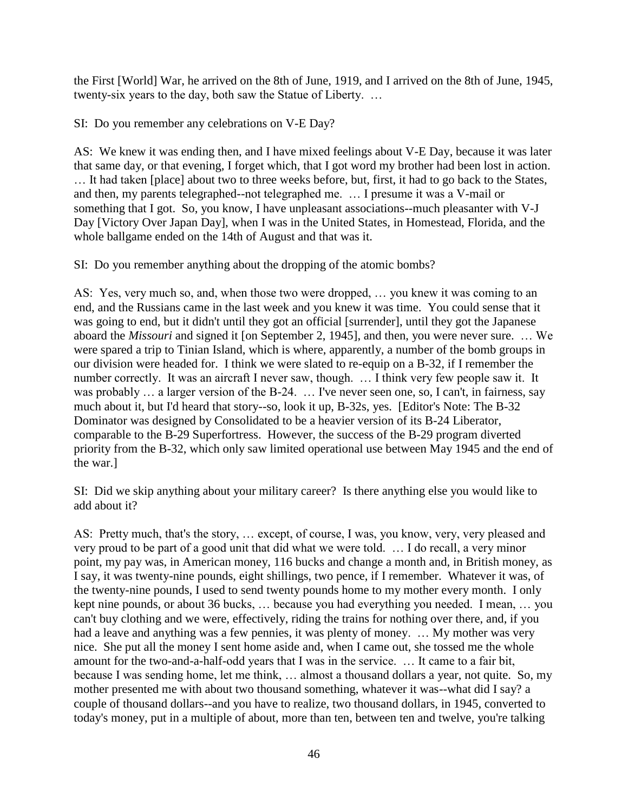the First [World] War, he arrived on the 8th of June, 1919, and I arrived on the 8th of June, 1945, twenty-six years to the day, both saw the Statue of Liberty. …

SI: Do you remember any celebrations on V-E Day?

AS: We knew it was ending then, and I have mixed feelings about V-E Day, because it was later that same day, or that evening, I forget which, that I got word my brother had been lost in action. … It had taken [place] about two to three weeks before, but, first, it had to go back to the States, and then, my parents telegraphed--not telegraphed me. … I presume it was a V-mail or something that I got. So, you know, I have unpleasant associations--much pleasanter with V-J Day [Victory Over Japan Day], when I was in the United States, in Homestead, Florida, and the whole ballgame ended on the 14th of August and that was it.

SI: Do you remember anything about the dropping of the atomic bombs?

AS: Yes, very much so, and, when those two were dropped, … you knew it was coming to an end, and the Russians came in the last week and you knew it was time. You could sense that it was going to end, but it didn't until they got an official [surrender], until they got the Japanese aboard the *Missouri* and signed it [on September 2, 1945], and then, you were never sure. … We were spared a trip to Tinian Island, which is where, apparently, a number of the bomb groups in our division were headed for. I think we were slated to re-equip on a B-32, if I remember the number correctly. It was an aircraft I never saw, though. … I think very few people saw it. It was probably ... a larger version of the B-24. ... I've never seen one, so, I can't, in fairness, say much about it, but I'd heard that story--so, look it up, B-32s, yes. [Editor's Note: The B-32 Dominator was designed by Consolidated to be a heavier version of its B-24 Liberator, comparable to the B-29 Superfortress. However, the success of the B-29 program diverted priority from the B-32, which only saw limited operational use between May 1945 and the end of the war.]

SI: Did we skip anything about your military career? Is there anything else you would like to add about it?

AS: Pretty much, that's the story, … except, of course, I was, you know, very, very pleased and very proud to be part of a good unit that did what we were told. … I do recall, a very minor point, my pay was, in American money, 116 bucks and change a month and, in British money, as I say, it was twenty-nine pounds, eight shillings, two pence, if I remember. Whatever it was, of the twenty-nine pounds, I used to send twenty pounds home to my mother every month. I only kept nine pounds, or about 36 bucks, … because you had everything you needed. I mean, … you can't buy clothing and we were, effectively, riding the trains for nothing over there, and, if you had a leave and anything was a few pennies, it was plenty of money. ... My mother was very nice. She put all the money I sent home aside and, when I came out, she tossed me the whole amount for the two-and-a-half-odd years that I was in the service. … It came to a fair bit, because I was sending home, let me think, … almost a thousand dollars a year, not quite. So, my mother presented me with about two thousand something, whatever it was--what did I say? a couple of thousand dollars--and you have to realize, two thousand dollars, in 1945, converted to today's money, put in a multiple of about, more than ten, between ten and twelve, you're talking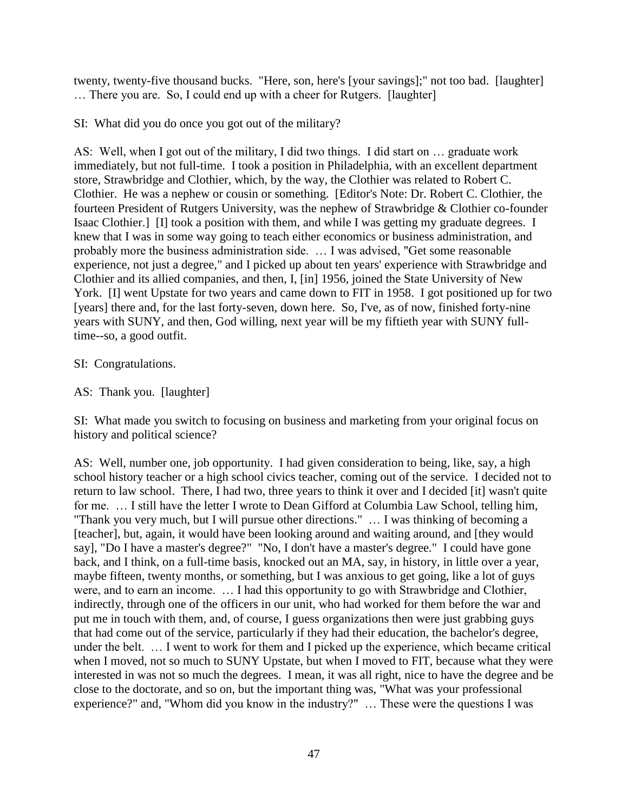twenty, twenty-five thousand bucks. "Here, son, here's [your savings];" not too bad. [laughter] … There you are. So, I could end up with a cheer for Rutgers. [laughter]

SI: What did you do once you got out of the military?

AS: Well, when I got out of the military, I did two things. I did start on … graduate work immediately, but not full-time. I took a position in Philadelphia, with an excellent department store, Strawbridge and Clothier, which, by the way, the Clothier was related to Robert C. Clothier. He was a nephew or cousin or something. [Editor's Note: Dr. Robert C. Clothier, the fourteen President of Rutgers University, was the nephew of Strawbridge & Clothier co-founder Isaac Clothier.] [I] took a position with them, and while I was getting my graduate degrees. I knew that I was in some way going to teach either economics or business administration, and probably more the business administration side. … I was advised, "Get some reasonable experience, not just a degree," and I picked up about ten years' experience with Strawbridge and Clothier and its allied companies, and then, I, [in] 1956, joined the State University of New York. II went Upstate for two years and came down to FIT in 1958. I got positioned up for two [years] there and, for the last forty-seven, down here. So, I've, as of now, finished forty-nine years with SUNY, and then, God willing, next year will be my fiftieth year with SUNY fulltime--so, a good outfit.

# SI: Congratulations.

AS: Thank you. [laughter]

SI: What made you switch to focusing on business and marketing from your original focus on history and political science?

AS: Well, number one, job opportunity. I had given consideration to being, like, say, a high school history teacher or a high school civics teacher, coming out of the service. I decided not to return to law school. There, I had two, three years to think it over and I decided [it] wasn't quite for me. … I still have the letter I wrote to Dean Gifford at Columbia Law School, telling him, "Thank you very much, but I will pursue other directions." … I was thinking of becoming a [teacher], but, again, it would have been looking around and waiting around, and [they would say], "Do I have a master's degree?" "No, I don't have a master's degree." I could have gone back, and I think, on a full-time basis, knocked out an MA, say, in history, in little over a year, maybe fifteen, twenty months, or something, but I was anxious to get going, like a lot of guys were, and to earn an income. … I had this opportunity to go with Strawbridge and Clothier, indirectly, through one of the officers in our unit, who had worked for them before the war and put me in touch with them, and, of course, I guess organizations then were just grabbing guys that had come out of the service, particularly if they had their education, the bachelor's degree, under the belt. … I went to work for them and I picked up the experience, which became critical when I moved, not so much to SUNY Upstate, but when I moved to FIT, because what they were interested in was not so much the degrees. I mean, it was all right, nice to have the degree and be close to the doctorate, and so on, but the important thing was, "What was your professional experience?" and, "Whom did you know in the industry?" … These were the questions I was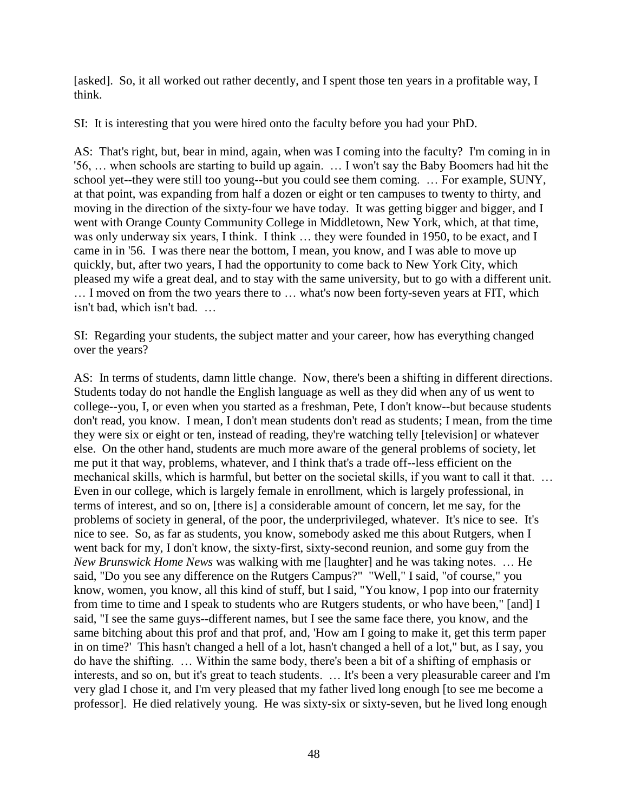[asked]. So, it all worked out rather decently, and I spent those ten years in a profitable way, I think.

SI: It is interesting that you were hired onto the faculty before you had your PhD.

AS: That's right, but, bear in mind, again, when was I coming into the faculty? I'm coming in in '56, … when schools are starting to build up again. … I won't say the Baby Boomers had hit the school yet--they were still too young--but you could see them coming. … For example, SUNY, at that point, was expanding from half a dozen or eight or ten campuses to twenty to thirty, and moving in the direction of the sixty-four we have today. It was getting bigger and bigger, and I went with Orange County Community College in Middletown, New York, which, at that time, was only underway six years, I think. I think … they were founded in 1950, to be exact, and I came in in '56. I was there near the bottom, I mean, you know, and I was able to move up quickly, but, after two years, I had the opportunity to come back to New York City, which pleased my wife a great deal, and to stay with the same university, but to go with a different unit. … I moved on from the two years there to … what's now been forty-seven years at FIT, which isn't bad, which isn't bad. …

SI: Regarding your students, the subject matter and your career, how has everything changed over the years?

AS: In terms of students, damn little change. Now, there's been a shifting in different directions. Students today do not handle the English language as well as they did when any of us went to college--you, I, or even when you started as a freshman, Pete, I don't know--but because students don't read, you know. I mean, I don't mean students don't read as students; I mean, from the time they were six or eight or ten, instead of reading, they're watching telly [television] or whatever else. On the other hand, students are much more aware of the general problems of society, let me put it that way, problems, whatever, and I think that's a trade off--less efficient on the mechanical skills, which is harmful, but better on the societal skills, if you want to call it that. … Even in our college, which is largely female in enrollment, which is largely professional, in terms of interest, and so on, [there is] a considerable amount of concern, let me say, for the problems of society in general, of the poor, the underprivileged, whatever. It's nice to see. It's nice to see. So, as far as students, you know, somebody asked me this about Rutgers, when I went back for my, I don't know, the sixty-first, sixty-second reunion, and some guy from the *New Brunswick Home News* was walking with me [laughter] and he was taking notes. … He said, "Do you see any difference on the Rutgers Campus?" "Well," I said, "of course," you know, women, you know, all this kind of stuff, but I said, "You know, I pop into our fraternity from time to time and I speak to students who are Rutgers students, or who have been," [and] I said, "I see the same guys--different names, but I see the same face there, you know, and the same bitching about this prof and that prof, and, 'How am I going to make it, get this term paper in on time?' This hasn't changed a hell of a lot, hasn't changed a hell of a lot," but, as I say, you do have the shifting. … Within the same body, there's been a bit of a shifting of emphasis or interests, and so on, but it's great to teach students. … It's been a very pleasurable career and I'm very glad I chose it, and I'm very pleased that my father lived long enough [to see me become a professor]. He died relatively young. He was sixty-six or sixty-seven, but he lived long enough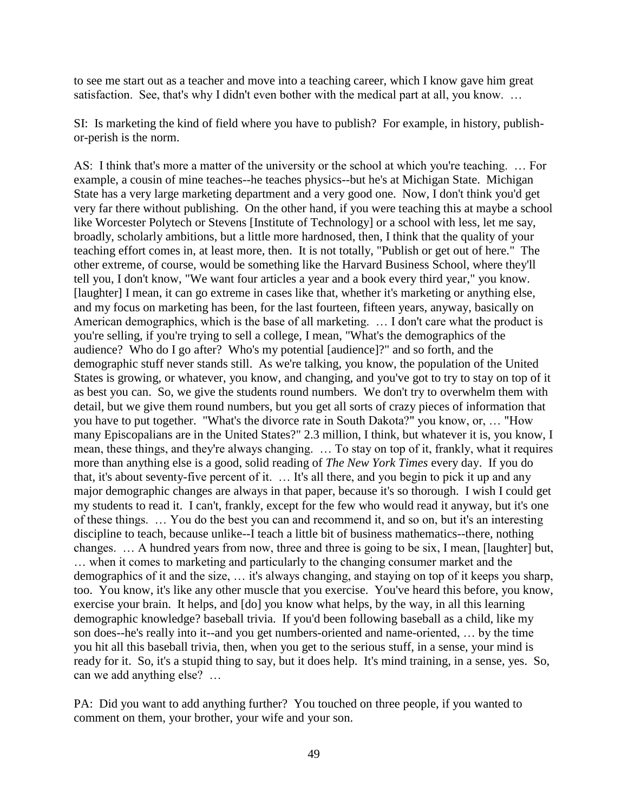to see me start out as a teacher and move into a teaching career, which I know gave him great satisfaction. See, that's why I didn't even bother with the medical part at all, you know. …

SI: Is marketing the kind of field where you have to publish? For example, in history, publishor-perish is the norm.

AS: I think that's more a matter of the university or the school at which you're teaching. ... For example, a cousin of mine teaches--he teaches physics--but he's at Michigan State. Michigan State has a very large marketing department and a very good one. Now, I don't think you'd get very far there without publishing. On the other hand, if you were teaching this at maybe a school like Worcester Polytech or Stevens [Institute of Technology] or a school with less, let me say, broadly, scholarly ambitions, but a little more hardnosed, then, I think that the quality of your teaching effort comes in, at least more, then. It is not totally, "Publish or get out of here." The other extreme, of course, would be something like the Harvard Business School, where they'll tell you, I don't know, "We want four articles a year and a book every third year," you know. [laughter] I mean, it can go extreme in cases like that, whether it's marketing or anything else, and my focus on marketing has been, for the last fourteen, fifteen years, anyway, basically on American demographics, which is the base of all marketing. … I don't care what the product is you're selling, if you're trying to sell a college, I mean, "What's the demographics of the audience? Who do I go after? Who's my potential [audience]?" and so forth, and the demographic stuff never stands still. As we're talking, you know, the population of the United States is growing, or whatever, you know, and changing, and you've got to try to stay on top of it as best you can. So, we give the students round numbers. We don't try to overwhelm them with detail, but we give them round numbers, but you get all sorts of crazy pieces of information that you have to put together. "What's the divorce rate in South Dakota?" you know, or, … "How many Episcopalians are in the United States?" 2.3 million, I think, but whatever it is, you know, I mean, these things, and they're always changing. … To stay on top of it, frankly, what it requires more than anything else is a good, solid reading of *The New York Times* every day. If you do that, it's about seventy-five percent of it. … It's all there, and you begin to pick it up and any major demographic changes are always in that paper, because it's so thorough. I wish I could get my students to read it. I can't, frankly, except for the few who would read it anyway, but it's one of these things. … You do the best you can and recommend it, and so on, but it's an interesting discipline to teach, because unlike--I teach a little bit of business mathematics--there, nothing changes. … A hundred years from now, three and three is going to be six, I mean, [laughter] but, … when it comes to marketing and particularly to the changing consumer market and the demographics of it and the size, … it's always changing, and staying on top of it keeps you sharp, too. You know, it's like any other muscle that you exercise. You've heard this before, you know, exercise your brain. It helps, and [do] you know what helps, by the way, in all this learning demographic knowledge? baseball trivia. If you'd been following baseball as a child, like my son does--he's really into it--and you get numbers-oriented and name-oriented, … by the time you hit all this baseball trivia, then, when you get to the serious stuff, in a sense, your mind is ready for it. So, it's a stupid thing to say, but it does help. It's mind training, in a sense, yes. So, can we add anything else? …

PA: Did you want to add anything further? You touched on three people, if you wanted to comment on them, your brother, your wife and your son.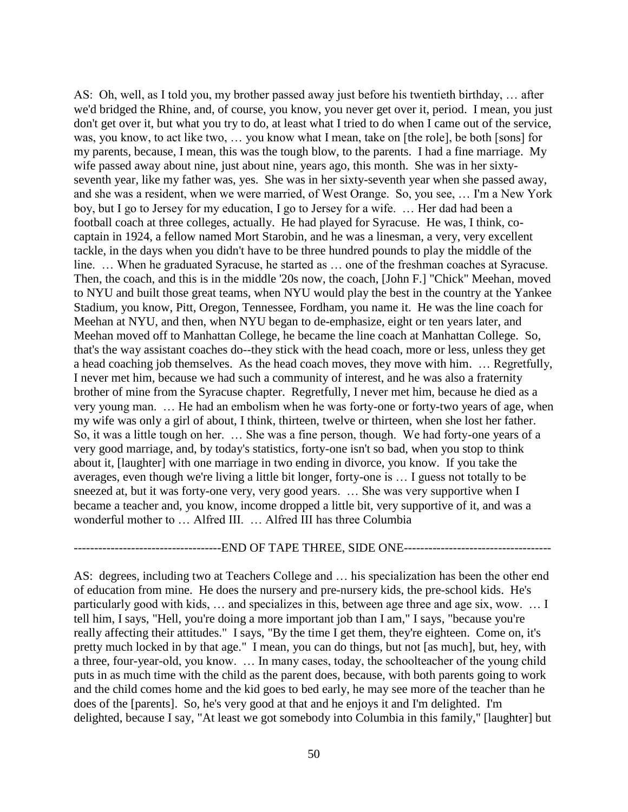AS: Oh, well, as I told you, my brother passed away just before his twentieth birthday, … after we'd bridged the Rhine, and, of course, you know, you never get over it, period. I mean, you just don't get over it, but what you try to do, at least what I tried to do when I came out of the service, was, you know, to act like two, … you know what I mean, take on [the role], be both [sons] for my parents, because, I mean, this was the tough blow, to the parents. I had a fine marriage. My wife passed away about nine, just about nine, years ago, this month. She was in her sixtyseventh year, like my father was, yes. She was in her sixty-seventh year when she passed away, and she was a resident, when we were married, of West Orange. So, you see, … I'm a New York boy, but I go to Jersey for my education, I go to Jersey for a wife. … Her dad had been a football coach at three colleges, actually. He had played for Syracuse. He was, I think, cocaptain in 1924, a fellow named Mort Starobin, and he was a linesman, a very, very excellent tackle, in the days when you didn't have to be three hundred pounds to play the middle of the line. … When he graduated Syracuse, he started as … one of the freshman coaches at Syracuse. Then, the coach, and this is in the middle '20s now, the coach, [John F.] "Chick" Meehan, moved to NYU and built those great teams, when NYU would play the best in the country at the Yankee Stadium, you know, Pitt, Oregon, Tennessee, Fordham, you name it. He was the line coach for Meehan at NYU, and then, when NYU began to de-emphasize, eight or ten years later, and Meehan moved off to Manhattan College, he became the line coach at Manhattan College. So, that's the way assistant coaches do--they stick with the head coach, more or less, unless they get a head coaching job themselves. As the head coach moves, they move with him. … Regretfully, I never met him, because we had such a community of interest, and he was also a fraternity brother of mine from the Syracuse chapter. Regretfully, I never met him, because he died as a very young man. … He had an embolism when he was forty-one or forty-two years of age, when my wife was only a girl of about, I think, thirteen, twelve or thirteen, when she lost her father. So, it was a little tough on her. … She was a fine person, though. We had forty-one years of a very good marriage, and, by today's statistics, forty-one isn't so bad, when you stop to think about it, [laughter] with one marriage in two ending in divorce, you know. If you take the averages, even though we're living a little bit longer, forty-one is … I guess not totally to be sneezed at, but it was forty-one very, very good years. … She was very supportive when I became a teacher and, you know, income dropped a little bit, very supportive of it, and was a wonderful mother to … Alfred III. … Alfred III has three Columbia

#### ------------END OF TAPE THREE, SIDE ONE-------------

AS: degrees, including two at Teachers College and … his specialization has been the other end of education from mine. He does the nursery and pre-nursery kids, the pre-school kids. He's particularly good with kids, … and specializes in this, between age three and age six, wow. … I tell him, I says, "Hell, you're doing a more important job than I am," I says, "because you're really affecting their attitudes." I says, "By the time I get them, they're eighteen. Come on, it's pretty much locked in by that age." I mean, you can do things, but not [as much], but, hey, with a three, four-year-old, you know. … In many cases, today, the schoolteacher of the young child puts in as much time with the child as the parent does, because, with both parents going to work and the child comes home and the kid goes to bed early, he may see more of the teacher than he does of the [parents]. So, he's very good at that and he enjoys it and I'm delighted. I'm delighted, because I say, "At least we got somebody into Columbia in this family," [laughter] but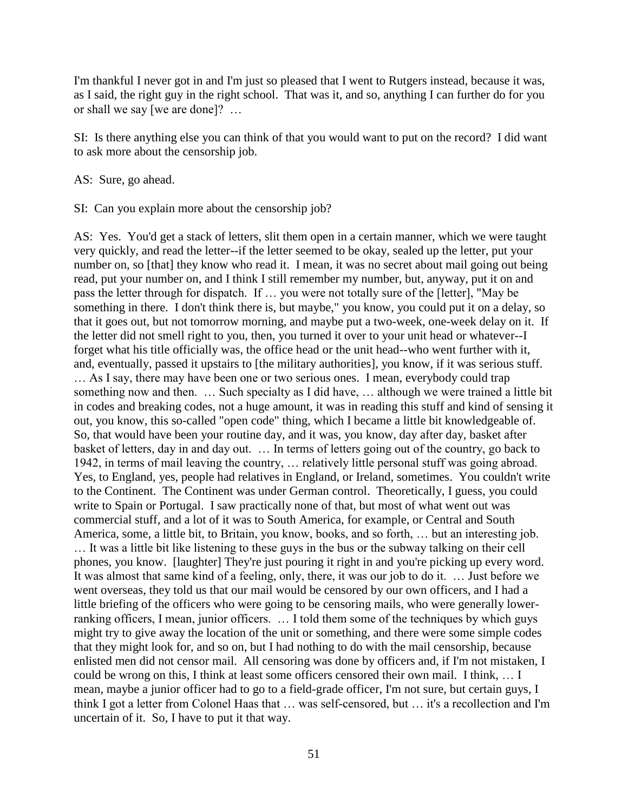I'm thankful I never got in and I'm just so pleased that I went to Rutgers instead, because it was, as I said, the right guy in the right school. That was it, and so, anything I can further do for you or shall we say [we are done]? …

SI: Is there anything else you can think of that you would want to put on the record? I did want to ask more about the censorship job.

AS: Sure, go ahead.

SI: Can you explain more about the censorship job?

AS: Yes. You'd get a stack of letters, slit them open in a certain manner, which we were taught very quickly, and read the letter--if the letter seemed to be okay, sealed up the letter, put your number on, so [that] they know who read it. I mean, it was no secret about mail going out being read, put your number on, and I think I still remember my number, but, anyway, put it on and pass the letter through for dispatch. If … you were not totally sure of the [letter], "May be something in there. I don't think there is, but maybe," you know, you could put it on a delay, so that it goes out, but not tomorrow morning, and maybe put a two-week, one-week delay on it. If the letter did not smell right to you, then, you turned it over to your unit head or whatever--I forget what his title officially was, the office head or the unit head--who went further with it, and, eventually, passed it upstairs to [the military authorities], you know, if it was serious stuff. … As I say, there may have been one or two serious ones. I mean, everybody could trap something now and then. … Such specialty as I did have, … although we were trained a little bit in codes and breaking codes, not a huge amount, it was in reading this stuff and kind of sensing it out, you know, this so-called "open code" thing, which I became a little bit knowledgeable of. So, that would have been your routine day, and it was, you know, day after day, basket after basket of letters, day in and day out. … In terms of letters going out of the country, go back to 1942, in terms of mail leaving the country, … relatively little personal stuff was going abroad. Yes, to England, yes, people had relatives in England, or Ireland, sometimes. You couldn't write to the Continent. The Continent was under German control. Theoretically, I guess, you could write to Spain or Portugal. I saw practically none of that, but most of what went out was commercial stuff, and a lot of it was to South America, for example, or Central and South America, some, a little bit, to Britain, you know, books, and so forth, … but an interesting job. … It was a little bit like listening to these guys in the bus or the subway talking on their cell phones, you know. [laughter] They're just pouring it right in and you're picking up every word. It was almost that same kind of a feeling, only, there, it was our job to do it. … Just before we went overseas, they told us that our mail would be censored by our own officers, and I had a little briefing of the officers who were going to be censoring mails, who were generally lowerranking officers, I mean, junior officers. … I told them some of the techniques by which guys might try to give away the location of the unit or something, and there were some simple codes that they might look for, and so on, but I had nothing to do with the mail censorship, because enlisted men did not censor mail. All censoring was done by officers and, if I'm not mistaken, I could be wrong on this, I think at least some officers censored their own mail. I think, … I mean, maybe a junior officer had to go to a field-grade officer, I'm not sure, but certain guys, I think I got a letter from Colonel Haas that … was self-censored, but … it's a recollection and I'm uncertain of it. So, I have to put it that way.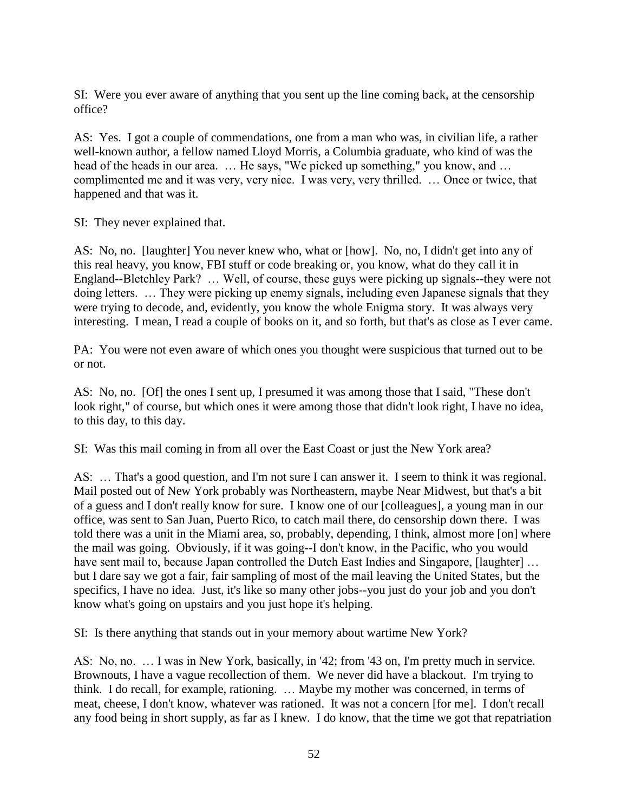SI: Were you ever aware of anything that you sent up the line coming back, at the censorship office?

AS: Yes. I got a couple of commendations, one from a man who was, in civilian life, a rather well-known author, a fellow named Lloyd Morris, a Columbia graduate, who kind of was the head of the heads in our area. … He says, "We picked up something," you know, and … complimented me and it was very, very nice. I was very, very thrilled. … Once or twice, that happened and that was it.

SI: They never explained that.

AS: No, no. [laughter] You never knew who, what or [how]. No, no, I didn't get into any of this real heavy, you know, FBI stuff or code breaking or, you know, what do they call it in England--Bletchley Park? … Well, of course, these guys were picking up signals--they were not doing letters. … They were picking up enemy signals, including even Japanese signals that they were trying to decode, and, evidently, you know the whole Enigma story. It was always very interesting. I mean, I read a couple of books on it, and so forth, but that's as close as I ever came.

PA: You were not even aware of which ones you thought were suspicious that turned out to be or not.

AS: No, no. [Of] the ones I sent up, I presumed it was among those that I said, "These don't look right," of course, but which ones it were among those that didn't look right, I have no idea, to this day, to this day.

SI: Was this mail coming in from all over the East Coast or just the New York area?

AS: … That's a good question, and I'm not sure I can answer it. I seem to think it was regional. Mail posted out of New York probably was Northeastern, maybe Near Midwest, but that's a bit of a guess and I don't really know for sure. I know one of our [colleagues], a young man in our office, was sent to San Juan, Puerto Rico, to catch mail there, do censorship down there. I was told there was a unit in the Miami area, so, probably, depending, I think, almost more [on] where the mail was going. Obviously, if it was going--I don't know, in the Pacific, who you would have sent mail to, because Japan controlled the Dutch East Indies and Singapore, [laughter] ... but I dare say we got a fair, fair sampling of most of the mail leaving the United States, but the specifics, I have no idea. Just, it's like so many other jobs--you just do your job and you don't know what's going on upstairs and you just hope it's helping.

SI: Is there anything that stands out in your memory about wartime New York?

AS: No, no. … I was in New York, basically, in '42; from '43 on, I'm pretty much in service. Brownouts, I have a vague recollection of them. We never did have a blackout. I'm trying to think. I do recall, for example, rationing. … Maybe my mother was concerned, in terms of meat, cheese, I don't know, whatever was rationed. It was not a concern [for me]. I don't recall any food being in short supply, as far as I knew. I do know, that the time we got that repatriation